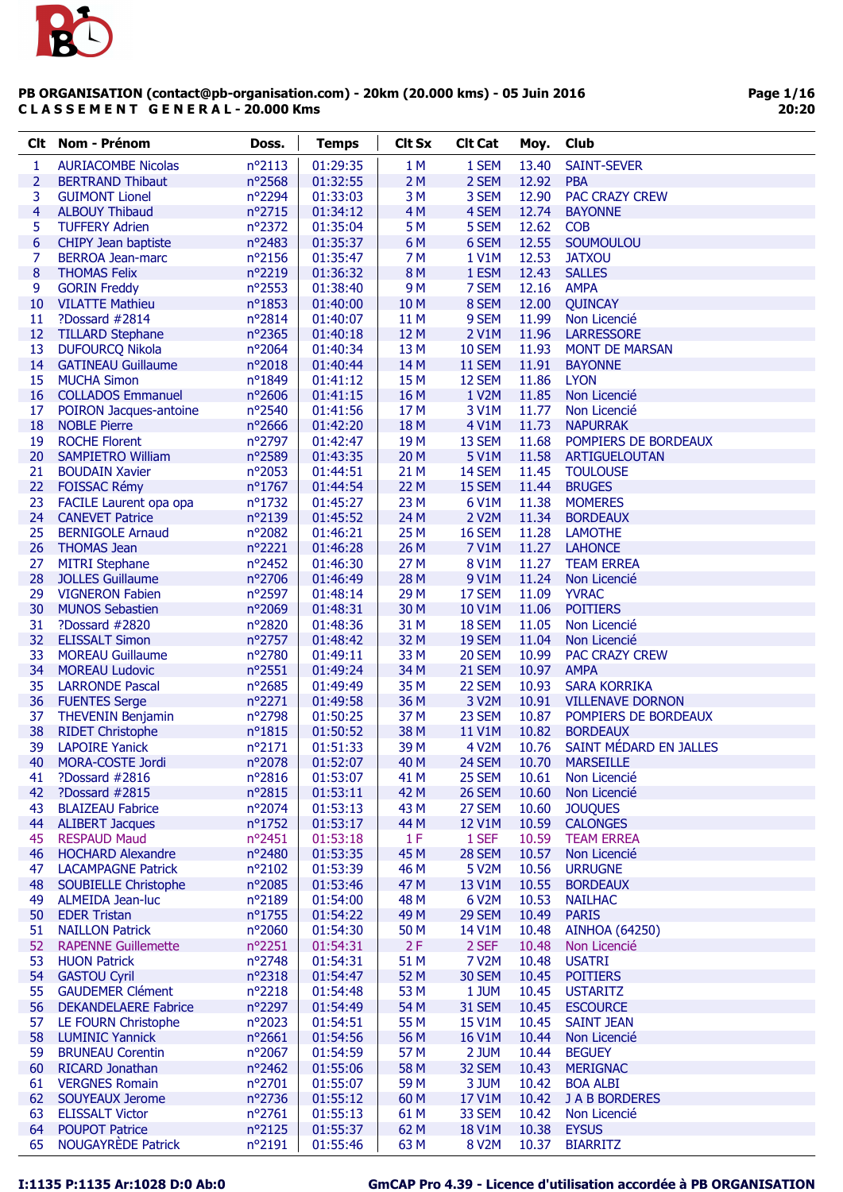

| <b>Clt</b>      | <b>Nom - Prénom</b>                               | Doss.                      | <b>Temps</b>         | <b>Clt Sx</b>   | <b>Clt Cat</b>   | Moy.           | Club                                       |
|-----------------|---------------------------------------------------|----------------------------|----------------------|-----------------|------------------|----------------|--------------------------------------------|
| 1               | <b>AURIACOMBE Nicolas</b>                         | nº2113                     | 01:29:35             | 1 M             | 1 SEM            | 13.40          | <b>SAINT-SEVER</b>                         |
| 2               | <b>BERTRAND Thibaut</b>                           | nº2568                     | 01:32:55             | 2M              | 2 SEM            | 12.92          | <b>PBA</b>                                 |
| 3               | <b>GUIMONT Lionel</b>                             | nº2294                     | 01:33:03             | 3 M             | 3 SEM            | 12.90          | <b>PAC CRAZY CREW</b>                      |
| 4               | <b>ALBOUY Thibaud</b>                             | nº2715                     | 01:34:12             | 4M              | 4 SEM            | 12.74          | <b>BAYONNE</b>                             |
| 5               | <b>TUFFERY Adrien</b>                             | nº2372                     | 01:35:04             | 5 M             | 5 SEM            | 12.62          | <b>COB</b>                                 |
| 6               | CHIPY Jean baptiste                               | nº2483                     | 01:35:37             | 6M              | 6 SEM            | 12.55          | SOUMOULOU                                  |
| 7               | <b>BERROA Jean-marc</b>                           | nº2156                     | 01:35:47             | 7 M             | 1 V1M            | 12.53          | <b>JATXOU</b>                              |
| 8               | <b>THOMAS Felix</b>                               | n°2219                     | 01:36:32             | 8 M             | 1 ESM            | 12.43          | <b>SALLES</b>                              |
| 9               | <b>GORIN Freddy</b>                               | $n^{\circ}$ 2553           | 01:38:40             | 9 M             | 7 SEM            | 12.16          | <b>AMPA</b>                                |
| 10              | <b>VILATTE Mathieu</b>                            | nº1853                     | 01:40:00             | 10 M            | 8 SEM            | 12.00          | QUINCAY                                    |
| 11              | ?Dossard #2814                                    | n°2814                     | 01:40:07             | 11 M            | 9 SEM            | 11.99<br>11.96 | Non Licencié                               |
| 12<br>13        | <b>TILLARD Stephane</b><br><b>DUFOURCQ Nikola</b> | nº2365<br>$n^{\circ}2064$  | 01:40:18<br>01:40:34 | 12 M<br>13 M    | 2 V1M<br>10 SEM  | 11.93          | <b>LARRESSORE</b><br><b>MONT DE MARSAN</b> |
| 14              | <b>GATINEAU Guillaume</b>                         | nº2018                     | 01:40:44             | 14 M            | 11 SEM           | 11.91          | <b>BAYONNE</b>                             |
| 15              | <b>MUCHA Simon</b>                                | nº1849                     | 01:41:12             | 15 M            | 12 SEM           | 11.86          | <b>LYON</b>                                |
| 16              | <b>COLLADOS Emmanuel</b>                          | nº2606                     | 01:41:15             | 16 M            | 1 V2M            | 11.85          | Non Licencié                               |
| 17              | POIRON Jacques-antoine                            | nº2540                     | 01:41:56             | 17 <sub>M</sub> | 3 V1M            | 11.77          | Non Licencié                               |
| 18              | <b>NOBLE Pierre</b>                               | nº2666                     | 01:42:20             | 18 M            | 4 V1M            | 11.73          | <b>NAPURRAK</b>                            |
| 19              | <b>ROCHE Florent</b>                              | nº2797                     | 01:42:47             | 19 <sub>M</sub> | 13 SEM           | 11.68          | POMPIERS DE BORDEAUX                       |
| 20              | <b>SAMPIETRO William</b>                          | nº2589                     | 01:43:35             | 20 M            | 5 V1M            | 11.58          | ARTIGUELOUTAN                              |
| 21              | <b>BOUDAIN Xavier</b>                             | nº2053                     | 01:44:51             | 21 M            | 14 SEM           | 11.45          | <b>TOULOUSE</b>                            |
| 22              | <b>FOISSAC Rémy</b>                               | $n^{\circ}$ 1767           | 01:44:54             | 22 M            | 15 SEM           | 11.44          | <b>BRUGES</b>                              |
| 23              | FACILE Laurent opa opa                            | nº1732                     | 01:45:27             | 23 M            | 6 V1M            | 11.38          | <b>MOMERES</b>                             |
| 24              | <b>CANEVET Patrice</b>                            | nº2139                     | 01:45:52             | 24 M            | 2 V2M            | 11.34          | <b>BORDEAUX</b>                            |
| 25              | <b>BERNIGOLE Arnaud</b>                           | nº2082                     | 01:46:21             | 25 M            | 16 SEM           | 11.28          | <b>LAMOTHE</b>                             |
| 26              | <b>THOMAS Jean</b>                                | nº2221                     | 01:46:28             | 26 M            | 7 V1M            | 11.27          | <b>LAHONCE</b>                             |
| 27              | <b>MITRI Stephane</b>                             | nº2452                     | 01:46:30             | 27 M            | <b>8 V1M</b>     | 11.27          | <b>TEAM ERREA</b>                          |
| 28              | <b>JOLLES Guillaume</b>                           | nº2706                     | 01:46:49             | 28 M            | 9 V1M            | 11.24          | Non Licencié                               |
| 29<br>30        | <b>VIGNERON Fabien</b>                            | $n^{\circ}$ 2597<br>n°2069 | 01:48:14             | 29 M            | 17 SEM           | 11.09          | <b>YVRAC</b><br><b>POITIERS</b>            |
| 31              | <b>MUNOS Sebastien</b><br>?Dossard #2820          | nº2820                     | 01:48:31<br>01:48:36 | 30 M<br>31 M    | 10 V1M<br>18 SEM | 11.06<br>11.05 | Non Licencié                               |
| 32 <sub>2</sub> | <b>ELISSALT Simon</b>                             | nº2757                     | 01:48:42             | 32 M            | 19 SEM           | 11.04          | Non Licencié                               |
| 33              | <b>MOREAU Guillaume</b>                           | nº2780                     | 01:49:11             | 33 M            | 20 SEM           | 10.99          | PAC CRAZY CREW                             |
| 34              | <b>MOREAU Ludovic</b>                             | n°2551                     | 01:49:24             | 34 M            | 21 SEM           | 10.97          | <b>AMPA</b>                                |
| 35              | <b>LARRONDE Pascal</b>                            | nº2685                     | 01:49:49             | 35 M            | 22 SEM           | 10.93          | <b>SARA KORRIKA</b>                        |
| 36              | <b>FUENTES Serge</b>                              | nº2271                     | 01:49:58             | 36 M            | 3 V2M            | 10.91          | <b>VILLENAVE DORNON</b>                    |
| 37              | <b>THEVENIN Benjamin</b>                          | nº2798                     | 01:50:25             | 37 M            | 23 SEM           | 10.87          | POMPIERS DE BORDEAUX                       |
| 38              | <b>RIDET Christophe</b>                           | $n^o$ 1815                 | 01:50:52             | 38 M            | 11 V1M           | 10.82          | <b>BORDEAUX</b>                            |
| 39              | <b>LAPOIRE Yanick</b>                             | nº2171                     | 01:51:33             | 39 M            | 4 V2M            | 10.76          | SAINT MÉDARD EN JALLES                     |
| 40              | MORA-COSTE Jordi                                  | n°2078                     | 01:52:07             | 40 M            | 24 SEM           | 10.70          | <b>MARSEILLE</b>                           |
| 41              | ?Dossard #2816                                    | nº2816                     | 01:53:07             | 41 M            | 25 SEM           | 10.61          | Non Licencié                               |
| 42              | ?Dossard #2815                                    | nº2815                     | 01:53:11             | 42 M            | 26 SEM           | 10.60          | Non Licencié                               |
| 43              | <b>BLAIZEAU Fabrice</b>                           | nº2074                     | 01:53:13             | 43 M            | 27 SEM           | 10.60          | <b>JOUQUES</b>                             |
| 44              | <b>ALIBERT Jacques</b>                            | nº1752                     | 01:53:17             | 44 M            | 12 V1M           | 10.59          | <b>CALONGES</b>                            |
| 45<br>46        | <b>RESPAUD Maud</b><br><b>HOCHARD Alexandre</b>   | $n^{\circ}2451$<br>nº2480  | 01:53:18<br>01:53:35 | 1F<br>45 M      | 1 SEF<br>28 SEM  | 10.59<br>10.57 | <b>TEAM ERREA</b><br>Non Licencié          |
| 47              | <b>LACAMPAGNE Patrick</b>                         | $n^{\circ}2102$            | 01:53:39             | 46 M            | 5 V2M            | 10.56          | <b>URRUGNE</b>                             |
| 48              | <b>SOUBIELLE Christophe</b>                       | nº2085                     | 01:53:46             | 47 M            | 13 V1M           | 10.55          | <b>BORDEAUX</b>                            |
| 49              | <b>ALMEIDA Jean-luc</b>                           | n°2189                     | 01:54:00             | 48 M            | 6 V2M            | 10.53          | <b>NAILHAC</b>                             |
| 50              | <b>EDER Tristan</b>                               | nº1755                     | 01:54:22             | 49 M            | 29 SEM           | 10.49          | <b>PARIS</b>                               |
| 51              | <b>NAILLON Patrick</b>                            | nº2060                     | 01:54:30             | 50 M            | 14 V1M           | 10.48          | <b>AINHOA (64250)</b>                      |
| 52              | <b>RAPENNE Guillemette</b>                        | nº2251                     | 01:54:31             | 2F              | 2 SEF            | 10.48          | Non Licencié                               |
| 53              | <b>HUON Patrick</b>                               | nº2748                     | 01:54:31             | 51 M            | 7 V2M            | 10.48          | <b>USATRI</b>                              |
| 54              | <b>GASTOU Cyril</b>                               | nº2318                     | 01:54:47             | 52 M            | 30 SEM           | 10.45          | <b>POITIERS</b>                            |
| 55              | <b>GAUDEMER Clément</b>                           | n°2218                     | 01:54:48             | 53 M            | 1 JUM            | 10.45          | <b>USTARITZ</b>                            |
| 56              | <b>DEKANDELAERE Fabrice</b>                       | n°2297                     | 01:54:49             | 54 M            | 31 SEM           | 10.45          | <b>ESCOURCE</b>                            |
| 57              | LE FOURN Christophe                               | $n^{\circ}2023$            | 01:54:51             | 55 M            | <b>15 V1M</b>    | 10.45          | <b>SAINT JEAN</b>                          |
| 58              | <b>LUMINIC Yannick</b>                            | nº2661                     | 01:54:56             | 56 M            | 16 V1M           | 10.44          | Non Licencié                               |
| 59              | <b>BRUNEAU Corentin</b>                           | nº2067                     | 01:54:59             | 57 M            | 2 JUM            | 10.44          | <b>BEGUEY</b>                              |
| 60              | <b>RICARD Jonathan</b>                            | nº2462                     | 01:55:06             | 58 M            | 32 SEM           | 10.43          | <b>MERIGNAC</b>                            |
| 61              | <b>VERGNES Romain</b>                             | nº2701<br>nº2736           | 01:55:07             | 59 M            | 3 JUM            | 10.42          | <b>BOA ALBI</b>                            |
| 62<br>63        | <b>SOUYEAUX Jerome</b><br><b>ELISSALT Victor</b>  | nº2761                     | 01:55:12<br>01:55:13 | 60 M<br>61 M    | 17 V1M<br>33 SEM | 10.42<br>10.42 | <b>J A B BORDERES</b><br>Non Licencié      |
| 64              | <b>POUPOT Patrice</b>                             | n°2125                     | 01:55:37             | 62 M            | <b>18 V1M</b>    | 10.38          | <b>EYSUS</b>                               |
| 65              | <b>NOUGAYRÈDE Patrick</b>                         | n°2191                     | 01:55:46             | 63 M            | 8 V2M            | 10.37          | <b>BIARRITZ</b>                            |
|                 |                                                   |                            |                      |                 |                  |                |                                            |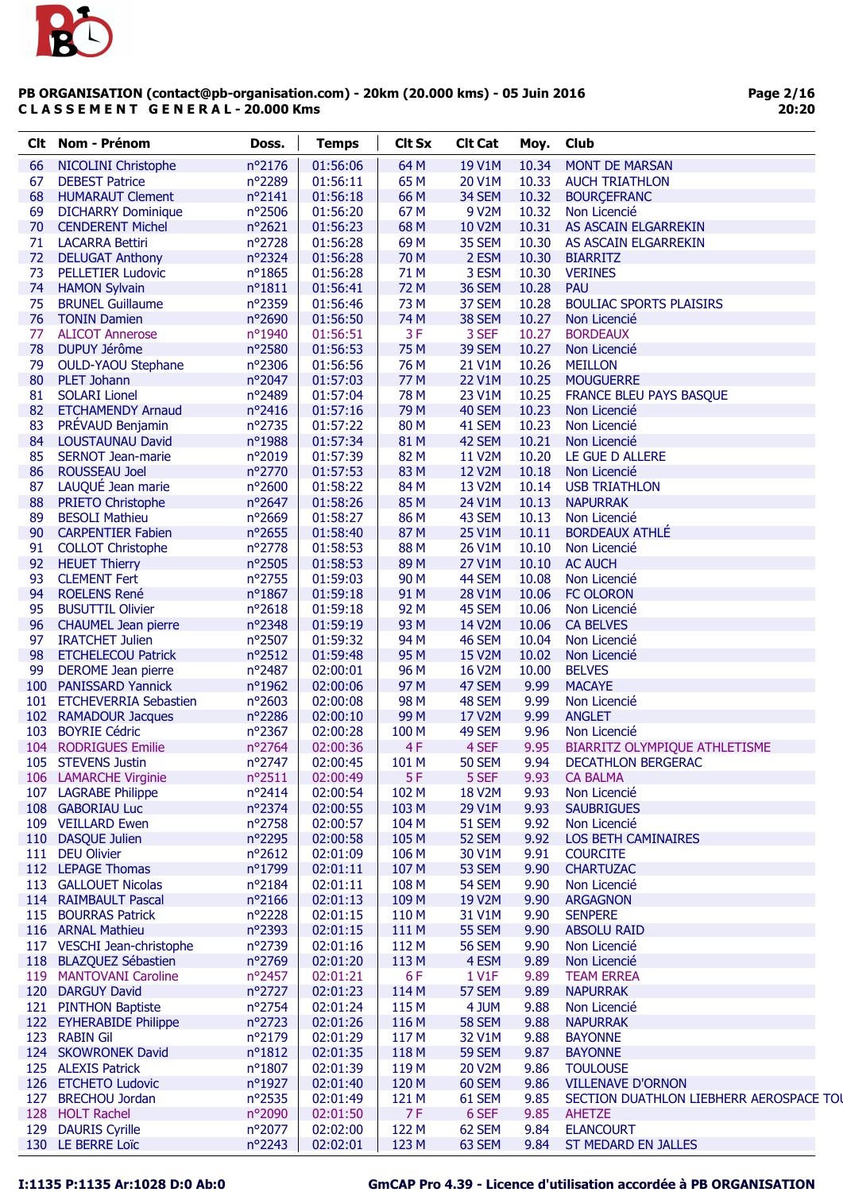

| Clt. | <b>Nom - Prénom</b>          | Doss.            | <b>Temps</b> | <b>Clt Sx</b>    | <b>Clt Cat</b> | Moy.  | <b>Club</b>                             |
|------|------------------------------|------------------|--------------|------------------|----------------|-------|-----------------------------------------|
| 66   | <b>NICOLINI Christophe</b>   | nº2176           | 01:56:06     | 64 M             | 19 V1M         | 10.34 | <b>MONT DE MARSAN</b>                   |
| 67   | <b>DEBEST Patrice</b>        | nº2289           | 01:56:11     | 65 M             | 20 V1M         | 10.33 | <b>AUCH TRIATHLON</b>                   |
| 68   | <b>HUMARAUT Clement</b>      | $n^{\circ}2141$  | 01:56:18     | 66 M             | 34 SEM         | 10.32 | <b>BOURCEFRANC</b>                      |
| 69   | <b>DICHARRY Dominique</b>    | nº2506           | 01:56:20     | 67 M             | 9 V2M          | 10.32 | Non Licencié                            |
| 70   | <b>CENDERENT Michel</b>      | nº2621           | 01:56:23     | 68 M             | 10 V2M         | 10.31 | AS ASCAIN ELGARREKIN                    |
| 71   | <b>LACARRA Bettiri</b>       | nº2728           | 01:56:28     | 69 <sub>M</sub>  | 35 SEM         | 10.30 | AS ASCAIN ELGARREKIN                    |
| 72   | <b>DELUGAT Anthony</b>       | nº2324           | 01:56:28     | 70 M             | 2 ESM          | 10.30 | <b>BIARRITZ</b>                         |
| 73   | <b>PELLETIER Ludovic</b>     | nº1865           | 01:56:28     | 71 M             | 3 ESM          | 10.30 | <b>VERINES</b>                          |
| 74   | <b>HAMON Sylvain</b>         | $n^o$ 1811       | 01:56:41     | 72 M             | 36 SEM         | 10.28 | <b>PAU</b>                              |
| 75   | <b>BRUNEL Guillaume</b>      | n°2359           | 01:56:46     | 73 M             | 37 SEM         | 10.28 | <b>BOULIAC SPORTS PLAISIRS</b>          |
| 76   | <b>TONIN Damien</b>          | nº2690           | 01:56:50     | 74 M             | 38 SEM         | 10.27 | Non Licencié                            |
| 77   | <b>ALICOT Annerose</b>       | nº1940           | 01:56:51     | 3F               | 3 SEF          | 10.27 | <b>BORDEAUX</b>                         |
| 78   | DUPUY Jérôme                 | nº2580           | 01:56:53     | 75 M             | 39 SEM         | 10.27 | Non Licencié                            |
| 79   | <b>OULD-YAOU Stephane</b>    | n°2306           | 01:56:56     | 76 M             | 21 V1M         | 10.26 | <b>MEILLON</b>                          |
| 80   | PLET Johann                  | nº2047           | 01:57:03     | 77 M             | <b>22 V1M</b>  | 10.25 | <b>MOUGUERRE</b>                        |
| 81   | <b>SOLARI Lionel</b>         | nº2489           | 01:57:04     | 78 M             | 23 V1M         | 10.25 | <b>FRANCE BLEU PAYS BASQUE</b>          |
| 82   | <b>ETCHAMENDY Arnaud</b>     | nº2416           | 01:57:16     | 79 M             | 40 SEM         | 10.23 | Non Licencié                            |
| 83   | PRÉVAUD Benjamin             | nº2735           | 01:57:22     | 80 M             | 41 SEM         | 10.23 | Non Licencié                            |
| 84   | LOUSTAUNAU David             | nº1988           | 01:57:34     | 81 M             | 42 SEM         | 10.21 | Non Licencié                            |
| 85   | <b>SERNOT Jean-marie</b>     | n°2019           | 01:57:39     | 82 M             | 11 V2M         | 10.20 | LE GUE D ALLERE                         |
| 86   | <b>ROUSSEAU Joel</b>         | nº2770           | 01:57:53     | 83 M             | 12 V2M         | 10.18 | Non Licencié                            |
|      | LAUQUÉ Jean marie            |                  |              |                  | 13 V2M         | 10.14 |                                         |
| 87   |                              | nº2600           | 01:58:22     | 84 M             |                |       | <b>USB TRIATHLON</b>                    |
| 88   | <b>PRIETO Christophe</b>     | nº2647           | 01:58:26     | 85 M             | 24 V1M         | 10.13 | <b>NAPURRAK</b>                         |
| 89   | <b>BESOLI Mathieu</b>        | nº2669           | 01:58:27     | 86 M             | 43 SEM         | 10.13 | Non Licencié                            |
| 90   | <b>CARPENTIER Fabien</b>     | nº2655           | 01:58:40     | 87 M             | 25 V1M         | 10.11 | <b>BORDEAUX ATHLÉ</b>                   |
| 91   | <b>COLLOT Christophe</b>     | nº2778           | 01:58:53     | 88 M             | 26 V1M         | 10.10 | Non Licencié                            |
| 92   | <b>HEUET Thierry</b>         | nº2505           | 01:58:53     | 89 M             | 27 V1M         | 10.10 | <b>AC AUCH</b>                          |
| 93   | <b>CLEMENT Fert</b>          | n°2755           | 01:59:03     | 90 M             | 44 SEM         | 10.08 | Non Licencié                            |
| 94   | <b>ROELENS René</b>          | nº1867           | 01:59:18     | 91 M             | 28 V1M         | 10.06 | <b>FC OLORON</b>                        |
| 95   | <b>BUSUTTIL Olivier</b>      | nº2618           | 01:59:18     | 92 M             | 45 SEM         | 10.06 | Non Licencié                            |
| 96   | <b>CHAUMEL Jean pierre</b>   | nº2348           | 01:59:19     | 93 M             | 14 V2M         | 10.06 | <b>CA BELVES</b>                        |
| 97   | <b>IRATCHET Julien</b>       | nº2507           | 01:59:32     | 94 M             | 46 SEM         | 10.04 | Non Licencié                            |
| 98   | <b>ETCHELECOU Patrick</b>    | $n^{\circ}2512$  | 01:59:48     | 95 M             | <b>15 V2M</b>  | 10.02 | Non Licencié                            |
| 99   | <b>DEROME</b> Jean pierre    | nº2487           | 02:00:01     | 96 M             | 16 V2M         | 10.00 | <b>BELVES</b>                           |
| 100  | <b>PANISSARD Yannick</b>     | nº1962           | 02:00:06     | 97 M             | 47 SEM         | 9.99  | <b>MACAYE</b>                           |
| 101  | <b>ETCHEVERRIA Sebastien</b> | nº2603           | 02:00:08     | 98 M             | 48 SEM         | 9.99  | Non Licencié                            |
|      | 102 RAMADOUR Jacques         | nº2286           | 02:00:10     | 99 M             | 17 V2M         | 9.99  | <b>ANGLET</b>                           |
| 103  | <b>BOYRIE Cédric</b>         | nº2367           | 02:00:28     | 100 M            | 49 SEM         | 9.96  | Non Licencié                            |
| 104  | <b>RODRIGUES Emilie</b>      | nº2764           | 02:00:36     | 4F               | 4 SEF          | 9.95  | <b>BIARRITZ OLYMPIQUE ATHLETISME</b>    |
| 105  | <b>STEVENS Justin</b>        | $n^{\circ}$ 2747 | 02:00:45     | 101 M            | <b>50 SEM</b>  | 9.94  | <b>DECATHLON BERGERAC</b>               |
|      | 106 LAMARCHE Virginie        | $n^o$ 2511       | 02:00:49     | 5F               | 5 SEF          | 9.93  | <b>CA BALMA</b>                         |
|      | 107 LAGRABE Philippe         | nº2414           | 02:00:54     | 102 M            | <b>18 V2M</b>  | 9.93  | Non Licencié                            |
|      | 108 GABORIAU Luc             | nº2374           | 02:00:55     | 103 M            | 29 V1M         | 9.93  | <b>SAUBRIGUES</b>                       |
|      | 109 VEILLARD Ewen            | nº2758           | 02:00:57     | 104 M            | <b>51 SEM</b>  | 9.92  | Non Licencié                            |
| 110  | <b>DASQUE Julien</b>         | nº2295           | 02:00:58     | 105 M            | 52 SEM         | 9.92  | LOS BETH CAMINAIRES                     |
|      | 111 DEU Olivier              | nº2612           | 02:01:09     | 106 M            | 30 V1M         | 9.91  | <b>COURCITE</b>                         |
|      | 112 LEPAGE Thomas            | nº1799           | 02:01:11     | 107 M            | 53 SEM         | 9.90  | <b>CHARTUZAC</b>                        |
|      | 113 GALLOUET Nicolas         | nº2184           | 02:01:11     | 108 M            | 54 SEM         | 9.90  | Non Licencié                            |
|      | 114 RAIMBAULT Pascal         | nº2166           | 02:01:13     | 109 M            | 19 V2M         | 9.90  | <b>ARGAGNON</b>                         |
| 115  | <b>BOURRAS Patrick</b>       | nº2228           | 02:01:15     | 110 M            | 31 V1M         | 9.90  | <b>SENPERE</b>                          |
|      | 116 ARNAL Mathieu            | n°2393           | 02:01:15     | 111 M            | <b>55 SEM</b>  | 9.90  | <b>ABSOLU RAID</b>                      |
|      | 117 VESCHI Jean-christophe   | nº2739           | 02:01:16     | 112 M            | <b>56 SEM</b>  | 9.90  | Non Licencié                            |
|      | 118 BLAZQUEZ Sébastien       | n°2769           | 02:01:20     | 113 M            | 4 ESM          | 9.89  | Non Licencié                            |
|      | 119 MANTOVANI Caroline       | nº2457           | 02:01:21     | 6F               | 1 V1F          | 9.89  | <b>TEAM ERREA</b>                       |
|      | 120 DARGUY David             | nº2727           | 02:01:23     | 114 M            | 57 SEM         | 9.89  | <b>NAPURRAK</b>                         |
|      | 121 PINTHON Baptiste         | nº2754           | 02:01:24     | 115 M            | 4 JUM          | 9.88  | Non Licencié                            |
|      | 122 EYHERABIDE Philippe      | $n^{\circ}2723$  | 02:01:26     | 116 M            | 58 SEM         | 9.88  | <b>NAPURRAK</b>                         |
|      | 123 RABIN Gil                | nº2179           | 02:01:29     | 117 M            | 32 V1M         | 9.88  | <b>BAYONNE</b>                          |
|      | 124 SKOWRONEK David          | $n^o$ 1812       | 02:01:35     | 118 M            | <b>59 SEM</b>  | 9.87  | <b>BAYONNE</b>                          |
|      | 125 ALEXIS Patrick           | nº1807           | 02:01:39     | 119 <sub>M</sub> | 20 V2M         | 9.86  | <b>TOULOUSE</b>                         |
|      | 126 ETCHETO Ludovic          | nº1927           | 02:01:40     | 120 M            | 60 SEM         | 9.86  | <b>VILLENAVE D'ORNON</b>                |
|      | 127 BRECHOU Jordan           | nº2535           | 02:01:49     | 121 M            | 61 SEM         | 9.85  | SECTION DUATHLON LIEBHERR AEROSPACE TOU |
|      | 128 HOLT Rachel              | nº2090           | 02:01:50     | 7F               | 6 SEF          | 9.85  | <b>AHETZE</b>                           |
|      |                              |                  |              |                  |                |       |                                         |
| 129  | <b>DAURIS Cyrille</b>        | n°2077           | 02:02:00     | 122 M            | 62 SEM         | 9.84  | <b>ELANCOURT</b>                        |
|      | 130 LE BERRE Loïc            | nº2243           | 02:02:01     | 123 M            | 63 SEM         | 9.84  | ST MEDARD EN JALLES                     |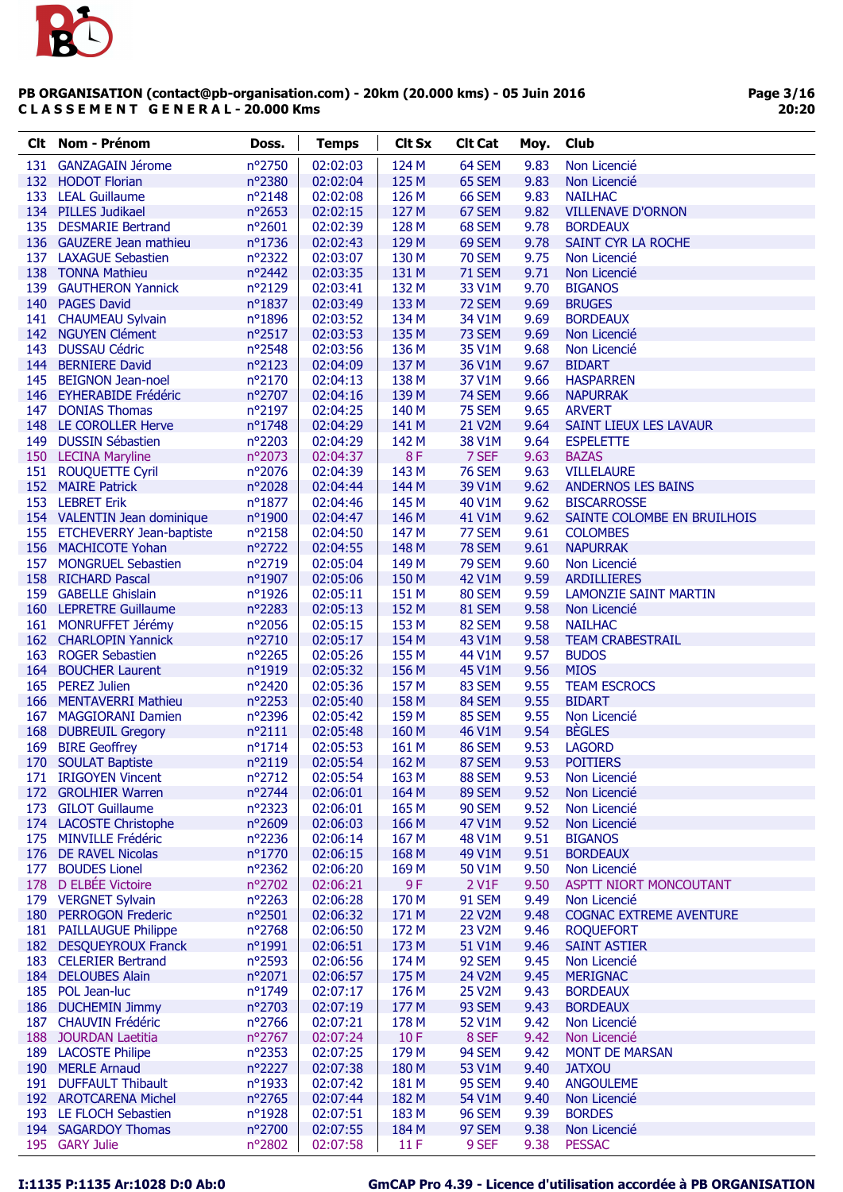

Page 3/16 20:20

| nº2750<br>02:02:03<br>124 M<br>64 SEM<br>9.83<br>131 GANZAGAIN Jérome<br>Non Licencié<br>nº2380<br>125 M<br>65 SEM<br>9.83<br>132 HODOT Florian<br>02:02:04<br>Non Licencié<br>9.83<br>133 LEAL Guillaume<br>$n^{\circ}2148$<br>02:02:08<br>126 M<br>66 SEM<br><b>NAILHAC</b><br>134 PILLES Judikael<br>nº2653<br>127 M<br>9.82<br>02:02:15<br>67 SEM<br><b>VILLENAVE D'ORNON</b><br>135 DESMARIE Bertrand<br>nº2601<br>02:02:39<br>128 M<br>68 SEM<br>9.78<br><b>BORDEAUX</b><br>nº1736<br>136 GAUZERE Jean mathieu<br>02:02:43<br>129 M<br>69 SEM<br>9.78<br>SAINT CYR LA ROCHE<br>nº2322<br>130 M<br><b>70 SEM</b><br>9.75<br>137 LAXAGUE Sebastien<br>02:03:07<br>Non Licencié<br>nº2442<br><b>71 SEM</b><br>138 TONNA Mathieu<br>02:03:35<br>131 M<br>9.71<br>Non Licencié<br>n°2129<br>132 M<br>139 GAUTHERON Yannick<br>02:03:41<br>33 V1M<br>9.70<br><b>BIGANOS</b><br>140 PAGES David<br>nº1837<br>02:03:49<br>133 M<br>72 SEM<br>9.69<br><b>BRUGES</b><br>141 CHAUMEAU Sylvain<br>nº1896<br>134 M<br>34 V1M<br>9.69<br><b>BORDEAUX</b><br>02:03:52<br>142 NGUYEN Clément<br>nº2517<br>135 M<br>73 SEM<br>9.69<br>02:03:53<br>Non Licencié<br>nº2548<br>143<br><b>DUSSAU Cédric</b><br>02:03:56<br>136 M<br>35 V1M<br>9.68<br>Non Licencié<br>144 BERNIERE David<br>nº2123<br>137 M<br>02:04:09<br>36 V1M<br>9.67<br><b>BIDART</b><br>nº2170<br>02:04:13<br>138 M<br>37 V1M<br>9.66<br>145 BEIGNON Jean-noel<br><b>HASPARREN</b><br>nº2707<br>146 EYHERABIDE Frédéric<br>02:04:16<br>139 M<br>74 SEM<br>9.66<br><b>NAPURRAK</b><br>nº2197<br>140 M<br>75 SEM<br>9.65<br>147 DONIAS Thomas<br>02:04:25<br><b>ARVERT</b><br>nº1748<br>21 V2M<br>148 LE COROLLER Herve<br>02:04:29<br>141 M<br>9.64<br>SAINT LIEUX LES LAVAUR<br>n°2203<br>142 M<br>149 DUSSIN Sébastien<br>02:04:29<br>38 V1M<br>9.64<br><b>ESPELETTE</b><br>8F<br>150 LECINA Maryline<br>nº2073<br>7 SEF<br>9.63<br><b>BAZAS</b><br>02:04:37<br>151 ROUQUETTE Cyril<br>nº2076<br>143 M<br><b>76 SEM</b><br>9.63<br><b>VILLELAURE</b><br>02:04:39<br>152 MAIRE Patrick<br>nº2028<br>144 M<br>39 V1M<br>9.62<br><b>ANDERNOS LES BAINS</b><br>02:04:44<br>153 LEBRET Erik<br>nº1877<br>02:04:46<br>145 M<br>40 V1M<br>9.62<br><b>BISCARROSSE</b><br>146 M<br>154 VALENTIN Jean dominique<br>nº1900<br>02:04:47<br>41 V1M<br>9.62<br>SAINTE COLOMBE EN BRUILHOIS<br>nº2158<br>77 SEM<br>9.61<br>155 ETCHEVERRY Jean-baptiste<br>02:04:50<br>147 M<br><b>COLOMBES</b><br>nº2722<br>156 MACHICOTE Yohan<br>148 M<br><b>78 SEM</b><br>9.61<br>02:04:55<br><b>NAPURRAK</b><br>157 MONGRUEL Sebastien<br>n°2719<br>149 M<br><b>79 SEM</b><br>9.60<br>02:05:04<br>Non Licencié<br>nº1907<br>150 M<br>9.59<br>158 RICHARD Pascal<br>02:05:06<br>42 V1M<br><b>ARDILLIERES</b><br>151 M<br>159 GABELLE Ghislain<br>nº1926<br>02:05:11<br>80 SEM<br>9.59<br><b>LAMONZIE SAINT MARTIN</b><br>160 LEPRETRE Guillaume<br>nº2283<br>02:05:13<br>152 M<br>81 SEM<br>9.58<br>Non Licencié<br>161 MONRUFFET Jérémy<br>nº2056<br>153 M<br>82 SEM<br>9.58<br>02:05:15<br><b>NAILHAC</b><br>162 CHARLOPIN Yannick<br>nº2710<br>154 M<br>43 V1M<br>9.58<br><b>TEAM CRABESTRAIL</b><br>02:05:17<br>nº2265<br>9.57<br>163 ROGER Sebastien<br>02:05:26<br>155 M<br>44 V1M<br><b>BUDOS</b><br>164 BOUCHER Laurent<br>156 M<br>nº1919<br>02:05:32<br>45 V1M<br>9.56<br><b>MIOS</b><br>165 PEREZ Julien<br>nº2420<br>02:05:36<br>157 M<br>83 SEM<br>9.55<br><b>TEAM ESCROCS</b><br>nº2253<br>166 MENTAVERRI Mathieu<br>02:05:40<br>158 M<br>84 SEM<br>9.55<br><b>BIDART</b><br>nº2396<br>159 M<br>167<br>02:05:42<br>85 SEM<br>9.55<br>Non Licencié<br><b>MAGGIORANI Damien</b><br>9.54<br><b>BEGLES</b><br>168<br><b>DUBREUIL Gregory</b><br>$n^{\circ}2111$<br>02:05:48<br>160 M<br>46 V1M<br>169<br><b>BIRE Geoffrey</b><br>$n^o$ 1714<br>9.53<br>02:05:53<br>161 M<br>86 SEM<br><b>LAGORD</b><br>n°2119<br>170 SOULAT Baptiste<br>02:05:54<br>162 M<br>87 SEM<br>9.53<br><b>POITIERS</b><br>171 IRIGOYEN Vincent<br>nº2712<br>02:05:54<br>163 M<br>88 SEM<br>9.53<br>Non Licencié<br>nº2744<br>164 M<br>89 SEM<br>9.52<br>172 GROLHIER Warren<br>02:06:01<br>Non Licencié<br>173 GILOT Guillaume<br>nº2323<br>02:06:01<br>165 M<br><b>90 SEM</b><br>9.52<br>Non Licencié<br>174 LACOSTE Christophe<br>nº2609<br>166 M<br>02:06:03<br>47 V1M<br>9.52<br>Non Licencié<br>175 MINVILLE Frédéric<br>nº2236<br>02:06:14<br>167 M<br><b>48 V1M</b><br>9.51<br><b>BIGANOS</b><br>176 DE RAVEL Nicolas<br>nº1770<br>168 M<br>9.51<br>02:06:15<br>49 V1M<br><b>BORDEAUX</b><br>177<br><b>BOUDES Lionel</b><br>$n^{\circ}2362$<br>02:06:20<br>169 M<br>50 V1M<br>9.50<br>Non Licencié<br>178<br>D ELBÉE Victoire<br>nº2702<br>9F<br>02:06:21<br>2 V1F<br>9.50<br><b>ASPTT NIORT MONCOUTANT</b><br>179 VERGNET Sylvain<br>nº2263<br>170 M<br>91 SEM<br>02:06:28<br>9.49<br>Non Licencié<br>180 PERROGON Frederic<br>nº2501<br>171 M<br>02:06:32<br><b>22 V2M</b><br>9.48<br><b>COGNAC EXTREME AVENTURE</b><br>181 PAILLAUGUE Philippe<br>nº2768<br>172 M<br>02:06:50<br>23 V2M<br>9.46<br><b>ROQUEFORT</b><br>nº1991<br>173 M<br>182 DESQUEYROUX Franck<br>02:06:51<br>51 V1M<br>9.46<br><b>SAINT ASTIER</b><br>183 CELERIER Bertrand<br>nº2593<br>02:06:56<br>174 M<br>92 SEM<br>9.45<br>Non Licencié<br>184 DELOUBES Alain<br>nº2071<br>175 M<br>24 V2M<br>02:06:57<br>9.45<br><b>MERIGNAC</b><br>185 POL Jean-luc<br>nº1749<br>02:07:17<br>176 M<br><b>25 V2M</b><br><b>BORDEAUX</b><br>9.43<br>186 DUCHEMIN Jimmy<br>nº2703<br>177 M<br>93 SEM<br>02:07:19<br>9.43<br><b>BORDEAUX</b><br>178 M<br>187 CHAUVIN Frédéric<br>$n^{\circ}$ 2766<br>02:07:21<br>52 V1M<br>9.42<br>Non Licencié<br>nº2767<br>10F<br>8 SEF<br>188 JOURDAN Laetitia<br>02:07:24<br>9.42<br>Non Licencié<br>nº2353<br>179 M<br>189 LACOSTE Philipe<br>02:07:25<br>94 SEM<br>9.42<br><b>MONT DE MARSAN</b><br>190 MERLE Arnaud<br>nº2227<br>02:07:38<br>180 M<br>53 V1M<br>9.40<br><b>JATXOU</b><br>nº1933<br>181 M<br>95 SEM<br>191 DUFFAULT Thibault<br>02:07:42<br>9.40<br><b>ANGOULEME</b><br>nº2765<br>182 M<br>192 AROTCARENA Michel<br>02:07:44<br>54 V1M<br>9.40<br>Non Licencié<br>193 LE FLOCH Sebastien<br>nº1928<br>02:07:51<br>183 M<br><b>96 SEM</b><br>9.39<br><b>BORDES</b><br>nº2700<br>184 M<br>97 SEM<br>194 SAGARDOY Thomas<br>02:07:55<br>9.38<br>Non Licencié<br>195 GARY Julie | Clt | Nom - Prénom | Doss.  | <b>Temps</b> | <b>Clt Sx</b> | <b>Clt Cat</b> | Moy. | Club          |
|------------------------------------------------------------------------------------------------------------------------------------------------------------------------------------------------------------------------------------------------------------------------------------------------------------------------------------------------------------------------------------------------------------------------------------------------------------------------------------------------------------------------------------------------------------------------------------------------------------------------------------------------------------------------------------------------------------------------------------------------------------------------------------------------------------------------------------------------------------------------------------------------------------------------------------------------------------------------------------------------------------------------------------------------------------------------------------------------------------------------------------------------------------------------------------------------------------------------------------------------------------------------------------------------------------------------------------------------------------------------------------------------------------------------------------------------------------------------------------------------------------------------------------------------------------------------------------------------------------------------------------------------------------------------------------------------------------------------------------------------------------------------------------------------------------------------------------------------------------------------------------------------------------------------------------------------------------------------------------------------------------------------------------------------------------------------------------------------------------------------------------------------------------------------------------------------------------------------------------------------------------------------------------------------------------------------------------------------------------------------------------------------------------------------------------------------------------------------------------------------------------------------------------------------------------------------------------------------------------------------------------------------------------------------------------------------------------------------------------------------------------------------------------------------------------------------------------------------------------------------------------------------------------------------------------------------------------------------------------------------------------------------------------------------------------------------------------------------------------------------------------------------------------------------------------------------------------------------------------------------------------------------------------------------------------------------------------------------------------------------------------------------------------------------------------------------------------------------------------------------------------------------------------------------------------------------------------------------------------------------------------------------------------------------------------------------------------------------------------------------------------------------------------------------------------------------------------------------------------------------------------------------------------------------------------------------------------------------------------------------------------------------------------------------------------------------------------------------------------------------------------------------------------------------------------------------------------------------------------------------------------------------------------------------------------------------------------------------------------------------------------------------------------------------------------------------------------------------------------------------------------------------------------------------------------------------------------------------------------------------------------------------------------------------------------------------------------------------------------------------------------------------------------------------------------------------------------------------------------------------------------------------------------------------------------------------------------------------------------------------------------------------------------------------------------------------------------------------------------------------------------------------------------------------------------------------------------------------------------------------------------------------------------------------------------------------------------------------------------------------------------------------------------------------------------------------------------------------------------------------------------------------------------------------------------------------------------------------------------------------------------------------------------------------------------------------------------------------------------------------------------------------------------------------------------------------------------------------------------------------------------------------------------------------------------------------------------------------------------------------------------------------------------------------------------------------------------------------------------------------------------------------------------------------------------------------------------------------------------------------------------------------------------------------------------------|-----|--------------|--------|--------------|---------------|----------------|------|---------------|
|                                                                                                                                                                                                                                                                                                                                                                                                                                                                                                                                                                                                                                                                                                                                                                                                                                                                                                                                                                                                                                                                                                                                                                                                                                                                                                                                                                                                                                                                                                                                                                                                                                                                                                                                                                                                                                                                                                                                                                                                                                                                                                                                                                                                                                                                                                                                                                                                                                                                                                                                                                                                                                                                                                                                                                                                                                                                                                                                                                                                                                                                                                                                                                                                                                                                                                                                                                                                                                                                                                                                                                                                                                                                                                                                                                                                                                                                                                                                                                                                                                                                                                                                                                                                                                                                                                                                                                                                                                                                                                                                                                                                                                                                                                                                                                                                                                                                                                                                                                                                                                                                                                                                                                                                                                                                                                                                                                                                                                                                                                                                                                                                                                                                                                                                                                                                                                                                                                                                                                                                                                                                                                                                                                                                                                                                                                                  |     |              |        |              |               |                |      |               |
|                                                                                                                                                                                                                                                                                                                                                                                                                                                                                                                                                                                                                                                                                                                                                                                                                                                                                                                                                                                                                                                                                                                                                                                                                                                                                                                                                                                                                                                                                                                                                                                                                                                                                                                                                                                                                                                                                                                                                                                                                                                                                                                                                                                                                                                                                                                                                                                                                                                                                                                                                                                                                                                                                                                                                                                                                                                                                                                                                                                                                                                                                                                                                                                                                                                                                                                                                                                                                                                                                                                                                                                                                                                                                                                                                                                                                                                                                                                                                                                                                                                                                                                                                                                                                                                                                                                                                                                                                                                                                                                                                                                                                                                                                                                                                                                                                                                                                                                                                                                                                                                                                                                                                                                                                                                                                                                                                                                                                                                                                                                                                                                                                                                                                                                                                                                                                                                                                                                                                                                                                                                                                                                                                                                                                                                                                                                  |     |              |        |              |               |                |      |               |
|                                                                                                                                                                                                                                                                                                                                                                                                                                                                                                                                                                                                                                                                                                                                                                                                                                                                                                                                                                                                                                                                                                                                                                                                                                                                                                                                                                                                                                                                                                                                                                                                                                                                                                                                                                                                                                                                                                                                                                                                                                                                                                                                                                                                                                                                                                                                                                                                                                                                                                                                                                                                                                                                                                                                                                                                                                                                                                                                                                                                                                                                                                                                                                                                                                                                                                                                                                                                                                                                                                                                                                                                                                                                                                                                                                                                                                                                                                                                                                                                                                                                                                                                                                                                                                                                                                                                                                                                                                                                                                                                                                                                                                                                                                                                                                                                                                                                                                                                                                                                                                                                                                                                                                                                                                                                                                                                                                                                                                                                                                                                                                                                                                                                                                                                                                                                                                                                                                                                                                                                                                                                                                                                                                                                                                                                                                                  |     |              |        |              |               |                |      |               |
|                                                                                                                                                                                                                                                                                                                                                                                                                                                                                                                                                                                                                                                                                                                                                                                                                                                                                                                                                                                                                                                                                                                                                                                                                                                                                                                                                                                                                                                                                                                                                                                                                                                                                                                                                                                                                                                                                                                                                                                                                                                                                                                                                                                                                                                                                                                                                                                                                                                                                                                                                                                                                                                                                                                                                                                                                                                                                                                                                                                                                                                                                                                                                                                                                                                                                                                                                                                                                                                                                                                                                                                                                                                                                                                                                                                                                                                                                                                                                                                                                                                                                                                                                                                                                                                                                                                                                                                                                                                                                                                                                                                                                                                                                                                                                                                                                                                                                                                                                                                                                                                                                                                                                                                                                                                                                                                                                                                                                                                                                                                                                                                                                                                                                                                                                                                                                                                                                                                                                                                                                                                                                                                                                                                                                                                                                                                  |     |              |        |              |               |                |      |               |
|                                                                                                                                                                                                                                                                                                                                                                                                                                                                                                                                                                                                                                                                                                                                                                                                                                                                                                                                                                                                                                                                                                                                                                                                                                                                                                                                                                                                                                                                                                                                                                                                                                                                                                                                                                                                                                                                                                                                                                                                                                                                                                                                                                                                                                                                                                                                                                                                                                                                                                                                                                                                                                                                                                                                                                                                                                                                                                                                                                                                                                                                                                                                                                                                                                                                                                                                                                                                                                                                                                                                                                                                                                                                                                                                                                                                                                                                                                                                                                                                                                                                                                                                                                                                                                                                                                                                                                                                                                                                                                                                                                                                                                                                                                                                                                                                                                                                                                                                                                                                                                                                                                                                                                                                                                                                                                                                                                                                                                                                                                                                                                                                                                                                                                                                                                                                                                                                                                                                                                                                                                                                                                                                                                                                                                                                                                                  |     |              |        |              |               |                |      |               |
|                                                                                                                                                                                                                                                                                                                                                                                                                                                                                                                                                                                                                                                                                                                                                                                                                                                                                                                                                                                                                                                                                                                                                                                                                                                                                                                                                                                                                                                                                                                                                                                                                                                                                                                                                                                                                                                                                                                                                                                                                                                                                                                                                                                                                                                                                                                                                                                                                                                                                                                                                                                                                                                                                                                                                                                                                                                                                                                                                                                                                                                                                                                                                                                                                                                                                                                                                                                                                                                                                                                                                                                                                                                                                                                                                                                                                                                                                                                                                                                                                                                                                                                                                                                                                                                                                                                                                                                                                                                                                                                                                                                                                                                                                                                                                                                                                                                                                                                                                                                                                                                                                                                                                                                                                                                                                                                                                                                                                                                                                                                                                                                                                                                                                                                                                                                                                                                                                                                                                                                                                                                                                                                                                                                                                                                                                                                  |     |              |        |              |               |                |      |               |
|                                                                                                                                                                                                                                                                                                                                                                                                                                                                                                                                                                                                                                                                                                                                                                                                                                                                                                                                                                                                                                                                                                                                                                                                                                                                                                                                                                                                                                                                                                                                                                                                                                                                                                                                                                                                                                                                                                                                                                                                                                                                                                                                                                                                                                                                                                                                                                                                                                                                                                                                                                                                                                                                                                                                                                                                                                                                                                                                                                                                                                                                                                                                                                                                                                                                                                                                                                                                                                                                                                                                                                                                                                                                                                                                                                                                                                                                                                                                                                                                                                                                                                                                                                                                                                                                                                                                                                                                                                                                                                                                                                                                                                                                                                                                                                                                                                                                                                                                                                                                                                                                                                                                                                                                                                                                                                                                                                                                                                                                                                                                                                                                                                                                                                                                                                                                                                                                                                                                                                                                                                                                                                                                                                                                                                                                                                                  |     |              |        |              |               |                |      |               |
|                                                                                                                                                                                                                                                                                                                                                                                                                                                                                                                                                                                                                                                                                                                                                                                                                                                                                                                                                                                                                                                                                                                                                                                                                                                                                                                                                                                                                                                                                                                                                                                                                                                                                                                                                                                                                                                                                                                                                                                                                                                                                                                                                                                                                                                                                                                                                                                                                                                                                                                                                                                                                                                                                                                                                                                                                                                                                                                                                                                                                                                                                                                                                                                                                                                                                                                                                                                                                                                                                                                                                                                                                                                                                                                                                                                                                                                                                                                                                                                                                                                                                                                                                                                                                                                                                                                                                                                                                                                                                                                                                                                                                                                                                                                                                                                                                                                                                                                                                                                                                                                                                                                                                                                                                                                                                                                                                                                                                                                                                                                                                                                                                                                                                                                                                                                                                                                                                                                                                                                                                                                                                                                                                                                                                                                                                                                  |     |              |        |              |               |                |      |               |
|                                                                                                                                                                                                                                                                                                                                                                                                                                                                                                                                                                                                                                                                                                                                                                                                                                                                                                                                                                                                                                                                                                                                                                                                                                                                                                                                                                                                                                                                                                                                                                                                                                                                                                                                                                                                                                                                                                                                                                                                                                                                                                                                                                                                                                                                                                                                                                                                                                                                                                                                                                                                                                                                                                                                                                                                                                                                                                                                                                                                                                                                                                                                                                                                                                                                                                                                                                                                                                                                                                                                                                                                                                                                                                                                                                                                                                                                                                                                                                                                                                                                                                                                                                                                                                                                                                                                                                                                                                                                                                                                                                                                                                                                                                                                                                                                                                                                                                                                                                                                                                                                                                                                                                                                                                                                                                                                                                                                                                                                                                                                                                                                                                                                                                                                                                                                                                                                                                                                                                                                                                                                                                                                                                                                                                                                                                                  |     |              |        |              |               |                |      |               |
|                                                                                                                                                                                                                                                                                                                                                                                                                                                                                                                                                                                                                                                                                                                                                                                                                                                                                                                                                                                                                                                                                                                                                                                                                                                                                                                                                                                                                                                                                                                                                                                                                                                                                                                                                                                                                                                                                                                                                                                                                                                                                                                                                                                                                                                                                                                                                                                                                                                                                                                                                                                                                                                                                                                                                                                                                                                                                                                                                                                                                                                                                                                                                                                                                                                                                                                                                                                                                                                                                                                                                                                                                                                                                                                                                                                                                                                                                                                                                                                                                                                                                                                                                                                                                                                                                                                                                                                                                                                                                                                                                                                                                                                                                                                                                                                                                                                                                                                                                                                                                                                                                                                                                                                                                                                                                                                                                                                                                                                                                                                                                                                                                                                                                                                                                                                                                                                                                                                                                                                                                                                                                                                                                                                                                                                                                                                  |     |              |        |              |               |                |      |               |
|                                                                                                                                                                                                                                                                                                                                                                                                                                                                                                                                                                                                                                                                                                                                                                                                                                                                                                                                                                                                                                                                                                                                                                                                                                                                                                                                                                                                                                                                                                                                                                                                                                                                                                                                                                                                                                                                                                                                                                                                                                                                                                                                                                                                                                                                                                                                                                                                                                                                                                                                                                                                                                                                                                                                                                                                                                                                                                                                                                                                                                                                                                                                                                                                                                                                                                                                                                                                                                                                                                                                                                                                                                                                                                                                                                                                                                                                                                                                                                                                                                                                                                                                                                                                                                                                                                                                                                                                                                                                                                                                                                                                                                                                                                                                                                                                                                                                                                                                                                                                                                                                                                                                                                                                                                                                                                                                                                                                                                                                                                                                                                                                                                                                                                                                                                                                                                                                                                                                                                                                                                                                                                                                                                                                                                                                                                                  |     |              |        |              |               |                |      |               |
|                                                                                                                                                                                                                                                                                                                                                                                                                                                                                                                                                                                                                                                                                                                                                                                                                                                                                                                                                                                                                                                                                                                                                                                                                                                                                                                                                                                                                                                                                                                                                                                                                                                                                                                                                                                                                                                                                                                                                                                                                                                                                                                                                                                                                                                                                                                                                                                                                                                                                                                                                                                                                                                                                                                                                                                                                                                                                                                                                                                                                                                                                                                                                                                                                                                                                                                                                                                                                                                                                                                                                                                                                                                                                                                                                                                                                                                                                                                                                                                                                                                                                                                                                                                                                                                                                                                                                                                                                                                                                                                                                                                                                                                                                                                                                                                                                                                                                                                                                                                                                                                                                                                                                                                                                                                                                                                                                                                                                                                                                                                                                                                                                                                                                                                                                                                                                                                                                                                                                                                                                                                                                                                                                                                                                                                                                                                  |     |              |        |              |               |                |      |               |
|                                                                                                                                                                                                                                                                                                                                                                                                                                                                                                                                                                                                                                                                                                                                                                                                                                                                                                                                                                                                                                                                                                                                                                                                                                                                                                                                                                                                                                                                                                                                                                                                                                                                                                                                                                                                                                                                                                                                                                                                                                                                                                                                                                                                                                                                                                                                                                                                                                                                                                                                                                                                                                                                                                                                                                                                                                                                                                                                                                                                                                                                                                                                                                                                                                                                                                                                                                                                                                                                                                                                                                                                                                                                                                                                                                                                                                                                                                                                                                                                                                                                                                                                                                                                                                                                                                                                                                                                                                                                                                                                                                                                                                                                                                                                                                                                                                                                                                                                                                                                                                                                                                                                                                                                                                                                                                                                                                                                                                                                                                                                                                                                                                                                                                                                                                                                                                                                                                                                                                                                                                                                                                                                                                                                                                                                                                                  |     |              |        |              |               |                |      |               |
|                                                                                                                                                                                                                                                                                                                                                                                                                                                                                                                                                                                                                                                                                                                                                                                                                                                                                                                                                                                                                                                                                                                                                                                                                                                                                                                                                                                                                                                                                                                                                                                                                                                                                                                                                                                                                                                                                                                                                                                                                                                                                                                                                                                                                                                                                                                                                                                                                                                                                                                                                                                                                                                                                                                                                                                                                                                                                                                                                                                                                                                                                                                                                                                                                                                                                                                                                                                                                                                                                                                                                                                                                                                                                                                                                                                                                                                                                                                                                                                                                                                                                                                                                                                                                                                                                                                                                                                                                                                                                                                                                                                                                                                                                                                                                                                                                                                                                                                                                                                                                                                                                                                                                                                                                                                                                                                                                                                                                                                                                                                                                                                                                                                                                                                                                                                                                                                                                                                                                                                                                                                                                                                                                                                                                                                                                                                  |     |              |        |              |               |                |      |               |
|                                                                                                                                                                                                                                                                                                                                                                                                                                                                                                                                                                                                                                                                                                                                                                                                                                                                                                                                                                                                                                                                                                                                                                                                                                                                                                                                                                                                                                                                                                                                                                                                                                                                                                                                                                                                                                                                                                                                                                                                                                                                                                                                                                                                                                                                                                                                                                                                                                                                                                                                                                                                                                                                                                                                                                                                                                                                                                                                                                                                                                                                                                                                                                                                                                                                                                                                                                                                                                                                                                                                                                                                                                                                                                                                                                                                                                                                                                                                                                                                                                                                                                                                                                                                                                                                                                                                                                                                                                                                                                                                                                                                                                                                                                                                                                                                                                                                                                                                                                                                                                                                                                                                                                                                                                                                                                                                                                                                                                                                                                                                                                                                                                                                                                                                                                                                                                                                                                                                                                                                                                                                                                                                                                                                                                                                                                                  |     |              |        |              |               |                |      |               |
|                                                                                                                                                                                                                                                                                                                                                                                                                                                                                                                                                                                                                                                                                                                                                                                                                                                                                                                                                                                                                                                                                                                                                                                                                                                                                                                                                                                                                                                                                                                                                                                                                                                                                                                                                                                                                                                                                                                                                                                                                                                                                                                                                                                                                                                                                                                                                                                                                                                                                                                                                                                                                                                                                                                                                                                                                                                                                                                                                                                                                                                                                                                                                                                                                                                                                                                                                                                                                                                                                                                                                                                                                                                                                                                                                                                                                                                                                                                                                                                                                                                                                                                                                                                                                                                                                                                                                                                                                                                                                                                                                                                                                                                                                                                                                                                                                                                                                                                                                                                                                                                                                                                                                                                                                                                                                                                                                                                                                                                                                                                                                                                                                                                                                                                                                                                                                                                                                                                                                                                                                                                                                                                                                                                                                                                                                                                  |     |              |        |              |               |                |      |               |
|                                                                                                                                                                                                                                                                                                                                                                                                                                                                                                                                                                                                                                                                                                                                                                                                                                                                                                                                                                                                                                                                                                                                                                                                                                                                                                                                                                                                                                                                                                                                                                                                                                                                                                                                                                                                                                                                                                                                                                                                                                                                                                                                                                                                                                                                                                                                                                                                                                                                                                                                                                                                                                                                                                                                                                                                                                                                                                                                                                                                                                                                                                                                                                                                                                                                                                                                                                                                                                                                                                                                                                                                                                                                                                                                                                                                                                                                                                                                                                                                                                                                                                                                                                                                                                                                                                                                                                                                                                                                                                                                                                                                                                                                                                                                                                                                                                                                                                                                                                                                                                                                                                                                                                                                                                                                                                                                                                                                                                                                                                                                                                                                                                                                                                                                                                                                                                                                                                                                                                                                                                                                                                                                                                                                                                                                                                                  |     |              |        |              |               |                |      |               |
|                                                                                                                                                                                                                                                                                                                                                                                                                                                                                                                                                                                                                                                                                                                                                                                                                                                                                                                                                                                                                                                                                                                                                                                                                                                                                                                                                                                                                                                                                                                                                                                                                                                                                                                                                                                                                                                                                                                                                                                                                                                                                                                                                                                                                                                                                                                                                                                                                                                                                                                                                                                                                                                                                                                                                                                                                                                                                                                                                                                                                                                                                                                                                                                                                                                                                                                                                                                                                                                                                                                                                                                                                                                                                                                                                                                                                                                                                                                                                                                                                                                                                                                                                                                                                                                                                                                                                                                                                                                                                                                                                                                                                                                                                                                                                                                                                                                                                                                                                                                                                                                                                                                                                                                                                                                                                                                                                                                                                                                                                                                                                                                                                                                                                                                                                                                                                                                                                                                                                                                                                                                                                                                                                                                                                                                                                                                  |     |              |        |              |               |                |      |               |
|                                                                                                                                                                                                                                                                                                                                                                                                                                                                                                                                                                                                                                                                                                                                                                                                                                                                                                                                                                                                                                                                                                                                                                                                                                                                                                                                                                                                                                                                                                                                                                                                                                                                                                                                                                                                                                                                                                                                                                                                                                                                                                                                                                                                                                                                                                                                                                                                                                                                                                                                                                                                                                                                                                                                                                                                                                                                                                                                                                                                                                                                                                                                                                                                                                                                                                                                                                                                                                                                                                                                                                                                                                                                                                                                                                                                                                                                                                                                                                                                                                                                                                                                                                                                                                                                                                                                                                                                                                                                                                                                                                                                                                                                                                                                                                                                                                                                                                                                                                                                                                                                                                                                                                                                                                                                                                                                                                                                                                                                                                                                                                                                                                                                                                                                                                                                                                                                                                                                                                                                                                                                                                                                                                                                                                                                                                                  |     |              |        |              |               |                |      |               |
|                                                                                                                                                                                                                                                                                                                                                                                                                                                                                                                                                                                                                                                                                                                                                                                                                                                                                                                                                                                                                                                                                                                                                                                                                                                                                                                                                                                                                                                                                                                                                                                                                                                                                                                                                                                                                                                                                                                                                                                                                                                                                                                                                                                                                                                                                                                                                                                                                                                                                                                                                                                                                                                                                                                                                                                                                                                                                                                                                                                                                                                                                                                                                                                                                                                                                                                                                                                                                                                                                                                                                                                                                                                                                                                                                                                                                                                                                                                                                                                                                                                                                                                                                                                                                                                                                                                                                                                                                                                                                                                                                                                                                                                                                                                                                                                                                                                                                                                                                                                                                                                                                                                                                                                                                                                                                                                                                                                                                                                                                                                                                                                                                                                                                                                                                                                                                                                                                                                                                                                                                                                                                                                                                                                                                                                                                                                  |     |              |        |              |               |                |      |               |
|                                                                                                                                                                                                                                                                                                                                                                                                                                                                                                                                                                                                                                                                                                                                                                                                                                                                                                                                                                                                                                                                                                                                                                                                                                                                                                                                                                                                                                                                                                                                                                                                                                                                                                                                                                                                                                                                                                                                                                                                                                                                                                                                                                                                                                                                                                                                                                                                                                                                                                                                                                                                                                                                                                                                                                                                                                                                                                                                                                                                                                                                                                                                                                                                                                                                                                                                                                                                                                                                                                                                                                                                                                                                                                                                                                                                                                                                                                                                                                                                                                                                                                                                                                                                                                                                                                                                                                                                                                                                                                                                                                                                                                                                                                                                                                                                                                                                                                                                                                                                                                                                                                                                                                                                                                                                                                                                                                                                                                                                                                                                                                                                                                                                                                                                                                                                                                                                                                                                                                                                                                                                                                                                                                                                                                                                                                                  |     |              |        |              |               |                |      |               |
|                                                                                                                                                                                                                                                                                                                                                                                                                                                                                                                                                                                                                                                                                                                                                                                                                                                                                                                                                                                                                                                                                                                                                                                                                                                                                                                                                                                                                                                                                                                                                                                                                                                                                                                                                                                                                                                                                                                                                                                                                                                                                                                                                                                                                                                                                                                                                                                                                                                                                                                                                                                                                                                                                                                                                                                                                                                                                                                                                                                                                                                                                                                                                                                                                                                                                                                                                                                                                                                                                                                                                                                                                                                                                                                                                                                                                                                                                                                                                                                                                                                                                                                                                                                                                                                                                                                                                                                                                                                                                                                                                                                                                                                                                                                                                                                                                                                                                                                                                                                                                                                                                                                                                                                                                                                                                                                                                                                                                                                                                                                                                                                                                                                                                                                                                                                                                                                                                                                                                                                                                                                                                                                                                                                                                                                                                                                  |     |              |        |              |               |                |      |               |
|                                                                                                                                                                                                                                                                                                                                                                                                                                                                                                                                                                                                                                                                                                                                                                                                                                                                                                                                                                                                                                                                                                                                                                                                                                                                                                                                                                                                                                                                                                                                                                                                                                                                                                                                                                                                                                                                                                                                                                                                                                                                                                                                                                                                                                                                                                                                                                                                                                                                                                                                                                                                                                                                                                                                                                                                                                                                                                                                                                                                                                                                                                                                                                                                                                                                                                                                                                                                                                                                                                                                                                                                                                                                                                                                                                                                                                                                                                                                                                                                                                                                                                                                                                                                                                                                                                                                                                                                                                                                                                                                                                                                                                                                                                                                                                                                                                                                                                                                                                                                                                                                                                                                                                                                                                                                                                                                                                                                                                                                                                                                                                                                                                                                                                                                                                                                                                                                                                                                                                                                                                                                                                                                                                                                                                                                                                                  |     |              |        |              |               |                |      |               |
|                                                                                                                                                                                                                                                                                                                                                                                                                                                                                                                                                                                                                                                                                                                                                                                                                                                                                                                                                                                                                                                                                                                                                                                                                                                                                                                                                                                                                                                                                                                                                                                                                                                                                                                                                                                                                                                                                                                                                                                                                                                                                                                                                                                                                                                                                                                                                                                                                                                                                                                                                                                                                                                                                                                                                                                                                                                                                                                                                                                                                                                                                                                                                                                                                                                                                                                                                                                                                                                                                                                                                                                                                                                                                                                                                                                                                                                                                                                                                                                                                                                                                                                                                                                                                                                                                                                                                                                                                                                                                                                                                                                                                                                                                                                                                                                                                                                                                                                                                                                                                                                                                                                                                                                                                                                                                                                                                                                                                                                                                                                                                                                                                                                                                                                                                                                                                                                                                                                                                                                                                                                                                                                                                                                                                                                                                                                  |     |              |        |              |               |                |      |               |
|                                                                                                                                                                                                                                                                                                                                                                                                                                                                                                                                                                                                                                                                                                                                                                                                                                                                                                                                                                                                                                                                                                                                                                                                                                                                                                                                                                                                                                                                                                                                                                                                                                                                                                                                                                                                                                                                                                                                                                                                                                                                                                                                                                                                                                                                                                                                                                                                                                                                                                                                                                                                                                                                                                                                                                                                                                                                                                                                                                                                                                                                                                                                                                                                                                                                                                                                                                                                                                                                                                                                                                                                                                                                                                                                                                                                                                                                                                                                                                                                                                                                                                                                                                                                                                                                                                                                                                                                                                                                                                                                                                                                                                                                                                                                                                                                                                                                                                                                                                                                                                                                                                                                                                                                                                                                                                                                                                                                                                                                                                                                                                                                                                                                                                                                                                                                                                                                                                                                                                                                                                                                                                                                                                                                                                                                                                                  |     |              |        |              |               |                |      |               |
|                                                                                                                                                                                                                                                                                                                                                                                                                                                                                                                                                                                                                                                                                                                                                                                                                                                                                                                                                                                                                                                                                                                                                                                                                                                                                                                                                                                                                                                                                                                                                                                                                                                                                                                                                                                                                                                                                                                                                                                                                                                                                                                                                                                                                                                                                                                                                                                                                                                                                                                                                                                                                                                                                                                                                                                                                                                                                                                                                                                                                                                                                                                                                                                                                                                                                                                                                                                                                                                                                                                                                                                                                                                                                                                                                                                                                                                                                                                                                                                                                                                                                                                                                                                                                                                                                                                                                                                                                                                                                                                                                                                                                                                                                                                                                                                                                                                                                                                                                                                                                                                                                                                                                                                                                                                                                                                                                                                                                                                                                                                                                                                                                                                                                                                                                                                                                                                                                                                                                                                                                                                                                                                                                                                                                                                                                                                  |     |              |        |              |               |                |      |               |
|                                                                                                                                                                                                                                                                                                                                                                                                                                                                                                                                                                                                                                                                                                                                                                                                                                                                                                                                                                                                                                                                                                                                                                                                                                                                                                                                                                                                                                                                                                                                                                                                                                                                                                                                                                                                                                                                                                                                                                                                                                                                                                                                                                                                                                                                                                                                                                                                                                                                                                                                                                                                                                                                                                                                                                                                                                                                                                                                                                                                                                                                                                                                                                                                                                                                                                                                                                                                                                                                                                                                                                                                                                                                                                                                                                                                                                                                                                                                                                                                                                                                                                                                                                                                                                                                                                                                                                                                                                                                                                                                                                                                                                                                                                                                                                                                                                                                                                                                                                                                                                                                                                                                                                                                                                                                                                                                                                                                                                                                                                                                                                                                                                                                                                                                                                                                                                                                                                                                                                                                                                                                                                                                                                                                                                                                                                                  |     |              |        |              |               |                |      |               |
|                                                                                                                                                                                                                                                                                                                                                                                                                                                                                                                                                                                                                                                                                                                                                                                                                                                                                                                                                                                                                                                                                                                                                                                                                                                                                                                                                                                                                                                                                                                                                                                                                                                                                                                                                                                                                                                                                                                                                                                                                                                                                                                                                                                                                                                                                                                                                                                                                                                                                                                                                                                                                                                                                                                                                                                                                                                                                                                                                                                                                                                                                                                                                                                                                                                                                                                                                                                                                                                                                                                                                                                                                                                                                                                                                                                                                                                                                                                                                                                                                                                                                                                                                                                                                                                                                                                                                                                                                                                                                                                                                                                                                                                                                                                                                                                                                                                                                                                                                                                                                                                                                                                                                                                                                                                                                                                                                                                                                                                                                                                                                                                                                                                                                                                                                                                                                                                                                                                                                                                                                                                                                                                                                                                                                                                                                                                  |     |              |        |              |               |                |      |               |
|                                                                                                                                                                                                                                                                                                                                                                                                                                                                                                                                                                                                                                                                                                                                                                                                                                                                                                                                                                                                                                                                                                                                                                                                                                                                                                                                                                                                                                                                                                                                                                                                                                                                                                                                                                                                                                                                                                                                                                                                                                                                                                                                                                                                                                                                                                                                                                                                                                                                                                                                                                                                                                                                                                                                                                                                                                                                                                                                                                                                                                                                                                                                                                                                                                                                                                                                                                                                                                                                                                                                                                                                                                                                                                                                                                                                                                                                                                                                                                                                                                                                                                                                                                                                                                                                                                                                                                                                                                                                                                                                                                                                                                                                                                                                                                                                                                                                                                                                                                                                                                                                                                                                                                                                                                                                                                                                                                                                                                                                                                                                                                                                                                                                                                                                                                                                                                                                                                                                                                                                                                                                                                                                                                                                                                                                                                                  |     |              |        |              |               |                |      |               |
|                                                                                                                                                                                                                                                                                                                                                                                                                                                                                                                                                                                                                                                                                                                                                                                                                                                                                                                                                                                                                                                                                                                                                                                                                                                                                                                                                                                                                                                                                                                                                                                                                                                                                                                                                                                                                                                                                                                                                                                                                                                                                                                                                                                                                                                                                                                                                                                                                                                                                                                                                                                                                                                                                                                                                                                                                                                                                                                                                                                                                                                                                                                                                                                                                                                                                                                                                                                                                                                                                                                                                                                                                                                                                                                                                                                                                                                                                                                                                                                                                                                                                                                                                                                                                                                                                                                                                                                                                                                                                                                                                                                                                                                                                                                                                                                                                                                                                                                                                                                                                                                                                                                                                                                                                                                                                                                                                                                                                                                                                                                                                                                                                                                                                                                                                                                                                                                                                                                                                                                                                                                                                                                                                                                                                                                                                                                  |     |              |        |              |               |                |      |               |
|                                                                                                                                                                                                                                                                                                                                                                                                                                                                                                                                                                                                                                                                                                                                                                                                                                                                                                                                                                                                                                                                                                                                                                                                                                                                                                                                                                                                                                                                                                                                                                                                                                                                                                                                                                                                                                                                                                                                                                                                                                                                                                                                                                                                                                                                                                                                                                                                                                                                                                                                                                                                                                                                                                                                                                                                                                                                                                                                                                                                                                                                                                                                                                                                                                                                                                                                                                                                                                                                                                                                                                                                                                                                                                                                                                                                                                                                                                                                                                                                                                                                                                                                                                                                                                                                                                                                                                                                                                                                                                                                                                                                                                                                                                                                                                                                                                                                                                                                                                                                                                                                                                                                                                                                                                                                                                                                                                                                                                                                                                                                                                                                                                                                                                                                                                                                                                                                                                                                                                                                                                                                                                                                                                                                                                                                                                                  |     |              |        |              |               |                |      |               |
|                                                                                                                                                                                                                                                                                                                                                                                                                                                                                                                                                                                                                                                                                                                                                                                                                                                                                                                                                                                                                                                                                                                                                                                                                                                                                                                                                                                                                                                                                                                                                                                                                                                                                                                                                                                                                                                                                                                                                                                                                                                                                                                                                                                                                                                                                                                                                                                                                                                                                                                                                                                                                                                                                                                                                                                                                                                                                                                                                                                                                                                                                                                                                                                                                                                                                                                                                                                                                                                                                                                                                                                                                                                                                                                                                                                                                                                                                                                                                                                                                                                                                                                                                                                                                                                                                                                                                                                                                                                                                                                                                                                                                                                                                                                                                                                                                                                                                                                                                                                                                                                                                                                                                                                                                                                                                                                                                                                                                                                                                                                                                                                                                                                                                                                                                                                                                                                                                                                                                                                                                                                                                                                                                                                                                                                                                                                  |     |              |        |              |               |                |      |               |
|                                                                                                                                                                                                                                                                                                                                                                                                                                                                                                                                                                                                                                                                                                                                                                                                                                                                                                                                                                                                                                                                                                                                                                                                                                                                                                                                                                                                                                                                                                                                                                                                                                                                                                                                                                                                                                                                                                                                                                                                                                                                                                                                                                                                                                                                                                                                                                                                                                                                                                                                                                                                                                                                                                                                                                                                                                                                                                                                                                                                                                                                                                                                                                                                                                                                                                                                                                                                                                                                                                                                                                                                                                                                                                                                                                                                                                                                                                                                                                                                                                                                                                                                                                                                                                                                                                                                                                                                                                                                                                                                                                                                                                                                                                                                                                                                                                                                                                                                                                                                                                                                                                                                                                                                                                                                                                                                                                                                                                                                                                                                                                                                                                                                                                                                                                                                                                                                                                                                                                                                                                                                                                                                                                                                                                                                                                                  |     |              |        |              |               |                |      |               |
|                                                                                                                                                                                                                                                                                                                                                                                                                                                                                                                                                                                                                                                                                                                                                                                                                                                                                                                                                                                                                                                                                                                                                                                                                                                                                                                                                                                                                                                                                                                                                                                                                                                                                                                                                                                                                                                                                                                                                                                                                                                                                                                                                                                                                                                                                                                                                                                                                                                                                                                                                                                                                                                                                                                                                                                                                                                                                                                                                                                                                                                                                                                                                                                                                                                                                                                                                                                                                                                                                                                                                                                                                                                                                                                                                                                                                                                                                                                                                                                                                                                                                                                                                                                                                                                                                                                                                                                                                                                                                                                                                                                                                                                                                                                                                                                                                                                                                                                                                                                                                                                                                                                                                                                                                                                                                                                                                                                                                                                                                                                                                                                                                                                                                                                                                                                                                                                                                                                                                                                                                                                                                                                                                                                                                                                                                                                  |     |              |        |              |               |                |      |               |
|                                                                                                                                                                                                                                                                                                                                                                                                                                                                                                                                                                                                                                                                                                                                                                                                                                                                                                                                                                                                                                                                                                                                                                                                                                                                                                                                                                                                                                                                                                                                                                                                                                                                                                                                                                                                                                                                                                                                                                                                                                                                                                                                                                                                                                                                                                                                                                                                                                                                                                                                                                                                                                                                                                                                                                                                                                                                                                                                                                                                                                                                                                                                                                                                                                                                                                                                                                                                                                                                                                                                                                                                                                                                                                                                                                                                                                                                                                                                                                                                                                                                                                                                                                                                                                                                                                                                                                                                                                                                                                                                                                                                                                                                                                                                                                                                                                                                                                                                                                                                                                                                                                                                                                                                                                                                                                                                                                                                                                                                                                                                                                                                                                                                                                                                                                                                                                                                                                                                                                                                                                                                                                                                                                                                                                                                                                                  |     |              |        |              |               |                |      |               |
|                                                                                                                                                                                                                                                                                                                                                                                                                                                                                                                                                                                                                                                                                                                                                                                                                                                                                                                                                                                                                                                                                                                                                                                                                                                                                                                                                                                                                                                                                                                                                                                                                                                                                                                                                                                                                                                                                                                                                                                                                                                                                                                                                                                                                                                                                                                                                                                                                                                                                                                                                                                                                                                                                                                                                                                                                                                                                                                                                                                                                                                                                                                                                                                                                                                                                                                                                                                                                                                                                                                                                                                                                                                                                                                                                                                                                                                                                                                                                                                                                                                                                                                                                                                                                                                                                                                                                                                                                                                                                                                                                                                                                                                                                                                                                                                                                                                                                                                                                                                                                                                                                                                                                                                                                                                                                                                                                                                                                                                                                                                                                                                                                                                                                                                                                                                                                                                                                                                                                                                                                                                                                                                                                                                                                                                                                                                  |     |              |        |              |               |                |      |               |
|                                                                                                                                                                                                                                                                                                                                                                                                                                                                                                                                                                                                                                                                                                                                                                                                                                                                                                                                                                                                                                                                                                                                                                                                                                                                                                                                                                                                                                                                                                                                                                                                                                                                                                                                                                                                                                                                                                                                                                                                                                                                                                                                                                                                                                                                                                                                                                                                                                                                                                                                                                                                                                                                                                                                                                                                                                                                                                                                                                                                                                                                                                                                                                                                                                                                                                                                                                                                                                                                                                                                                                                                                                                                                                                                                                                                                                                                                                                                                                                                                                                                                                                                                                                                                                                                                                                                                                                                                                                                                                                                                                                                                                                                                                                                                                                                                                                                                                                                                                                                                                                                                                                                                                                                                                                                                                                                                                                                                                                                                                                                                                                                                                                                                                                                                                                                                                                                                                                                                                                                                                                                                                                                                                                                                                                                                                                  |     |              |        |              |               |                |      |               |
|                                                                                                                                                                                                                                                                                                                                                                                                                                                                                                                                                                                                                                                                                                                                                                                                                                                                                                                                                                                                                                                                                                                                                                                                                                                                                                                                                                                                                                                                                                                                                                                                                                                                                                                                                                                                                                                                                                                                                                                                                                                                                                                                                                                                                                                                                                                                                                                                                                                                                                                                                                                                                                                                                                                                                                                                                                                                                                                                                                                                                                                                                                                                                                                                                                                                                                                                                                                                                                                                                                                                                                                                                                                                                                                                                                                                                                                                                                                                                                                                                                                                                                                                                                                                                                                                                                                                                                                                                                                                                                                                                                                                                                                                                                                                                                                                                                                                                                                                                                                                                                                                                                                                                                                                                                                                                                                                                                                                                                                                                                                                                                                                                                                                                                                                                                                                                                                                                                                                                                                                                                                                                                                                                                                                                                                                                                                  |     |              |        |              |               |                |      |               |
|                                                                                                                                                                                                                                                                                                                                                                                                                                                                                                                                                                                                                                                                                                                                                                                                                                                                                                                                                                                                                                                                                                                                                                                                                                                                                                                                                                                                                                                                                                                                                                                                                                                                                                                                                                                                                                                                                                                                                                                                                                                                                                                                                                                                                                                                                                                                                                                                                                                                                                                                                                                                                                                                                                                                                                                                                                                                                                                                                                                                                                                                                                                                                                                                                                                                                                                                                                                                                                                                                                                                                                                                                                                                                                                                                                                                                                                                                                                                                                                                                                                                                                                                                                                                                                                                                                                                                                                                                                                                                                                                                                                                                                                                                                                                                                                                                                                                                                                                                                                                                                                                                                                                                                                                                                                                                                                                                                                                                                                                                                                                                                                                                                                                                                                                                                                                                                                                                                                                                                                                                                                                                                                                                                                                                                                                                                                  |     |              |        |              |               |                |      |               |
|                                                                                                                                                                                                                                                                                                                                                                                                                                                                                                                                                                                                                                                                                                                                                                                                                                                                                                                                                                                                                                                                                                                                                                                                                                                                                                                                                                                                                                                                                                                                                                                                                                                                                                                                                                                                                                                                                                                                                                                                                                                                                                                                                                                                                                                                                                                                                                                                                                                                                                                                                                                                                                                                                                                                                                                                                                                                                                                                                                                                                                                                                                                                                                                                                                                                                                                                                                                                                                                                                                                                                                                                                                                                                                                                                                                                                                                                                                                                                                                                                                                                                                                                                                                                                                                                                                                                                                                                                                                                                                                                                                                                                                                                                                                                                                                                                                                                                                                                                                                                                                                                                                                                                                                                                                                                                                                                                                                                                                                                                                                                                                                                                                                                                                                                                                                                                                                                                                                                                                                                                                                                                                                                                                                                                                                                                                                  |     |              |        |              |               |                |      |               |
|                                                                                                                                                                                                                                                                                                                                                                                                                                                                                                                                                                                                                                                                                                                                                                                                                                                                                                                                                                                                                                                                                                                                                                                                                                                                                                                                                                                                                                                                                                                                                                                                                                                                                                                                                                                                                                                                                                                                                                                                                                                                                                                                                                                                                                                                                                                                                                                                                                                                                                                                                                                                                                                                                                                                                                                                                                                                                                                                                                                                                                                                                                                                                                                                                                                                                                                                                                                                                                                                                                                                                                                                                                                                                                                                                                                                                                                                                                                                                                                                                                                                                                                                                                                                                                                                                                                                                                                                                                                                                                                                                                                                                                                                                                                                                                                                                                                                                                                                                                                                                                                                                                                                                                                                                                                                                                                                                                                                                                                                                                                                                                                                                                                                                                                                                                                                                                                                                                                                                                                                                                                                                                                                                                                                                                                                                                                  |     |              |        |              |               |                |      |               |
|                                                                                                                                                                                                                                                                                                                                                                                                                                                                                                                                                                                                                                                                                                                                                                                                                                                                                                                                                                                                                                                                                                                                                                                                                                                                                                                                                                                                                                                                                                                                                                                                                                                                                                                                                                                                                                                                                                                                                                                                                                                                                                                                                                                                                                                                                                                                                                                                                                                                                                                                                                                                                                                                                                                                                                                                                                                                                                                                                                                                                                                                                                                                                                                                                                                                                                                                                                                                                                                                                                                                                                                                                                                                                                                                                                                                                                                                                                                                                                                                                                                                                                                                                                                                                                                                                                                                                                                                                                                                                                                                                                                                                                                                                                                                                                                                                                                                                                                                                                                                                                                                                                                                                                                                                                                                                                                                                                                                                                                                                                                                                                                                                                                                                                                                                                                                                                                                                                                                                                                                                                                                                                                                                                                                                                                                                                                  |     |              |        |              |               |                |      |               |
|                                                                                                                                                                                                                                                                                                                                                                                                                                                                                                                                                                                                                                                                                                                                                                                                                                                                                                                                                                                                                                                                                                                                                                                                                                                                                                                                                                                                                                                                                                                                                                                                                                                                                                                                                                                                                                                                                                                                                                                                                                                                                                                                                                                                                                                                                                                                                                                                                                                                                                                                                                                                                                                                                                                                                                                                                                                                                                                                                                                                                                                                                                                                                                                                                                                                                                                                                                                                                                                                                                                                                                                                                                                                                                                                                                                                                                                                                                                                                                                                                                                                                                                                                                                                                                                                                                                                                                                                                                                                                                                                                                                                                                                                                                                                                                                                                                                                                                                                                                                                                                                                                                                                                                                                                                                                                                                                                                                                                                                                                                                                                                                                                                                                                                                                                                                                                                                                                                                                                                                                                                                                                                                                                                                                                                                                                                                  |     |              |        |              |               |                |      |               |
|                                                                                                                                                                                                                                                                                                                                                                                                                                                                                                                                                                                                                                                                                                                                                                                                                                                                                                                                                                                                                                                                                                                                                                                                                                                                                                                                                                                                                                                                                                                                                                                                                                                                                                                                                                                                                                                                                                                                                                                                                                                                                                                                                                                                                                                                                                                                                                                                                                                                                                                                                                                                                                                                                                                                                                                                                                                                                                                                                                                                                                                                                                                                                                                                                                                                                                                                                                                                                                                                                                                                                                                                                                                                                                                                                                                                                                                                                                                                                                                                                                                                                                                                                                                                                                                                                                                                                                                                                                                                                                                                                                                                                                                                                                                                                                                                                                                                                                                                                                                                                                                                                                                                                                                                                                                                                                                                                                                                                                                                                                                                                                                                                                                                                                                                                                                                                                                                                                                                                                                                                                                                                                                                                                                                                                                                                                                  |     |              |        |              |               |                |      |               |
|                                                                                                                                                                                                                                                                                                                                                                                                                                                                                                                                                                                                                                                                                                                                                                                                                                                                                                                                                                                                                                                                                                                                                                                                                                                                                                                                                                                                                                                                                                                                                                                                                                                                                                                                                                                                                                                                                                                                                                                                                                                                                                                                                                                                                                                                                                                                                                                                                                                                                                                                                                                                                                                                                                                                                                                                                                                                                                                                                                                                                                                                                                                                                                                                                                                                                                                                                                                                                                                                                                                                                                                                                                                                                                                                                                                                                                                                                                                                                                                                                                                                                                                                                                                                                                                                                                                                                                                                                                                                                                                                                                                                                                                                                                                                                                                                                                                                                                                                                                                                                                                                                                                                                                                                                                                                                                                                                                                                                                                                                                                                                                                                                                                                                                                                                                                                                                                                                                                                                                                                                                                                                                                                                                                                                                                                                                                  |     |              |        |              |               |                |      |               |
|                                                                                                                                                                                                                                                                                                                                                                                                                                                                                                                                                                                                                                                                                                                                                                                                                                                                                                                                                                                                                                                                                                                                                                                                                                                                                                                                                                                                                                                                                                                                                                                                                                                                                                                                                                                                                                                                                                                                                                                                                                                                                                                                                                                                                                                                                                                                                                                                                                                                                                                                                                                                                                                                                                                                                                                                                                                                                                                                                                                                                                                                                                                                                                                                                                                                                                                                                                                                                                                                                                                                                                                                                                                                                                                                                                                                                                                                                                                                                                                                                                                                                                                                                                                                                                                                                                                                                                                                                                                                                                                                                                                                                                                                                                                                                                                                                                                                                                                                                                                                                                                                                                                                                                                                                                                                                                                                                                                                                                                                                                                                                                                                                                                                                                                                                                                                                                                                                                                                                                                                                                                                                                                                                                                                                                                                                                                  |     |              |        |              |               |                |      |               |
|                                                                                                                                                                                                                                                                                                                                                                                                                                                                                                                                                                                                                                                                                                                                                                                                                                                                                                                                                                                                                                                                                                                                                                                                                                                                                                                                                                                                                                                                                                                                                                                                                                                                                                                                                                                                                                                                                                                                                                                                                                                                                                                                                                                                                                                                                                                                                                                                                                                                                                                                                                                                                                                                                                                                                                                                                                                                                                                                                                                                                                                                                                                                                                                                                                                                                                                                                                                                                                                                                                                                                                                                                                                                                                                                                                                                                                                                                                                                                                                                                                                                                                                                                                                                                                                                                                                                                                                                                                                                                                                                                                                                                                                                                                                                                                                                                                                                                                                                                                                                                                                                                                                                                                                                                                                                                                                                                                                                                                                                                                                                                                                                                                                                                                                                                                                                                                                                                                                                                                                                                                                                                                                                                                                                                                                                                                                  |     |              |        |              |               |                |      |               |
|                                                                                                                                                                                                                                                                                                                                                                                                                                                                                                                                                                                                                                                                                                                                                                                                                                                                                                                                                                                                                                                                                                                                                                                                                                                                                                                                                                                                                                                                                                                                                                                                                                                                                                                                                                                                                                                                                                                                                                                                                                                                                                                                                                                                                                                                                                                                                                                                                                                                                                                                                                                                                                                                                                                                                                                                                                                                                                                                                                                                                                                                                                                                                                                                                                                                                                                                                                                                                                                                                                                                                                                                                                                                                                                                                                                                                                                                                                                                                                                                                                                                                                                                                                                                                                                                                                                                                                                                                                                                                                                                                                                                                                                                                                                                                                                                                                                                                                                                                                                                                                                                                                                                                                                                                                                                                                                                                                                                                                                                                                                                                                                                                                                                                                                                                                                                                                                                                                                                                                                                                                                                                                                                                                                                                                                                                                                  |     |              |        |              |               |                |      |               |
|                                                                                                                                                                                                                                                                                                                                                                                                                                                                                                                                                                                                                                                                                                                                                                                                                                                                                                                                                                                                                                                                                                                                                                                                                                                                                                                                                                                                                                                                                                                                                                                                                                                                                                                                                                                                                                                                                                                                                                                                                                                                                                                                                                                                                                                                                                                                                                                                                                                                                                                                                                                                                                                                                                                                                                                                                                                                                                                                                                                                                                                                                                                                                                                                                                                                                                                                                                                                                                                                                                                                                                                                                                                                                                                                                                                                                                                                                                                                                                                                                                                                                                                                                                                                                                                                                                                                                                                                                                                                                                                                                                                                                                                                                                                                                                                                                                                                                                                                                                                                                                                                                                                                                                                                                                                                                                                                                                                                                                                                                                                                                                                                                                                                                                                                                                                                                                                                                                                                                                                                                                                                                                                                                                                                                                                                                                                  |     |              |        |              |               |                |      |               |
|                                                                                                                                                                                                                                                                                                                                                                                                                                                                                                                                                                                                                                                                                                                                                                                                                                                                                                                                                                                                                                                                                                                                                                                                                                                                                                                                                                                                                                                                                                                                                                                                                                                                                                                                                                                                                                                                                                                                                                                                                                                                                                                                                                                                                                                                                                                                                                                                                                                                                                                                                                                                                                                                                                                                                                                                                                                                                                                                                                                                                                                                                                                                                                                                                                                                                                                                                                                                                                                                                                                                                                                                                                                                                                                                                                                                                                                                                                                                                                                                                                                                                                                                                                                                                                                                                                                                                                                                                                                                                                                                                                                                                                                                                                                                                                                                                                                                                                                                                                                                                                                                                                                                                                                                                                                                                                                                                                                                                                                                                                                                                                                                                                                                                                                                                                                                                                                                                                                                                                                                                                                                                                                                                                                                                                                                                                                  |     |              |        |              |               |                |      |               |
|                                                                                                                                                                                                                                                                                                                                                                                                                                                                                                                                                                                                                                                                                                                                                                                                                                                                                                                                                                                                                                                                                                                                                                                                                                                                                                                                                                                                                                                                                                                                                                                                                                                                                                                                                                                                                                                                                                                                                                                                                                                                                                                                                                                                                                                                                                                                                                                                                                                                                                                                                                                                                                                                                                                                                                                                                                                                                                                                                                                                                                                                                                                                                                                                                                                                                                                                                                                                                                                                                                                                                                                                                                                                                                                                                                                                                                                                                                                                                                                                                                                                                                                                                                                                                                                                                                                                                                                                                                                                                                                                                                                                                                                                                                                                                                                                                                                                                                                                                                                                                                                                                                                                                                                                                                                                                                                                                                                                                                                                                                                                                                                                                                                                                                                                                                                                                                                                                                                                                                                                                                                                                                                                                                                                                                                                                                                  |     |              |        |              |               |                |      |               |
|                                                                                                                                                                                                                                                                                                                                                                                                                                                                                                                                                                                                                                                                                                                                                                                                                                                                                                                                                                                                                                                                                                                                                                                                                                                                                                                                                                                                                                                                                                                                                                                                                                                                                                                                                                                                                                                                                                                                                                                                                                                                                                                                                                                                                                                                                                                                                                                                                                                                                                                                                                                                                                                                                                                                                                                                                                                                                                                                                                                                                                                                                                                                                                                                                                                                                                                                                                                                                                                                                                                                                                                                                                                                                                                                                                                                                                                                                                                                                                                                                                                                                                                                                                                                                                                                                                                                                                                                                                                                                                                                                                                                                                                                                                                                                                                                                                                                                                                                                                                                                                                                                                                                                                                                                                                                                                                                                                                                                                                                                                                                                                                                                                                                                                                                                                                                                                                                                                                                                                                                                                                                                                                                                                                                                                                                                                                  |     |              |        |              |               |                |      |               |
|                                                                                                                                                                                                                                                                                                                                                                                                                                                                                                                                                                                                                                                                                                                                                                                                                                                                                                                                                                                                                                                                                                                                                                                                                                                                                                                                                                                                                                                                                                                                                                                                                                                                                                                                                                                                                                                                                                                                                                                                                                                                                                                                                                                                                                                                                                                                                                                                                                                                                                                                                                                                                                                                                                                                                                                                                                                                                                                                                                                                                                                                                                                                                                                                                                                                                                                                                                                                                                                                                                                                                                                                                                                                                                                                                                                                                                                                                                                                                                                                                                                                                                                                                                                                                                                                                                                                                                                                                                                                                                                                                                                                                                                                                                                                                                                                                                                                                                                                                                                                                                                                                                                                                                                                                                                                                                                                                                                                                                                                                                                                                                                                                                                                                                                                                                                                                                                                                                                                                                                                                                                                                                                                                                                                                                                                                                                  |     |              |        |              |               |                |      |               |
|                                                                                                                                                                                                                                                                                                                                                                                                                                                                                                                                                                                                                                                                                                                                                                                                                                                                                                                                                                                                                                                                                                                                                                                                                                                                                                                                                                                                                                                                                                                                                                                                                                                                                                                                                                                                                                                                                                                                                                                                                                                                                                                                                                                                                                                                                                                                                                                                                                                                                                                                                                                                                                                                                                                                                                                                                                                                                                                                                                                                                                                                                                                                                                                                                                                                                                                                                                                                                                                                                                                                                                                                                                                                                                                                                                                                                                                                                                                                                                                                                                                                                                                                                                                                                                                                                                                                                                                                                                                                                                                                                                                                                                                                                                                                                                                                                                                                                                                                                                                                                                                                                                                                                                                                                                                                                                                                                                                                                                                                                                                                                                                                                                                                                                                                                                                                                                                                                                                                                                                                                                                                                                                                                                                                                                                                                                                  |     |              |        |              |               |                |      |               |
|                                                                                                                                                                                                                                                                                                                                                                                                                                                                                                                                                                                                                                                                                                                                                                                                                                                                                                                                                                                                                                                                                                                                                                                                                                                                                                                                                                                                                                                                                                                                                                                                                                                                                                                                                                                                                                                                                                                                                                                                                                                                                                                                                                                                                                                                                                                                                                                                                                                                                                                                                                                                                                                                                                                                                                                                                                                                                                                                                                                                                                                                                                                                                                                                                                                                                                                                                                                                                                                                                                                                                                                                                                                                                                                                                                                                                                                                                                                                                                                                                                                                                                                                                                                                                                                                                                                                                                                                                                                                                                                                                                                                                                                                                                                                                                                                                                                                                                                                                                                                                                                                                                                                                                                                                                                                                                                                                                                                                                                                                                                                                                                                                                                                                                                                                                                                                                                                                                                                                                                                                                                                                                                                                                                                                                                                                                                  |     |              |        |              |               |                |      |               |
|                                                                                                                                                                                                                                                                                                                                                                                                                                                                                                                                                                                                                                                                                                                                                                                                                                                                                                                                                                                                                                                                                                                                                                                                                                                                                                                                                                                                                                                                                                                                                                                                                                                                                                                                                                                                                                                                                                                                                                                                                                                                                                                                                                                                                                                                                                                                                                                                                                                                                                                                                                                                                                                                                                                                                                                                                                                                                                                                                                                                                                                                                                                                                                                                                                                                                                                                                                                                                                                                                                                                                                                                                                                                                                                                                                                                                                                                                                                                                                                                                                                                                                                                                                                                                                                                                                                                                                                                                                                                                                                                                                                                                                                                                                                                                                                                                                                                                                                                                                                                                                                                                                                                                                                                                                                                                                                                                                                                                                                                                                                                                                                                                                                                                                                                                                                                                                                                                                                                                                                                                                                                                                                                                                                                                                                                                                                  |     |              |        |              |               |                |      |               |
|                                                                                                                                                                                                                                                                                                                                                                                                                                                                                                                                                                                                                                                                                                                                                                                                                                                                                                                                                                                                                                                                                                                                                                                                                                                                                                                                                                                                                                                                                                                                                                                                                                                                                                                                                                                                                                                                                                                                                                                                                                                                                                                                                                                                                                                                                                                                                                                                                                                                                                                                                                                                                                                                                                                                                                                                                                                                                                                                                                                                                                                                                                                                                                                                                                                                                                                                                                                                                                                                                                                                                                                                                                                                                                                                                                                                                                                                                                                                                                                                                                                                                                                                                                                                                                                                                                                                                                                                                                                                                                                                                                                                                                                                                                                                                                                                                                                                                                                                                                                                                                                                                                                                                                                                                                                                                                                                                                                                                                                                                                                                                                                                                                                                                                                                                                                                                                                                                                                                                                                                                                                                                                                                                                                                                                                                                                                  |     |              |        |              |               |                |      |               |
|                                                                                                                                                                                                                                                                                                                                                                                                                                                                                                                                                                                                                                                                                                                                                                                                                                                                                                                                                                                                                                                                                                                                                                                                                                                                                                                                                                                                                                                                                                                                                                                                                                                                                                                                                                                                                                                                                                                                                                                                                                                                                                                                                                                                                                                                                                                                                                                                                                                                                                                                                                                                                                                                                                                                                                                                                                                                                                                                                                                                                                                                                                                                                                                                                                                                                                                                                                                                                                                                                                                                                                                                                                                                                                                                                                                                                                                                                                                                                                                                                                                                                                                                                                                                                                                                                                                                                                                                                                                                                                                                                                                                                                                                                                                                                                                                                                                                                                                                                                                                                                                                                                                                                                                                                                                                                                                                                                                                                                                                                                                                                                                                                                                                                                                                                                                                                                                                                                                                                                                                                                                                                                                                                                                                                                                                                                                  |     |              |        |              |               |                |      |               |
|                                                                                                                                                                                                                                                                                                                                                                                                                                                                                                                                                                                                                                                                                                                                                                                                                                                                                                                                                                                                                                                                                                                                                                                                                                                                                                                                                                                                                                                                                                                                                                                                                                                                                                                                                                                                                                                                                                                                                                                                                                                                                                                                                                                                                                                                                                                                                                                                                                                                                                                                                                                                                                                                                                                                                                                                                                                                                                                                                                                                                                                                                                                                                                                                                                                                                                                                                                                                                                                                                                                                                                                                                                                                                                                                                                                                                                                                                                                                                                                                                                                                                                                                                                                                                                                                                                                                                                                                                                                                                                                                                                                                                                                                                                                                                                                                                                                                                                                                                                                                                                                                                                                                                                                                                                                                                                                                                                                                                                                                                                                                                                                                                                                                                                                                                                                                                                                                                                                                                                                                                                                                                                                                                                                                                                                                                                                  |     |              |        |              |               |                |      |               |
|                                                                                                                                                                                                                                                                                                                                                                                                                                                                                                                                                                                                                                                                                                                                                                                                                                                                                                                                                                                                                                                                                                                                                                                                                                                                                                                                                                                                                                                                                                                                                                                                                                                                                                                                                                                                                                                                                                                                                                                                                                                                                                                                                                                                                                                                                                                                                                                                                                                                                                                                                                                                                                                                                                                                                                                                                                                                                                                                                                                                                                                                                                                                                                                                                                                                                                                                                                                                                                                                                                                                                                                                                                                                                                                                                                                                                                                                                                                                                                                                                                                                                                                                                                                                                                                                                                                                                                                                                                                                                                                                                                                                                                                                                                                                                                                                                                                                                                                                                                                                                                                                                                                                                                                                                                                                                                                                                                                                                                                                                                                                                                                                                                                                                                                                                                                                                                                                                                                                                                                                                                                                                                                                                                                                                                                                                                                  |     |              |        |              |               |                |      |               |
|                                                                                                                                                                                                                                                                                                                                                                                                                                                                                                                                                                                                                                                                                                                                                                                                                                                                                                                                                                                                                                                                                                                                                                                                                                                                                                                                                                                                                                                                                                                                                                                                                                                                                                                                                                                                                                                                                                                                                                                                                                                                                                                                                                                                                                                                                                                                                                                                                                                                                                                                                                                                                                                                                                                                                                                                                                                                                                                                                                                                                                                                                                                                                                                                                                                                                                                                                                                                                                                                                                                                                                                                                                                                                                                                                                                                                                                                                                                                                                                                                                                                                                                                                                                                                                                                                                                                                                                                                                                                                                                                                                                                                                                                                                                                                                                                                                                                                                                                                                                                                                                                                                                                                                                                                                                                                                                                                                                                                                                                                                                                                                                                                                                                                                                                                                                                                                                                                                                                                                                                                                                                                                                                                                                                                                                                                                                  |     |              |        |              |               |                |      |               |
|                                                                                                                                                                                                                                                                                                                                                                                                                                                                                                                                                                                                                                                                                                                                                                                                                                                                                                                                                                                                                                                                                                                                                                                                                                                                                                                                                                                                                                                                                                                                                                                                                                                                                                                                                                                                                                                                                                                                                                                                                                                                                                                                                                                                                                                                                                                                                                                                                                                                                                                                                                                                                                                                                                                                                                                                                                                                                                                                                                                                                                                                                                                                                                                                                                                                                                                                                                                                                                                                                                                                                                                                                                                                                                                                                                                                                                                                                                                                                                                                                                                                                                                                                                                                                                                                                                                                                                                                                                                                                                                                                                                                                                                                                                                                                                                                                                                                                                                                                                                                                                                                                                                                                                                                                                                                                                                                                                                                                                                                                                                                                                                                                                                                                                                                                                                                                                                                                                                                                                                                                                                                                                                                                                                                                                                                                                                  |     |              |        |              |               |                |      |               |
|                                                                                                                                                                                                                                                                                                                                                                                                                                                                                                                                                                                                                                                                                                                                                                                                                                                                                                                                                                                                                                                                                                                                                                                                                                                                                                                                                                                                                                                                                                                                                                                                                                                                                                                                                                                                                                                                                                                                                                                                                                                                                                                                                                                                                                                                                                                                                                                                                                                                                                                                                                                                                                                                                                                                                                                                                                                                                                                                                                                                                                                                                                                                                                                                                                                                                                                                                                                                                                                                                                                                                                                                                                                                                                                                                                                                                                                                                                                                                                                                                                                                                                                                                                                                                                                                                                                                                                                                                                                                                                                                                                                                                                                                                                                                                                                                                                                                                                                                                                                                                                                                                                                                                                                                                                                                                                                                                                                                                                                                                                                                                                                                                                                                                                                                                                                                                                                                                                                                                                                                                                                                                                                                                                                                                                                                                                                  |     |              |        |              |               |                |      |               |
|                                                                                                                                                                                                                                                                                                                                                                                                                                                                                                                                                                                                                                                                                                                                                                                                                                                                                                                                                                                                                                                                                                                                                                                                                                                                                                                                                                                                                                                                                                                                                                                                                                                                                                                                                                                                                                                                                                                                                                                                                                                                                                                                                                                                                                                                                                                                                                                                                                                                                                                                                                                                                                                                                                                                                                                                                                                                                                                                                                                                                                                                                                                                                                                                                                                                                                                                                                                                                                                                                                                                                                                                                                                                                                                                                                                                                                                                                                                                                                                                                                                                                                                                                                                                                                                                                                                                                                                                                                                                                                                                                                                                                                                                                                                                                                                                                                                                                                                                                                                                                                                                                                                                                                                                                                                                                                                                                                                                                                                                                                                                                                                                                                                                                                                                                                                                                                                                                                                                                                                                                                                                                                                                                                                                                                                                                                                  |     |              |        |              |               |                |      |               |
|                                                                                                                                                                                                                                                                                                                                                                                                                                                                                                                                                                                                                                                                                                                                                                                                                                                                                                                                                                                                                                                                                                                                                                                                                                                                                                                                                                                                                                                                                                                                                                                                                                                                                                                                                                                                                                                                                                                                                                                                                                                                                                                                                                                                                                                                                                                                                                                                                                                                                                                                                                                                                                                                                                                                                                                                                                                                                                                                                                                                                                                                                                                                                                                                                                                                                                                                                                                                                                                                                                                                                                                                                                                                                                                                                                                                                                                                                                                                                                                                                                                                                                                                                                                                                                                                                                                                                                                                                                                                                                                                                                                                                                                                                                                                                                                                                                                                                                                                                                                                                                                                                                                                                                                                                                                                                                                                                                                                                                                                                                                                                                                                                                                                                                                                                                                                                                                                                                                                                                                                                                                                                                                                                                                                                                                                                                                  |     |              | nº2802 | 02:07:58     | 11F           | 9 SEF          | 9.38 | <b>PESSAC</b> |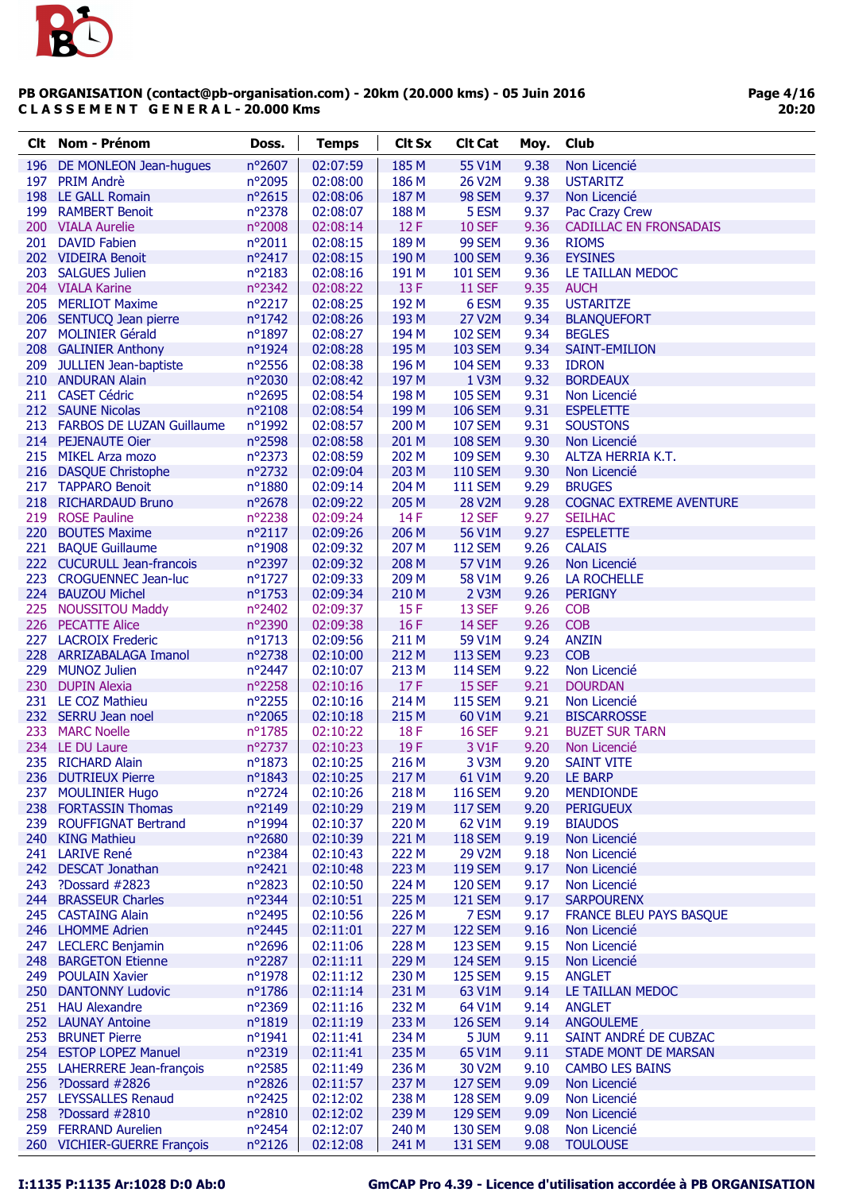

| Clt.       | Nom - Prénom                              | Doss.            | <b>Temps</b>         | <b>Clt Sx</b>  | <b>Clt Cat</b>          | Moy.         | Club                                             |
|------------|-------------------------------------------|------------------|----------------------|----------------|-------------------------|--------------|--------------------------------------------------|
| 196        | DE MONLEON Jean-hugues                    | nº2607           | 02:07:59             | 185 M          | 55 V1M                  | 9.38         | Non Licencié                                     |
| 197        | <b>PRIM Andrè</b>                         | nº2095           | 02:08:00             | 186 M          | 26 V2M                  | 9.38         | <b>USTARITZ</b>                                  |
|            | 198 LE GALL Romain                        | nº2615           | 02:08:06             | 187 M          | 98 SEM                  | 9.37         | Non Licencié                                     |
|            | 199 RAMBERT Benoit                        | nº2378           | 02:08:07             | 188 M          | 5 ESM                   | 9.37         | Pac Crazy Crew                                   |
|            | 200 VIALA Aurelie                         | nº2008           | 02:08:14             | 12F            | <b>10 SEF</b>           | 9.36         | <b>CADILLAC EN FRONSADAIS</b>                    |
|            | 201 DAVID Fabien                          | n°2011           | 02:08:15             | 189 M          | <b>99 SEM</b>           | 9.36         | <b>RIOMS</b>                                     |
|            | 202 VIDEIRA Benoit                        | nº2417           | 02:08:15             | 190 M          | <b>100 SEM</b>          | 9.36         | <b>EYSINES</b>                                   |
|            | 203 SALGUES Julien                        | nº2183           | 02:08:16             | 191 M          | <b>101 SEM</b>          | 9.36         | LE TAILLAN MEDOC                                 |
|            | 204 VIALA Karine                          | nº2342           | 02:08:22             | 13F            | <b>11 SEF</b>           | 9.35         | <b>AUCH</b>                                      |
|            | 205 MERLIOT Maxime                        | nº2217           | 02:08:25             | 192 M          | 6 ESM                   | 9.35         | <b>USTARITZE</b>                                 |
|            | 206 SENTUCQ Jean pierre                   | nº1742           | 02:08:26             | 193 M          | 27 V2M                  | 9.34         | <b>BLANQUEFORT</b>                               |
|            | 207 MOLINIER Gérald                       | $n^{\circ}1897$  | 02:08:27             | 194 M          | <b>102 SEM</b>          | 9.34         | <b>BEGLES</b>                                    |
|            | 208 GALINIER Anthony                      | nº1924           | 02:08:28             | 195 M          | <b>103 SEM</b>          | 9.34         | <b>SAINT-EMILION</b>                             |
|            | 209 JULLIEN Jean-baptiste                 | $n^{\circ}2556$  | 02:08:38             | 196 M          | <b>104 SEM</b>          | 9.33         | <b>IDRON</b>                                     |
|            | 210 ANDURAN Alain                         | nº2030           | 02:08:42             | 197 M          | 1 V3M                   | 9.32         | <b>BORDEAUX</b>                                  |
|            | 211 CASET Cédric                          | nº2695           | 02:08:54             | 198 M          | <b>105 SEM</b>          | 9.31         | Non Licencié                                     |
|            | 212 SAUNE Nicolas                         | nº2108           | 02:08:54             | 199 M          | <b>106 SEM</b>          | 9.31         | <b>ESPELETTE</b>                                 |
|            | 213 FARBOS DE LUZAN Guillaume             | nº1992           | 02:08:57             | 200 M          | <b>107 SEM</b>          | 9.31         | <b>SOUSTONS</b>                                  |
|            | 214 PEJENAUTE Oier                        | nº2598           | 02:08:58             | 201 M          | <b>108 SEM</b>          | 9.30         | Non Licencié                                     |
|            | 215 MIKEL Arza mozo                       | nº2373           | 02:08:59             | 202 M          | <b>109 SEM</b>          | 9.30         | ALTZA HERRIA K.T.                                |
|            | 216 DASQUE Christophe                     | nº2732           | 02:09:04             | 203 M          | <b>110 SEM</b>          | 9.30         | Non Licencié                                     |
|            | 217 TAPPARO Benoit                        | nº1880           | 02:09:14             | 204 M          | <b>111 SEM</b>          | 9.29         | <b>BRUGES</b>                                    |
|            | 218 RICHARDAUD Bruno<br>219 ROSE Pauline  | nº2678<br>nº2238 | 02:09:22<br>02:09:24 | 205 M<br>14F   | 28 V2M<br>12 SEF        | 9.28<br>9.27 | <b>COGNAC EXTREME AVENTURE</b><br><b>SEILHAC</b> |
|            | 220 BOUTES Maxime                         | $n^{\circ}2117$  | 02:09:26             | 206 M          | 56 V1M                  | 9.27         | <b>ESPELETTE</b>                                 |
|            | 221 BAQUE Guillaume                       | n°1908           | 02:09:32             | 207 M          | <b>112 SEM</b>          | 9.26         | <b>CALAIS</b>                                    |
|            | 222 CUCURULL Jean-francois                | nº2397           | 02:09:32             | 208 M          | 57 V1M                  | 9.26         | Non Licencié                                     |
|            | 223 CROGUENNEC Jean-luc                   | nº1727           | 02:09:33             | 209 M          | 58 V1M                  | 9.26         | LA ROCHELLE                                      |
|            | 224 BAUZOU Michel                         | nº1753           | 02:09:34             | 210 M          | 2 V3M                   | 9.26         | <b>PERIGNY</b>                                   |
|            | 225 NOUSSITOU Maddy                       | nº2402           | 02:09:37             | 15F            | 13 SEF                  | 9.26         | <b>COB</b>                                       |
|            | 226 PECATTE Alice                         | nº2390           | 02:09:38             | 16F            | 14 SEF                  | 9.26         | <b>COB</b>                                       |
|            | 227 LACROIX Frederic                      | $n^o$ 1713       | 02:09:56             | 211 M          | 59 V1M                  | 9.24         | <b>ANZIN</b>                                     |
|            | 228 ARRIZABALAGA Imanol                   | nº2738           | 02:10:00             | 212 M          | <b>113 SEM</b>          | 9.23         | <b>COB</b>                                       |
|            | 229 MUNOZ Julien                          | nº2447           | 02:10:07             | 213 M          | <b>114 SEM</b>          | 9.22         | Non Licencié                                     |
|            | 230 DUPIN Alexia                          | n°2258           | 02:10:16             | 17F            | 15 SEF                  | 9.21         | <b>DOURDAN</b>                                   |
|            | 231 LE COZ Mathieu                        | nº2255           | 02:10:16             | 214 M          | <b>115 SEM</b>          | 9.21         | Non Licencié                                     |
|            | 232 SERRU Jean noel                       | n°2065           | 02:10:18             | 215 M          | 60 V1M                  | 9.21         | <b>BISCARROSSE</b>                               |
|            | 233 MARC Noelle                           | nº1785           | 02:10:22             | 18F            | <b>16 SEF</b>           | 9.21         | <b>BUZET SUR TARN</b>                            |
|            | 234 LE DU Laure                           | nº2737           | 02:10:23             | 19F            | 3 V1F                   | 9.20         | Non Licencié                                     |
|            | 235 RICHARD Alain                         | nº1873           | 02:10:25             | 216 M          | 3 V3M                   | 9.20         | <b>SAINT VITE</b>                                |
|            | 236 DUTRIEUX Pierre                       | nº1843           | 02:10:25             | 217 M          | 61 V1M                  | 9.20         | LE BARP                                          |
| 237        | <b>MOULINIER Hugo</b>                     | nº2724           | 02:10:26             | 218 M          | <b>116 SEM</b>          | 9.20         | <b>MENDIONDE</b>                                 |
|            | 238 FORTASSIN Thomas                      | nº2149           | 02:10:29             | 219 M          | <b>117 SEM</b>          | 9.20         | <b>PERIGUEUX</b>                                 |
| 239        | <b>ROUFFIGNAT Bertrand</b>                | nº1994           | 02:10:37             | 220 M          | 62 V1M                  | 9.19         | <b>BIAUDOS</b>                                   |
|            | 240 KING Mathieu                          | nº2680           | 02:10:39             | 221 M          | <b>118 SEM</b>          | 9.19         | Non Licencié                                     |
|            | 241 LARIVE René                           | nº2384           | 02:10:43             | 222 M          | 29 V2M                  | 9.18         | Non Licencié                                     |
|            | 242 DESCAT Jonathan                       | $n^{\circ}2421$  | 02:10:48             | 223 M          | <b>119 SEM</b>          | 9.17         | Non Licencié                                     |
| 243<br>244 | ?Dossard #2823<br><b>BRASSEUR Charles</b> | nº2823           | 02:10:50<br>02:10:51 | 224 M          | <b>120 SEM</b>          | 9.17         | Non Licencié<br><b>SARPOURENX</b>                |
|            | 245 CASTAING Alain                        | nº2344<br>nº2495 | 02:10:56             | 225 M<br>226 M | <b>121 SEM</b><br>7 ESM | 9.17<br>9.17 | <b>FRANCE BLEU PAYS BASQUE</b>                   |
|            | 246 LHOMME Adrien                         | nº2445           | 02:11:01             | 227 M          | <b>122 SEM</b>          | 9.16         | Non Licencié                                     |
| 247        | <b>LECLERC Benjamin</b>                   | nº2696           | 02:11:06             | 228 M          | <b>123 SEM</b>          | 9.15         | Non Licencié                                     |
|            | 248 BARGETON Etienne                      | nº2287           | 02:11:11             | 229 M          | <b>124 SEM</b>          | 9.15         | Non Licencié                                     |
|            | 249 POULAIN Xavier                        | nº1978           | 02:11:12             | 230 M          | <b>125 SEM</b>          | 9.15         | <b>ANGLET</b>                                    |
|            | 250 DANTONNY Ludovic                      | nº1786           | 02:11:14             | 231 M          | 63 V1M                  | 9.14         | LE TAILLAN MEDOC                                 |
|            | 251 HAU Alexandre                         | nº2369           | 02:11:16             | 232 M          | 64 V1M                  | 9.14         | <b>ANGLET</b>                                    |
|            | 252 LAUNAY Antoine                        | nº1819           | 02:11:19             | 233 M          | <b>126 SEM</b>          | 9.14         | <b>ANGOULEME</b>                                 |
| 253        | <b>BRUNET Pierre</b>                      | nº1941           | 02:11:41             | 234 M          | 5 JUM                   | 9.11         | SAINT ANDRÉ DE CUBZAC                            |
|            | 254 ESTOP LOPEZ Manuel                    | n°2319           | 02:11:41             | 235 M          | 65 V1M                  | 9.11         | <b>STADE MONT DE MARSAN</b>                      |
|            | 255 LAHERRERE Jean-françois               | nº2585           | 02:11:49             | 236 M          | 30 V2M                  | 9.10         | <b>CAMBO LES BAINS</b>                           |
|            | 256 ?Dossard #2826                        | nº2826           | 02:11:57             | 237 M          | <b>127 SEM</b>          | 9.09         | Non Licencié                                     |
| 257        | <b>LEYSSALLES Renaud</b>                  | nº2425           | 02:12:02             | 238 M          | <b>128 SEM</b>          | 9.09         | Non Licencié                                     |
|            | 258 ?Dossard #2810                        | nº2810           | 02:12:02             | 239 M          | <b>129 SEM</b>          | 9.09         | Non Licencié                                     |
|            | 259 FERRAND Aurelien                      | nº2454           | 02:12:07             | 240 M          | <b>130 SEM</b>          | 9.08         | Non Licencié                                     |
|            | 260 VICHIER-GUERRE François               | nº2126           | 02:12:08             | 241 M          | <b>131 SEM</b>          | 9.08         | <b>TOULOUSE</b>                                  |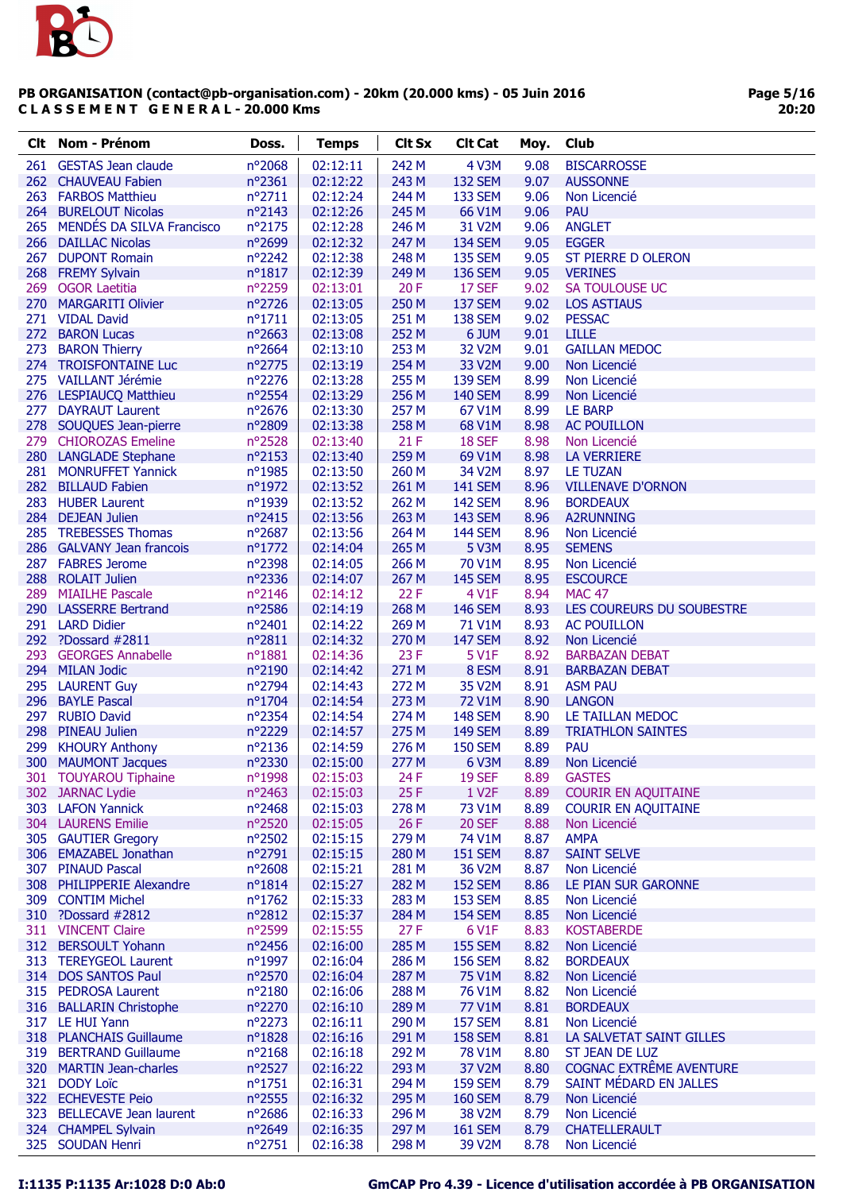

| Clt. | Nom - Prénom                  | Doss.            | <b>Temps</b> | <b>Clt Sx</b> | <b>Clt Cat</b>     | Moy. | Club                       |
|------|-------------------------------|------------------|--------------|---------------|--------------------|------|----------------------------|
| 261  | <b>GESTAS Jean claude</b>     | nº2068           | 02:12:11     | 242 M         | <b>4 V3M</b>       | 9.08 | <b>BISCARROSSE</b>         |
|      | 262 CHAUVEAU Fabien           | nº2361           | 02:12:22     | 243 M         | <b>132 SEM</b>     | 9.07 | <b>AUSSONNE</b>            |
|      | 263 FARBOS Matthieu           | nº2711           | 02:12:24     | 244 M         | <b>133 SEM</b>     | 9.06 | Non Licencié               |
|      | 264 BURELOUT Nicolas          | nº2143           | 02:12:26     | 245 M         | 66 V1M             | 9.06 | PAU                        |
|      | 265 MENDÉS DA SILVA Francisco | nº2175           | 02:12:28     | 246 M         | 31 V2M             | 9.06 | <b>ANGLET</b>              |
|      | 266 DAILLAC Nicolas           | n°2699           | 02:12:32     | 247 M         | <b>134 SEM</b>     | 9.05 | <b>EGGER</b>               |
| 267  | <b>DUPONT Romain</b>          | nº2242           | 02:12:38     | 248 M         | <b>135 SEM</b>     | 9.05 | <b>ST PIERRE D OLERON</b>  |
|      | 268 FREMY Sylvain             | nº1817           | 02:12:39     | 249 M         | <b>136 SEM</b>     | 9.05 | <b>VERINES</b>             |
| 269  | <b>OGOR Laetitia</b>          | n°2259           | 02:13:01     | 20F           | 17 SEF             | 9.02 | SA TOULOUSE UC             |
|      | 270 MARGARITI Olivier         | nº2726           | 02:13:05     | 250 M         | <b>137 SEM</b>     | 9.02 | <b>LOS ASTIAUS</b>         |
|      | 271 VIDAL David               | $n^o$ 1711       | 02:13:05     | 251 M         | <b>138 SEM</b>     | 9.02 | <b>PESSAC</b>              |
|      | 272 BARON Lucas               | n°2663           | 02:13:08     | 252 M         | 6 JUM              | 9.01 | <b>LILLE</b>               |
| 273  | <b>BARON Thierry</b>          | nº2664           | 02:13:10     | 253 M         | 32 V2M             | 9.01 | <b>GAILLAN MEDOC</b>       |
|      | 274 TROISFONTAINE Luc         | nº2775           | 02:13:19     | 254 M         | 33 V2M             | 9.00 | Non Licencié               |
|      | 275 VAILLANT Jérémie          | nº2276           | 02:13:28     | 255 M         | <b>139 SEM</b>     | 8.99 | Non Licencié               |
|      | 276 LESPIAUCQ Matthieu        | nº2554           | 02:13:29     | 256 M         | <b>140 SEM</b>     | 8.99 | Non Licencié               |
|      | 277 DAYRAUT Laurent           | nº2676           | 02:13:30     | 257 M         | 67 V1M             | 8.99 | <b>LE BARP</b>             |
|      | 278 SOUQUES Jean-pierre       | n°2809           | 02:13:38     | 258 M         | 68 V1M             | 8.98 | <b>AC POUILLON</b>         |
|      | 279 CHIOROZAS Emeline         | nº2528           | 02:13:40     | 21F           | 18 SEF             | 8.98 | Non Licencié               |
|      | 280 LANGLADE Stephane         | nº2153           | 02:13:40     | 259 M         | 69 V1M             | 8.98 | <b>LA VERRIERE</b>         |
|      | 281 MONRUFFET Yannick         | nº1985           | 02:13:50     | 260 M         | 34 V2M             | 8.97 | <b>LE TUZAN</b>            |
|      | 282 BILLAUD Fabien            | nº1972           | 02:13:52     | 261 M         | <b>141 SEM</b>     | 8.96 | <b>VILLENAVE D'ORNON</b>   |
|      | 283 HUBER Laurent             | n°1939           | 02:13:52     | 262 M         | <b>142 SEM</b>     | 8.96 | <b>BORDEAUX</b>            |
|      | 284 DEJEAN Julien             | nº2415           | 02:13:56     | 263 M         | <b>143 SEM</b>     | 8.96 | <b>A2RUNNING</b>           |
|      | 285 TREBESSES Thomas          | nº2687           | 02:13:56     | 264 M         | <b>144 SEM</b>     | 8.96 | Non Licencié               |
|      | 286 GALVANY Jean francois     | $n^{\circ}$ 1772 | 02:14:04     | 265 M         | <b>5 V3M</b>       | 8.95 | <b>SEMENS</b>              |
|      | 287 FABRES Jerome             | nº2398           | 02:14:05     | 266 M         | 70 V1M             | 8.95 | Non Licencié               |
|      | 288 ROLAIT Julien             | nº2336           | 02:14:07     | 267 M         | <b>145 SEM</b>     | 8.95 | <b>ESCOURCE</b>            |
|      | 289 MIAILHE Pascale           | nº2146           | 02:14:12     | 22F           | 4 V1F              | 8.94 | <b>MAC 47</b>              |
|      | 290 LASSERRE Bertrand         | nº2586           | 02:14:19     | 268 M         | <b>146 SEM</b>     | 8.93 | LES COUREURS DU SOUBESTRE  |
|      | 291 LARD Didier               | nº2401           | 02:14:22     | 269 M         | 71 V1M             | 8.93 | <b>AC POUILLON</b>         |
|      | 292 ?Dossard #2811            | n°2811           | 02:14:32     | 270 M         | <b>147 SEM</b>     | 8.92 | Non Licencié               |
| 293  | <b>GEORGES Annabelle</b>      | n°1881           | 02:14:36     | 23 F          | 5 V1F              | 8.92 | <b>BARBAZAN DEBAT</b>      |
|      | 294 MILAN Jodic               | n°2190           | 02:14:42     | 271 M         | 8 ESM              | 8.91 | <b>BARBAZAN DEBAT</b>      |
|      | 295 LAURENT Guy               | nº2794           | 02:14:43     | 272 M         | 35 V2M             | 8.91 | <b>ASM PAU</b>             |
|      | 296 BAYLE Pascal              | nº1704           | 02:14:54     | 273 M         | 72 V1M             | 8.90 | <b>LANGON</b>              |
| 297  | <b>RUBIO David</b>            | nº2354           | 02:14:54     | 274 M         | <b>148 SEM</b>     | 8.90 | LE TAILLAN MEDOC           |
| 298  | <b>PINEAU Julien</b>          | nº2229           | 02:14:57     | 275 M         | <b>149 SEM</b>     | 8.89 | <b>TRIATHLON SAINTES</b>   |
| 299  | <b>KHOURY Anthony</b>         | nº2136           | 02:14:59     | 276 M         | <b>150 SEM</b>     | 8.89 | <b>PAU</b>                 |
| 300  | <b>MAUMONT Jacques</b>        | nº2330           | 02:15:00     | 277 M         | 6 V3M              | 8.89 | Non Licencié               |
| 301  | <b>TOUYAROU Tiphaine</b>      | nº1998           | 02:15:03     | 24 F          | <b>19 SEF</b>      | 8.89 | <b>GASTES</b>              |
|      | 302 JARNAC Lydie              | nº2463           | 02:15:03     | 25F           | 1 V <sub>2</sub> F | 8.89 | <b>COURIR EN AQUITAINE</b> |
|      | 303 LAFON Yannick             | nº2468           | 02:15:03     | 278 M         | 73 V1M             | 8.89 | <b>COURIR EN AQUITAINE</b> |
|      | 304 LAURENS Emilie            | nº2520           | 02:15:05     | 26F           | <b>20 SEF</b>      | 8.88 | Non Licencié               |
|      | 305 GAUTIER Gregory           | nº2502           | 02:15:15     | 279 M         | 74 V1M             | 8.87 | <b>AMPA</b>                |
|      | 306 EMAZABEL Jonathan         | n°2791           | 02:15:15     | 280 M         | <b>151 SEM</b>     | 8.87 | <b>SAINT SELVE</b>         |
|      | 307 PINAUD Pascal             | $n^{\circ}2608$  | 02:15:21     | 281 M         | 36 V2M             | 8.87 | Non Licencié               |
|      | 308 PHILIPPERIE Alexandre     | $n^o$ 1814       | 02:15:27     | 282 M         | <b>152 SEM</b>     | 8.86 | LE PIAN SUR GARONNE        |
|      | 309 CONTIM Michel             | $n^{\circ}$ 1762 | 02:15:33     | 283 M         | <b>153 SEM</b>     | 8.85 | Non Licencié               |
|      | 310 ?Dossard #2812            | n°2812           | 02:15:37     | 284 M         | <b>154 SEM</b>     | 8.85 | Non Licencié               |
|      | 311 VINCENT Claire            | n°2599           | 02:15:55     | 27F           | 6 V1F              | 8.83 | <b>KOSTABERDE</b>          |
|      | 312 BERSOULT Yohann           | nº2456           | 02:16:00     | 285 M         | <b>155 SEM</b>     | 8.82 | Non Licencié               |
|      | 313 TEREYGEOL Laurent         | nº1997           | 02:16:04     | 286 M         | <b>156 SEM</b>     | 8.82 | <b>BORDEAUX</b>            |
|      | 314 DOS SANTOS Paul           | nº2570           | 02:16:04     | 287 M         | 75 V1M             | 8.82 | Non Licencié               |
|      | 315 PEDROSA Laurent           | nº2180           | 02:16:06     | 288 M         | 76 V1M             | 8.82 | Non Licencié               |
|      | 316 BALLARIN Christophe       | nº2270           | 02:16:10     | 289 M         | 77 V1M             | 8.81 | <b>BORDEAUX</b>            |
|      | 317 LE HUI Yann               | nº2273           | 02:16:11     | 290 M         | <b>157 SEM</b>     | 8.81 | Non Licencié               |
|      | 318 PLANCHAIS Guillaume       | nº1828           | 02:16:16     | 291 M         | <b>158 SEM</b>     | 8.81 | LA SALVETAT SAINT GILLES   |
|      | 319 BERTRAND Guillaume        | nº2168           | 02:16:18     | 292 M         | 78 V1M             | 8.80 | ST JEAN DE LUZ             |
|      | 320 MARTIN Jean-charles       | nº2527           | 02:16:22     | 293 M         | 37 V2M             | 8.80 | COGNAC EXTRÊME AVENTURE    |
|      | 321 DODY Loïc                 | $n^o$ 1751       | 02:16:31     | 294 M         | <b>159 SEM</b>     | 8.79 | SAINT MÉDARD EN JALLES     |
|      | 322 ECHEVESTE Peio            | n°2555           | 02:16:32     | 295 M         | <b>160 SEM</b>     | 8.79 | Non Licencié               |
|      | 323 BELLECAVE Jean laurent    | nº2686           | 02:16:33     | 296 M         | 38 V2M             | 8.79 | Non Licencié               |
|      | 324 CHAMPEL Sylvain           | nº2649           | 02:16:35     | 297 M         | <b>161 SEM</b>     | 8.79 | <b>CHATELLERAULT</b>       |
|      | 325 SOUDAN Henri              | nº2751           | 02:16:38     | 298 M         | 39 V2M             | 8.78 | Non Licencié               |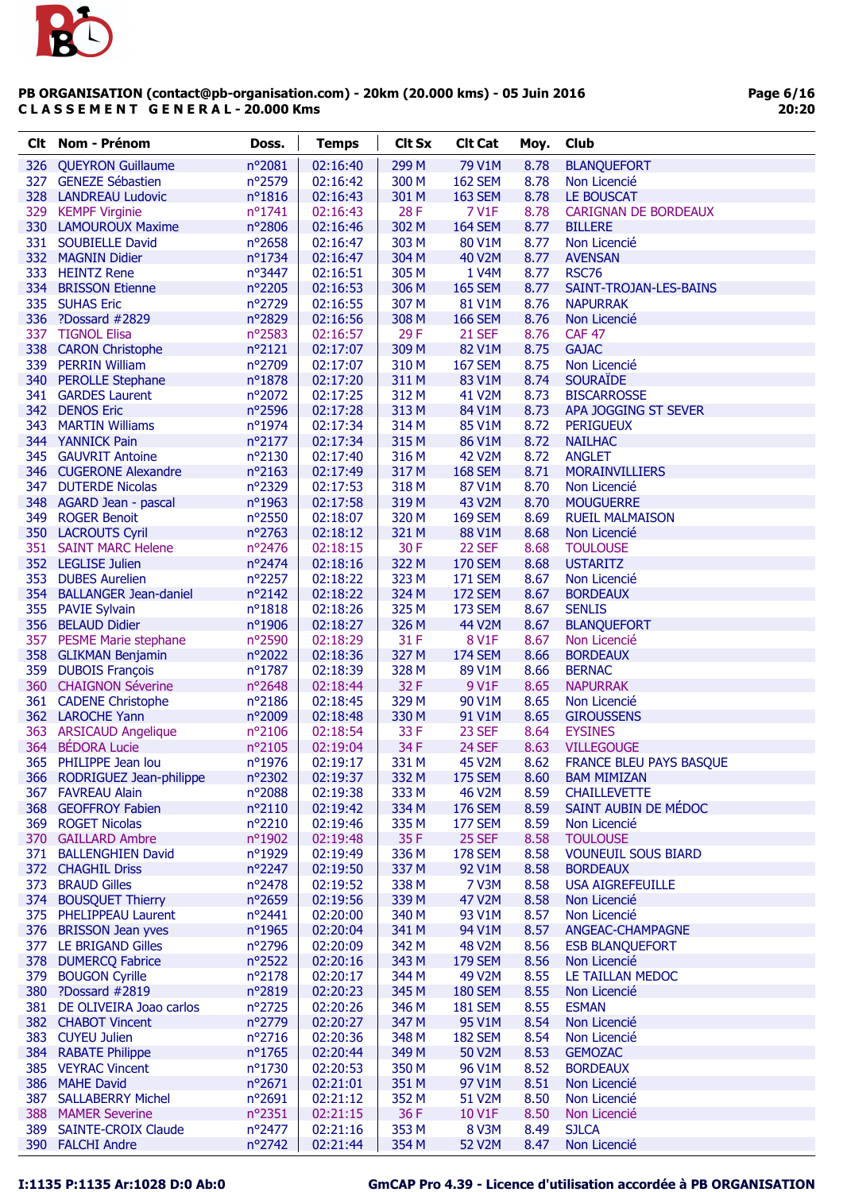

| Clt | <b>Nom - Prénom</b>                         | Doss.                     | <b>Temps</b>         | <b>Clt Sx</b>  | <b>Clt Cat</b>           | Moy.         | Club                                  |
|-----|---------------------------------------------|---------------------------|----------------------|----------------|--------------------------|--------------|---------------------------------------|
|     | 326 QUEYRON Guillaume                       | nº2081                    | 02:16:40             | 299 M          | 79 V1M                   | 8.78         | <b>BLANQUEFORT</b>                    |
|     | 327 GENEZE Sébastien                        | nº2579                    | 02:16:42             | 300 M          | <b>162 SEM</b>           | 8.78         | Non Licencié                          |
|     | 328 LANDREAU Ludovic                        | $n^o$ 1816                | 02:16:43             | 301 M          | <b>163 SEM</b>           | 8.78         | LE BOUSCAT                            |
|     | 329 KEMPF Virginie                          | $n^{\circ}1741$           | 02:16:43             | 28F            | 7 V1F                    | 8.78         | <b>CARIGNAN DE BORDEAUX</b>           |
|     | 330 LAMOUROUX Maxime                        | n°2806                    | 02:16:46             | 302 M          | <b>164 SEM</b>           | 8.77         | <b>BILLERE</b>                        |
|     | 331 SOUBIELLE David                         | nº2658                    | 02:16:47             | 303 M          | 80 V1M                   | 8.77         | Non Licencié                          |
|     | 332 MAGNIN Didier                           | nº1734                    | 02:16:47             | 304 M          | <b>40 V2M</b>            | 8.77         | <b>AVENSAN</b>                        |
|     | 333 HEINTZ Rene                             | nº3447                    | 02:16:51             | 305 M          | 1 V4M                    | 8.77         | <b>RSC76</b>                          |
|     | 334 BRISSON Etienne                         | nº2205                    | 02:16:53             | 306 M          | <b>165 SEM</b>           | 8.77         | SAINT-TROJAN-LES-BAINS                |
|     | 335 SUHAS Eric                              | nº2729                    | 02:16:55             | 307 M          | 81 V1M                   | 8.76         | <b>NAPURRAK</b>                       |
|     | 336 ?Dossard #2829                          | nº2829                    | 02:16:56             | 308 M          | <b>166 SEM</b>           | 8.76         | Non Licencié                          |
|     | 337 TIGNOL Elisa                            | nº2583                    | 02:16:57             | 29F            | <b>21 SEF</b>            | 8.76         | <b>CAF 47</b>                         |
|     | 338 CARON Christophe                        | $n^{\circ}2121$           | 02:17:07             | 309 M          | 82 V1M                   | 8.75         | <b>GAJAC</b>                          |
|     | 339 PERRIN William                          | nº2709                    | 02:17:07             | 310 M          | <b>167 SEM</b>           | 8.75         | Non Licencié                          |
|     | 340 PEROLLE Stephane<br>341 GARDES Laurent  | n°1878<br>nº2072          | 02:17:20<br>02:17:25 | 311 M          | 83 V1M                   | 8.74<br>8.73 | <b>SOURAÏDE</b><br><b>BISCARROSSE</b> |
|     | 342 DENOS Eric                              | n°2596                    | 02:17:28             | 312 M<br>313 M | 41 V2M<br>84 V1M         | 8.73         | APA JOGGING ST SEVER                  |
| 343 | <b>MARTIN Williams</b>                      | nº1974                    | 02:17:34             | 314 M          | 85 V1M                   | 8.72         | <b>PERIGUEUX</b>                      |
|     | 344 YANNICK Pain                            | $n^{\circ}2177$           | 02:17:34             | 315 M          | 86 V1M                   | 8.72         | <b>NAILHAC</b>                        |
|     | 345 GAUVRIT Antoine                         | nº2130                    | 02:17:40             | 316 M          | 42 V2M                   | 8.72         | <b>ANGLET</b>                         |
|     | 346 CUGERONE Alexandre                      | $n^{\circ}2163$           | 02:17:49             | 317 M          | <b>168 SEM</b>           | 8.71         | <b>MORAINVILLIERS</b>                 |
|     | 347 DUTERDE Nicolas                         | nº2329                    | 02:17:53             | 318 M          | 87 V1M                   | 8.70         | Non Licencié                          |
|     | 348 AGARD Jean - pascal                     | nº1963                    | 02:17:58             | 319 M          | 43 V2M                   | 8.70         | <b>MOUGUERRE</b>                      |
| 349 | <b>ROGER Benoit</b>                         | nº2550                    | 02:18:07             | 320 M          | <b>169 SEM</b>           | 8.69         | <b>RUEIL MALMAISON</b>                |
|     | 350 LACROUTS Cyril                          | nº2763                    | 02:18:12             | 321 M          | 88 V1M                   | 8.68         | Non Licencié                          |
|     | 351 SAINT MARC Helene                       | nº2476                    | 02:18:15             | 30 F           | 22 SEF                   | 8.68         | <b>TOULOUSE</b>                       |
|     | 352 LEGLISE Julien                          | nº2474                    | 02:18:16             | 322 M          | <b>170 SEM</b>           | 8.68         | <b>USTARITZ</b>                       |
| 353 | <b>DUBES Aurelien</b>                       | nº2257                    | 02:18:22             | 323 M          | <b>171 SEM</b>           | 8.67         | Non Licencié                          |
|     | 354 BALLANGER Jean-daniel                   | nº2142                    | 02:18:22             | 324 M          | <b>172 SEM</b>           | 8.67         | <b>BORDEAUX</b>                       |
|     | 355 PAVIE Sylvain                           | $n^o$ 1818                | 02:18:26             | 325 M          | <b>173 SEM</b>           | 8.67         | <b>SENLIS</b>                         |
|     | 356 BELAUD Didier                           | nº1906                    | 02:18:27             | 326 M          | 44 V2M                   | 8.67         | <b>BLANQUEFORT</b>                    |
| 357 | PESME Marie stephane                        | $n^{\circ}2590$           | 02:18:29             | 31 F           | <b>8 V1F</b>             | 8.67         | Non Licencié                          |
|     | 358 GLIKMAN Benjamin                        | nº2022                    | 02:18:36             | 327 M          | <b>174 SEM</b>           | 8.66         | <b>BORDEAUX</b>                       |
|     | 359 DUBOIS François                         | nº1787                    | 02:18:39             | 328 M          | 89 V1M                   | 8.66         | <b>BERNAC</b>                         |
|     | 360 CHAIGNON Séverine                       | nº2648                    | 02:18:44             | 32 F           | 9 V1F                    | 8.65         | <b>NAPURRAK</b>                       |
|     | 361 CADENE Christophe                       | nº2186                    | 02:18:45             | 329 M          | 90 V1M                   | 8.65         | Non Licencié                          |
|     | 362 LAROCHE Yann                            | n°2009                    | 02:18:48             | 330 M          | 91 V1M                   | 8.65         | <b>GIROUSSENS</b>                     |
|     | 363 ARSICAUD Angelique                      | nº2106                    | 02:18:54             | 33 F           | 23 SEF                   | 8.64         | <b>EYSINES</b>                        |
| 364 | <b>BÉDORA Lucie</b>                         | n°2105                    | 02:19:04             | 34 F           | 24 SEF                   | 8.63         | <b>VILLEGOUGE</b>                     |
| 365 | PHILIPPE Jean lou                           | nº1976                    | 02:19:17             | 331 M          | 45 V2M                   | 8.62         | <b>FRANCE BLEU PAYS BASQUE</b>        |
|     | 366 RODRIGUEZ Jean-philippe                 | nº2302                    | 02:19:37             | 332 M          | <b>175 SEM</b>           | 8.60         | <b>BAM MIMIZAN</b>                    |
|     | 367 FAVREAU Alain                           | nº2088                    | 02:19:38             | 333 M          | <b>46 V2M</b>            | 8.59         | <b>CHAILLEVETTE</b>                   |
|     | 368 GEOFFROY Fabien<br><b>ROGET Nicolas</b> | $n^{\circ}2110$<br>nº2210 | 02:19:42             | 334 M<br>335 M | <b>176 SEM</b>           | 8.59         | SAINT AUBIN DE MÉDOC                  |
| 369 | 370 GAILLARD Ambre                          | nº1902                    | 02:19:46<br>02:19:48 | 35F            | <b>177 SEM</b><br>25 SEF | 8.59<br>8.58 | Non Licencié<br><b>TOULOUSE</b>       |
|     | 371 BALLENGHIEN David                       | nº1929                    | 02:19:49             | 336 M          | <b>178 SEM</b>           | 8.58         | <b>VOUNEUIL SOUS BIARD</b>            |
|     | 372 CHAGHIL Driss                           | $n^{\circ}$ 2247          | 02:19:50             | 337 M          | 92 V1M                   | 8.58         | <b>BORDEAUX</b>                       |
| 373 | <b>BRAUD Gilles</b>                         | nº2478                    | 02:19:52             | 338 M          | <b>7 V3M</b>             | 8.58         | <b>USA AIGREFEUILLE</b>               |
| 374 | <b>BOUSQUET Thierry</b>                     | nº2659                    | 02:19:56             | 339 M          | 47 V2M                   | 8.58         | Non Licencié                          |
|     | 375 PHELIPPEAU Laurent                      | nº2441                    | 02:20:00             | 340 M          | 93 V1M                   | 8.57         | Non Licencié                          |
|     | 376 BRISSON Jean yves                       | nº1965                    | 02:20:04             | 341 M          | 94 V1M                   | 8.57         | ANGEAC-CHAMPAGNE                      |
|     | 377 LE BRIGAND Gilles                       | $n^{\circ}$ 2796          | 02:20:09             | 342 M          | <b>48 V2M</b>            | 8.56         | <b>ESB BLANQUEFORT</b>                |
|     | 378 DUMERCQ Fabrice                         | $n^{\circ}2522$           | 02:20:16             | 343 M          | <b>179 SEM</b>           | 8.56         | Non Licencié                          |
| 379 | <b>BOUGON Cyrille</b>                       | n°2178                    | 02:20:17             | 344 M          | 49 V2M                   | 8.55         | LE TAILLAN MEDOC                      |
|     | 380 ?Dossard #2819                          | n°2819                    | 02:20:23             | 345 M          | <b>180 SEM</b>           | 8.55         | Non Licencié                          |
|     | 381 DE OLIVEIRA Joao carlos                 | $n^{\circ}2725$           | 02:20:26             | 346 M          | <b>181 SEM</b>           | 8.55         | <b>ESMAN</b>                          |
|     | 382 CHABOT Vincent                          | nº2779                    | 02:20:27             | 347 M          | 95 V1M                   | 8.54         | Non Licencié                          |
|     | 383 CUYEU Julien                            | $n^{\circ}2716$           | 02:20:36             | 348 M          | <b>182 SEM</b>           | 8.54         | Non Licencié                          |
|     | 384 RABATE Philippe                         | $n^{\circ}$ 1765          | 02:20:44             | 349 M          | 50 V2M                   | 8.53         | <b>GEMOZAC</b>                        |
|     | 385 VEYRAC Vincent                          | nº1730                    | 02:20:53             | 350 M          | 96 V1M                   | 8.52         | <b>BORDEAUX</b>                       |
|     | 386 MAHE David                              | $n^{\circ}2671$           | 02:21:01             | 351 M          | 97 V1M                   | 8.51         | Non Licencié                          |
|     | 387 SALLABERRY Michel                       | $n^{\circ}2691$           | 02:21:12             | 352 M          | 51 V2M                   | 8.50         | Non Licencié                          |
|     | 388 MAMER Severine                          | $n^{\circ}2351$           | 02:21:15             | 36 F           | 10 V1F                   | 8.50         | Non Licencié                          |
|     | 389 SAINTE-CROIX Claude                     | nº2477                    | 02:21:16             | 353 M          | 8 V3M                    | 8.49         | <b>SJLCA</b>                          |
|     | 390 FALCHI Andre                            | nº2742                    | 02:21:44             | 354 M          | 52 V2M                   | 8.47         | Non Licencié                          |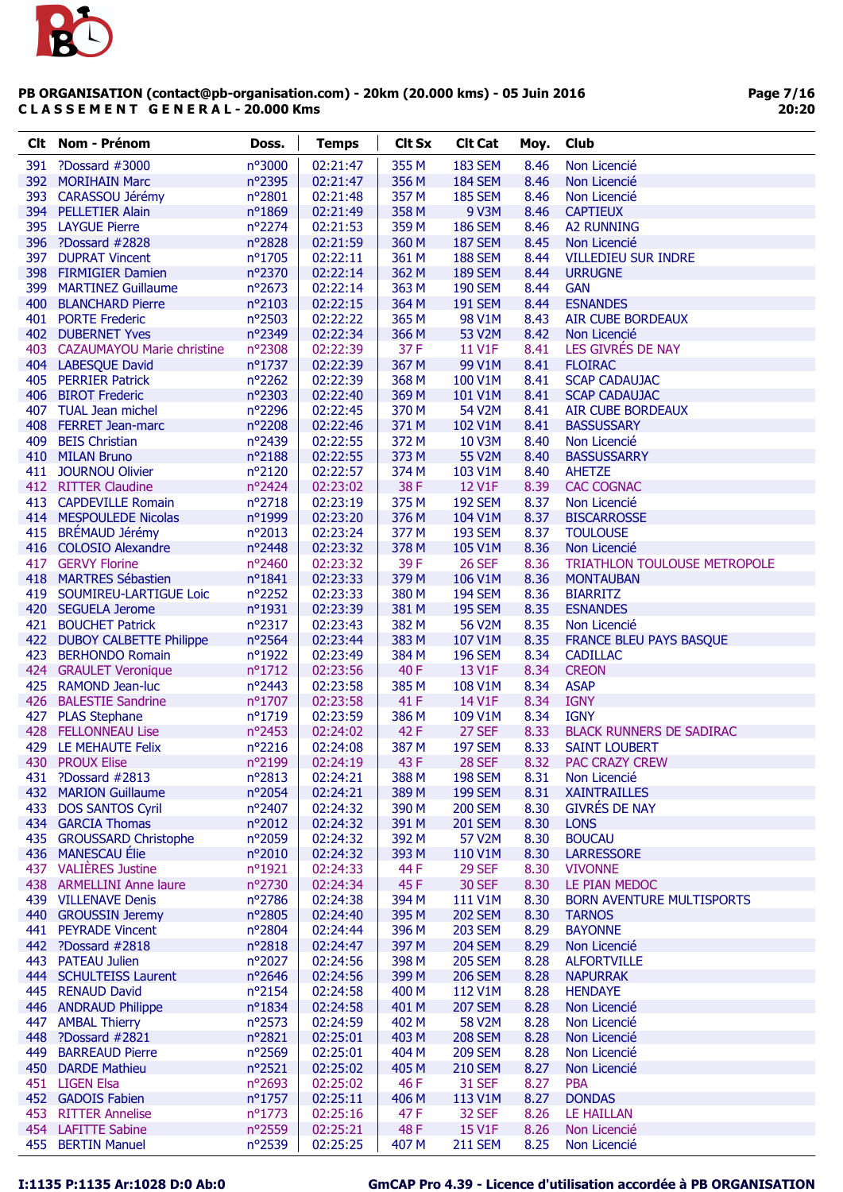

Page 7/16 20:20

| <b>Clt</b> | <b>Nom - Prénom</b>                           | Doss.                     | <b>Temps</b>         | <b>Clt Sx</b>  | <b>Clt Cat</b>                   | Moy.         | Club                                              |
|------------|-----------------------------------------------|---------------------------|----------------------|----------------|----------------------------------|--------------|---------------------------------------------------|
| 391        | ?Dossard #3000                                | nº3000                    | 02:21:47             | 355 M          | <b>183 SEM</b>                   | 8.46         | Non Licencié                                      |
| 392        | <b>MORIHAIN Marc</b>                          | n°2395                    | 02:21:47             | 356 M          | <b>184 SEM</b>                   | 8.46         | Non Licencié                                      |
| 393        | CARASSOU Jérémy                               | $n^{\circ}2801$           | 02:21:48             | 357 M          | <b>185 SEM</b>                   | 8.46         | Non Licencié                                      |
| 394        | <b>PELLETIER Alain</b>                        | n°1869                    | 02:21:49             | 358 M          | 9 V3M                            | 8.46         | <b>CAPTIEUX</b>                                   |
| 395        | <b>LAYGUE Pierre</b>                          | nº2274                    | 02:21:53             | 359 M          | <b>186 SEM</b>                   | 8.46         | <b>A2 RUNNING</b>                                 |
|            | 396 ?Dossard #2828                            | nº2828                    | 02:21:59             | 360 M          | <b>187 SEM</b>                   | 8.45         | Non Licencié                                      |
| 397        | <b>DUPRAT Vincent</b>                         | nº1705                    | 02:22:11             | 361 M          | <b>188 SEM</b>                   | 8.44         | <b>VILLEDIEU SUR INDRE</b>                        |
|            | 398 FIRMIGIER Damien                          | nº2370                    | 02:22:14             | 362 M          | <b>189 SEM</b>                   | 8.44         | <b>URRUGNE</b>                                    |
| 399        | <b>MARTINEZ Guillaume</b>                     | nº2673                    | 02:22:14             | 363 M          | <b>190 SEM</b>                   | 8.44         | <b>GAN</b>                                        |
|            | 400 BLANCHARD Pierre                          | nº2103                    | 02:22:15             | 364 M          | <b>191 SEM</b>                   | 8.44         | <b>ESNANDES</b>                                   |
|            | 401 PORTE Frederic                            | nº2503                    | 02:22:22             | 365 M          | 98 V1M                           | 8.43         | <b>AIR CUBE BORDEAUX</b>                          |
|            | 402 DUBERNET Yves                             | nº2349                    | 02:22:34             | 366 M          | 53 V2M                           | 8.42         | Non Licencié                                      |
| 403        | <b>CAZAUMAYOU Marie christine</b>             | nº2308                    | 02:22:39             | 37 F           | 11 V1F                           | 8.41         | LES GIVRES DE NAY                                 |
|            | 404 LABESQUE David                            | nº1737                    | 02:22:39             | 367 M          | 99 V1M                           | 8.41         | <b>FLOIRAC</b>                                    |
| 405        | <b>PERRIER Patrick</b>                        | nº2262                    | 02:22:39             | 368 M          | 100 V1M                          | 8.41         | <b>SCAP CADAUJAC</b>                              |
|            | 406 BIROT Frederic                            | nº2303                    | 02:22:40             | 369 M          | 101 V1M                          | 8.41         | <b>SCAP CADAUJAC</b>                              |
| 407        | <b>TUAL Jean michel</b>                       | nº2296                    | 02:22:45             | 370 M          | 54 V2M                           | 8.41         | <b>AIR CUBE BORDEAUX</b>                          |
|            | 408 FERRET Jean-marc                          | nº2208                    | 02:22:46             | 371 M          | 102 V1M                          | 8.41         | <b>BASSUSSARY</b>                                 |
| 409        | <b>BEIS Christian</b>                         | nº2439                    | 02:22:55             | 372 M          | <b>10 V3M</b>                    | 8.40         | Non Licencié                                      |
|            | 410 MILAN Bruno                               | nº2188                    | 02:22:55             | 373 M          | 55 V2M                           | 8.40         | <b>BASSUSSARRY</b>                                |
|            | 411 JOURNOU Olivier                           | nº2120                    | 02:22:57             | 374 M          | 103 V1M                          | 8.40         | <b>AHETZE</b>                                     |
|            | 412 RITTER Claudine                           | nº2424                    | 02:23:02             | 38F            | 12 V1F                           | 8.39         | <b>CAC COGNAC</b>                                 |
|            | 413 CAPDEVILLE Romain                         | nº2718                    | 02:23:19             | 375 M          | <b>192 SEM</b>                   | 8.37         | Non Licencié                                      |
|            | 414 MESPOULEDE Nicolas                        | nº1999                    | 02:23:20             | 376 M          | 104 V1M                          | 8.37         | <b>BISCARROSSE</b>                                |
| 415        | BRÉMAUD Jérémy                                | nº2013                    | 02:23:24             | 377 M          | <b>193 SEM</b>                   | 8.37         | <b>TOULOUSE</b>                                   |
|            | 416 COLOSIO Alexandre                         | nº2448                    | 02:23:32             | 378 M          | 105 V1M                          | 8.36         | Non Licencié                                      |
|            | 417 GERVY Florine                             | nº2460                    | 02:23:32             | 39F            | <b>26 SEF</b>                    | 8.36         | TRIATHLON TOULOUSE METROPOLE                      |
|            | 418 MARTRES Sébastien                         | $n^o$ 1841                | 02:23:33             | 379 M          | 106 V1M                          | 8.36         | <b>MONTAUBAN</b>                                  |
|            | 419 SOUMIREU-LARTIGUE Loic                    | nº2252                    | 02:23:33             | 380 M          | <b>194 SEM</b>                   | 8.36         | <b>BIARRITZ</b>                                   |
|            | 420 SEGUELA Jerome                            | n°1931                    | 02:23:39             | 381 M          | <b>195 SEM</b>                   | 8.35         | <b>ESNANDES</b>                                   |
|            | 421 BOUCHET Patrick                           | nº2317                    | 02:23:43             | 382 M          | 56 V2M                           | 8.35         | Non Licencié                                      |
| 422        | <b>DUBOY CALBETTE Philippe</b>                | nº2564                    | 02:23:44             | 383 M          | 107 V1M                          | 8.35         | <b>FRANCE BLEU PAYS BASQUE</b>                    |
| 423        | <b>BERHONDO Romain</b>                        | nº1922                    | 02:23:49             | 384 M          | <b>196 SEM</b>                   | 8.34         | <b>CADILLAC</b>                                   |
|            | 424 GRAULET Veronique                         | nº1712                    | 02:23:56             | 40 F           | 13 V1F                           | 8.34         | <b>CREON</b>                                      |
|            | 425 RAMOND Jean-luc                           | nº2443                    | 02:23:58             | 385 M          | 108 V1M                          | 8.34         | <b>ASAP</b>                                       |
|            | 426 BALESTIE Sandrine                         | nº1707                    | 02:23:58             | 41 F           | 14 V1F                           | 8.34         | <b>IGNY</b>                                       |
| 427        | <b>PLAS Stephane</b>                          | nº1719                    | 02:23:59             | 386 M          | 109 V1M                          | 8.34         | <b>IGNY</b>                                       |
| 428        | <b>FELLONNEAU Lise</b>                        | nº2453                    | 02:24:02             | 42 F           | 27 SEF                           | 8.33         | <b>BLACK RUNNERS DE SADIRAC</b>                   |
| 429        | LE MEHAUTE Felix                              | n°2216                    | 02:24:08             | 387 M          | <b>197 SEM</b>                   | 8.33         | <b>SAINT LOUBERT</b>                              |
|            | 430 PROUX Elise                               | n°2199                    | 02:24:19             | 43 F           | <b>28 SEF</b>                    | 8.32         | <b>PAC CRAZY CREW</b>                             |
|            | 431 ?Dossard #2813                            | n°2813                    | 02:24:21             | 388 M          | <b>198 SEM</b>                   | 8.31         | Non Licencié                                      |
|            | 432 MARION Guillaume                          | nº2054                    | 02:24:21             | 389 M          | <b>199 SEM</b>                   | 8.31         | <b>XAINTRAILLES</b>                               |
| 433        | <b>DOS SANTOS Cyril</b>                       | nº2407                    | 02:24:32             | 390 M          | <b>200 SEM</b>                   | 8.30         | <b>GIVRÉS DE NAY</b>                              |
|            | 434 GARCIA Thomas                             | n°2012                    | 02:24:32             | 391 M          | <b>201 SEM</b>                   | 8.30         | <b>LONS</b>                                       |
|            | 435 GROUSSARD Christophe<br>436 MANESCAU Élie | nº2059                    | 02:24:32             | 392 M          | 57 V2M                           | 8.30         | <b>BOUCAU</b>                                     |
|            |                                               | nº2010                    | 02:24:32             | 393 M          | 110 V1M                          | 8.30         | <b>LARRESSORE</b>                                 |
|            | 437 VALIÈRES Justine                          | nº1921                    | 02:24:33             | 44 F           | <b>29 SEF</b>                    | 8.30         | <b>VIVONNE</b>                                    |
|            | 438 ARMELLINI Anne laure                      | nº2730                    | 02:24:34             | 45F            | <b>30 SEF</b>                    | 8.30         | LE PIAN MEDOC                                     |
|            | 439 VILLENAVE Denis                           | nº2786                    | 02:24:38             | 394 M<br>395 M | 111 V1M                          | 8.30         | <b>BORN AVENTURE MULTISPORTS</b><br><b>TARNOS</b> |
|            | 440 GROUSSIN Jeremy                           | nº2805<br>nº2804          | 02:24:40             | 396 M          | <b>202 SEM</b>                   | 8.30<br>8.29 |                                                   |
|            | 441 PEYRADE Vincent                           |                           | 02:24:44             | 397 M          | <b>203 SEM</b>                   | 8.29         | <b>BAYONNE</b>                                    |
|            | 442 ?Dossard #2818<br>443 PATEAU Julien       | $n^{\circ}2818$<br>nº2027 | 02:24:47<br>02:24:56 | 398 M          | <b>204 SEM</b><br><b>205 SEM</b> | 8.28         | Non Licencié<br><b>ALFORTVILLE</b>                |
|            | 444 SCHULTEISS Laurent                        | nº2646                    |                      | 399 M          | <b>206 SEM</b>                   | 8.28         | <b>NAPURRAK</b>                                   |
|            | 445 RENAUD David                              | nº2154                    | 02:24:56<br>02:24:58 | 400 M          | 112 V1M                          | 8.28         | <b>HENDAYE</b>                                    |
|            | 446 ANDRAUD Philippe                          | nº1834                    | 02:24:58             | 401 M          | <b>207 SEM</b>                   | 8.28         |                                                   |
|            | 447 AMBAL Thierry                             | $n^{\circ}2573$           | 02:24:59             | 402 M          | 58 V2M                           | 8.28         | Non Licencié<br>Non Licencié                      |
| 448        | ?Dossard #2821                                | nº2821                    | 02:25:01             | 403 M          | <b>208 SEM</b>                   | 8.28         | Non Licencié                                      |
| 449        | <b>BARREAUD Pierre</b>                        | nº2569                    | 02:25:01             | 404 M          | <b>209 SEM</b>                   | 8.28         | Non Licencié                                      |
|            | 450 DARDE Mathieu                             | nº2521                    | 02:25:02             | 405 M          | <b>210 SEM</b>                   | 8.27         | Non Licencié                                      |
|            | 451 LIGEN Elsa                                | nº2693                    | 02:25:02             | 46 F           | <b>31 SEF</b>                    | 8.27         | <b>PBA</b>                                        |
|            | 452 GADOIS Fabien                             | $n^{\circ}$ 1757          | 02:25:11             | 406 M          | 113 V1M                          | 8.27         | <b>DONDAS</b>                                     |
|            | 453 RITTER Annelise                           | $n^{\circ}$ 1773          | 02:25:16             | 47 F           | 32 SEF                           | 8.26         | LE HAILLAN                                        |
|            | 454 LAFITTE Sabine                            | nº2559                    | 02:25:21             | 48 F           | <b>15 V1F</b>                    | 8.26         | Non Licencié                                      |
| 455        | <b>BERTIN Manuel</b>                          | nº2539                    | 02:25:25             | 407 M          | <b>211 SEM</b>                   | 8.25         | Non Licencié                                      |
|            |                                               |                           |                      |                |                                  |              |                                                   |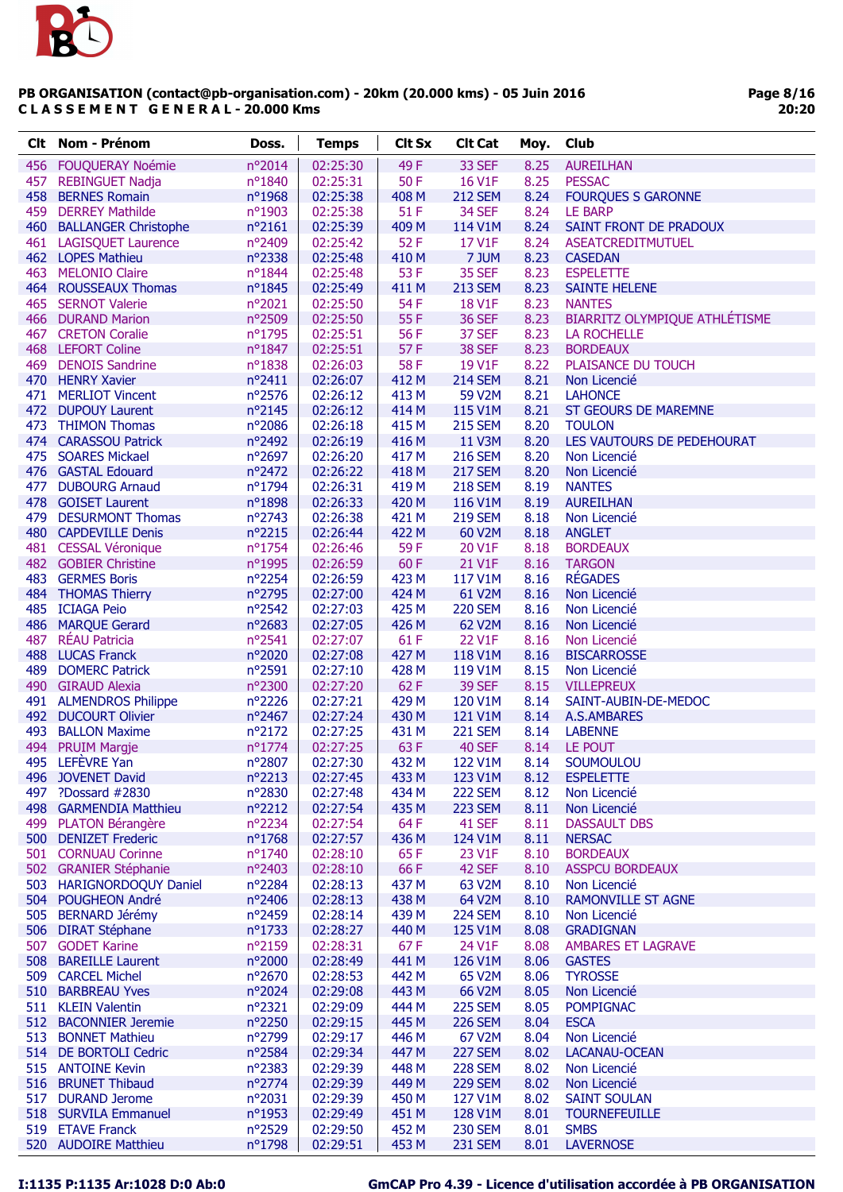

|     | <b>Clt</b> Nom - Prénom                      | Doss.                     | <b>Temps</b>         | <b>Clt Sx</b>  | <b>Clt Cat</b>                  | Moy.         | <b>Club</b>                                    |
|-----|----------------------------------------------|---------------------------|----------------------|----------------|---------------------------------|--------------|------------------------------------------------|
|     | 456 FOUQUERAY Noémie                         | nº2014                    | 02:25:30             | 49F            | 33 SEF                          | 8.25         | <b>AUREILHAN</b>                               |
|     | 457 REBINGUET Nadja                          | nº1840                    | 02:25:31             | 50 F           | 16 V1F                          | 8.25         | <b>PESSAC</b>                                  |
|     | 458 BERNES Romain                            | nº1968                    | 02:25:38             | 408 M          | <b>212 SEM</b>                  | 8.24         | <b>FOURQUES S GARONNE</b>                      |
|     | 459 DERREY Mathilde                          | nº1903                    | 02:25:38             | 51 F           | 34 SEF                          | 8.24         | LE BARP                                        |
|     | 460 BALLANGER Christophe                     | $n^{\circ}2161$           | 02:25:39             | 409 M          | 114 V1M                         | 8.24         | SAINT FRONT DE PRADOUX                         |
|     | 461 LAGISQUET Laurence                       | nº2409                    | 02:25:42             | 52 F           | 17 V1F                          | 8.24         | ASEATCREDITMUTUEL                              |
|     | 462 LOPES Mathieu                            | nº2338                    | 02:25:48             | 410 M          | 7 JUM                           | 8.23         | <b>CASEDAN</b>                                 |
|     | 463 MELONIO Claire                           | nº1844                    | 02:25:48             | 53 F           | 35 SEF                          | 8.23         | <b>ESPELETTE</b>                               |
|     | 464 ROUSSEAUX Thomas                         | nº1845                    | 02:25:49             | 411 M          | <b>213 SEM</b>                  | 8.23         | <b>SAINTE HELENE</b>                           |
|     | 465 SERNOT Valerie<br>466 DURAND Marion      | nº2021<br>n°2509          | 02:25:50<br>02:25:50 | 54 F<br>55F    | 18 V1F<br><b>36 SEF</b>         | 8.23<br>8.23 | <b>NANTES</b><br>BIARRITZ OLYMPIQUE ATHLÉTISME |
|     | 467 CRETON Coralie                           | nº1795                    | 02:25:51             | 56 F           | 37 SEF                          | 8.23         | <b>LA ROCHELLE</b>                             |
|     | 468 LEFORT Coline                            | $n^o$ 1847                | 02:25:51             | 57 F           | 38 SEF                          | 8.23         | <b>BORDEAUX</b>                                |
|     | 469 DENOIS Sandrine                          | n°1838                    | 02:26:03             | 58F            | 19 V1F                          | 8.22         | PLAISANCE DU TOUCH                             |
|     | 470 HENRY Xavier                             | $n^{\circ}2411$           | 02:26:07             | 412 M          | <b>214 SEM</b>                  | 8.21         | Non Licencié                                   |
|     | 471 MERLIOT Vincent                          | nº2576                    | 02:26:12             | 413 M          | 59 V2M                          | 8.21         | <b>LAHONCE</b>                                 |
|     | 472 DUPOUY Laurent                           | nº2145                    | 02:26:12             | 414 M          | 115 V1M                         | 8.21         | <b>ST GEOURS DE MAREMNE</b>                    |
|     | 473 THIMON Thomas                            | nº2086                    | 02:26:18             | 415 M          | <b>215 SEM</b>                  | 8.20         | <b>TOULON</b>                                  |
|     | 474 CARASSOU Patrick                         | nº2492                    | 02:26:19             | 416 M          | 11 V3M                          | 8.20         | LES VAUTOURS DE PEDEHOURAT                     |
|     | 475 SOARES Mickael                           | nº2697                    | 02:26:20             | 417 M          | <b>216 SEM</b>                  | 8.20         | Non Licencié                                   |
|     | 476 GASTAL Edouard                           | nº2472                    | 02:26:22             | 418 M          | <b>217 SEM</b>                  | 8.20         | Non Licencié                                   |
|     | 477 DUBOURG Arnaud                           | nº1794                    | 02:26:31             | 419 M          | <b>218 SEM</b>                  | 8.19         | <b>NANTES</b>                                  |
|     | 478 GOISET Laurent                           | nº1898                    | 02:26:33             | 420 M          | 116 V1M                         | 8.19         | <b>AUREILHAN</b>                               |
|     | 479 DESURMONT Thomas<br>480 CAPDEVILLE Denis | nº2743<br>n°2215          | 02:26:38<br>02:26:44 | 421 M<br>422 M | <b>219 SEM</b><br>60 V2M        | 8.18         | Non Licencié<br><b>ANGLET</b>                  |
|     | 481 CESSAL Véronique                         | nº1754                    | 02:26:46             | 59F            | 20 V1F                          | 8.18<br>8.18 | <b>BORDEAUX</b>                                |
|     | 482 GOBIER Christine                         | nº1995                    | 02:26:59             | 60F            | 21 V1F                          | 8.16         | <b>TARGON</b>                                  |
|     | 483 GERMES Boris                             | nº2254                    | 02:26:59             | 423 M          | 117 V1M                         | 8.16         | <b>RÉGADES</b>                                 |
|     | 484 THOMAS Thierry                           | nº2795                    | 02:27:00             | 424 M          | 61 V2M                          | 8.16         | Non Licencié                                   |
|     | 485 ICIAGA Peio                              | nº2542                    | 02:27:03             | 425 M          | <b>220 SEM</b>                  | 8.16         | Non Licencié                                   |
|     | 486 MARQUE Gerard                            | nº2683                    | 02:27:05             | 426 M          | 62 V2M                          | 8.16         | Non Licencié                                   |
| 487 | <b>RÉAU Patricia</b>                         | nº2541                    | 02:27:07             | 61F            | 22 V1F                          | 8.16         | Non Licencié                                   |
|     | 488 LUCAS Franck                             | nº2020                    | 02:27:08             | 427 M          | 118 V1M                         | 8.16         | <b>BISCARROSSE</b>                             |
|     | 489 DOMERC Patrick                           | n°2591                    | 02:27:10             | 428 M          | 119 V1M                         | 8.15         | Non Licencié                                   |
|     | 490 GIRAUD Alexia                            | nº2300                    | 02:27:20             | 62 F           | <b>39 SEF</b>                   | 8.15         | <b>VILLEPREUX</b>                              |
|     | 491 ALMENDROS Philippe                       | $n^{\circ}2226$           | 02:27:21             | 429 M          | 120 V1M                         | 8.14         | SAINT-AUBIN-DE-MEDOC                           |
|     | 492 DUCOURT Olivier                          | nº2467                    | 02:27:24             | 430 M          | 121 V1M                         | 8.14         | A.S.AMBARES                                    |
| 493 | <b>BALLON Maxime</b><br>494 PRUIM Margje     | nº2172<br>nº1774          | 02:27:25<br>02:27:25 | 431 M<br>63 F  | <b>221 SEM</b><br><b>40 SEF</b> | 8.14<br>8.14 | <b>LABENNE</b><br>LE POUT                      |
|     | 495 LEFEVRE Yan                              | nº2807                    | 02:27:30             | 432 M          | 122 V1M                         |              | 8.14 SOUMOULOU                                 |
|     | 496 JOVENET David                            | n°2213                    | 02:27:45             | 433 M          | 123 V1M                         | 8.12         | <b>ESPELETTE</b>                               |
| 497 | ?Dossard #2830                               | nº2830                    | 02:27:48             | 434 M          | <b>222 SEM</b>                  | 8.12         | Non Licencié                                   |
|     | 498 GARMENDIA Matthieu                       | nº2212                    | 02:27:54             | 435 M          | <b>223 SEM</b>                  | 8.11         | Non Licencié                                   |
|     | 499 PLATON Bérangère                         | nº2234                    | 02:27:54             | 64F            | 41 SEF                          | 8.11         | <b>DASSAULT DBS</b>                            |
|     | 500 DENIZET Frederic                         | nº1768                    | 02:27:57             | 436 M          | 124 V1M                         | 8.11         | <b>NERSAC</b>                                  |
|     | 501 CORNUAU Corinne                          | nº1740                    | 02:28:10             | 65F            | 23 V1F                          | 8.10         | <b>BORDEAUX</b>                                |
|     | 502 GRANIER Stéphanie                        | nº2403                    | 02:28:10             | 66 F           | 42 SEF                          | 8.10         | <b>ASSPCU BORDEAUX</b>                         |
|     | 503 HARIGNORDOQUY Daniel                     | nº2284                    | 02:28:13             | 437 M          | 63 V2M                          | 8.10         | Non Licencié                                   |
|     | 504 POUGHEON André                           | nº2406                    | 02:28:13             | 438 M          | 64 V2M                          | 8.10         | <b>RAMONVILLE ST AGNE</b>                      |
|     | 505 BERNARD Jérémy                           | nº2459                    | 02:28:14             | 439 M          | <b>224 SEM</b>                  | 8.10         | Non Licencié                                   |
|     | 506 DIRAT Stéphane                           | $n^o$ 1733                | 02:28:27             | 440 M          | 125 V1M                         | 8.08         | <b>GRADIGNAN</b>                               |
|     | 507 GODET Karine<br>508 BAREILLE Laurent     | $n^{\circ}2159$<br>nº2000 | 02:28:31<br>02:28:49 | 67 F<br>441 M  | 24 V1F<br>126 V1M               | 8.08<br>8.06 | <b>AMBARES ET LAGRAVE</b><br><b>GASTES</b>     |
|     | 509 CARCEL Michel                            | nº2670                    | 02:28:53             | 442 M          | 65 V2M                          | 8.06         | <b>TYROSSE</b>                                 |
|     | 510 BARBREAU Yves                            | nº2024                    | 02:29:08             | 443 M          | 66 V2M                          | 8.05         | Non Licencié                                   |
|     | 511 KLEIN Valentin                           | nº2321                    | 02:29:09             | 444 M          | <b>225 SEM</b>                  | 8.05         | <b>POMPIGNAC</b>                               |
|     | 512 BACONNIER Jeremie                        | nº2250                    | 02:29:15             | 445 M          | <b>226 SEM</b>                  | 8.04         | <b>ESCA</b>                                    |
|     | 513 BONNET Mathieu                           | n°2799                    | 02:29:17             | 446 M          | 67 V2M                          | 8.04         | Non Licencié                                   |
|     | 514 DE BORTOLI Cedric                        | nº2584                    | 02:29:34             | 447 M          | <b>227 SEM</b>                  | 8.02         | LACANAU-OCEAN                                  |
|     | 515 ANTOINE Kevin                            | $n^{\circ}2383$           | 02:29:39             | 448 M          | <b>228 SEM</b>                  | 8.02         | Non Licencié                                   |
|     | 516 BRUNET Thibaud                           | nº2774                    | 02:29:39             | 449 M          | <b>229 SEM</b>                  | 8.02         | Non Licencié                                   |
| 517 | <b>DURAND Jerome</b>                         | $n^{\circ}2031$           | 02:29:39             | 450 M          | 127 V1M                         | 8.02         | <b>SAINT SOULAN</b>                            |
|     | 518 SURVILA Emmanuel                         | nº1953                    | 02:29:49             | 451 M          | 128 V1M                         | 8.01         | <b>TOURNEFEUILLE</b>                           |
|     | 519 ETAVE Franck                             | nº2529                    | 02:29:50             | 452 M          | <b>230 SEM</b>                  | 8.01         | <b>SMBS</b>                                    |
|     | 520 AUDOIRE Matthieu                         | nº1798                    | 02:29:51             | 453 M          | <b>231 SEM</b>                  | 8.01         | <b>LAVERNOSE</b>                               |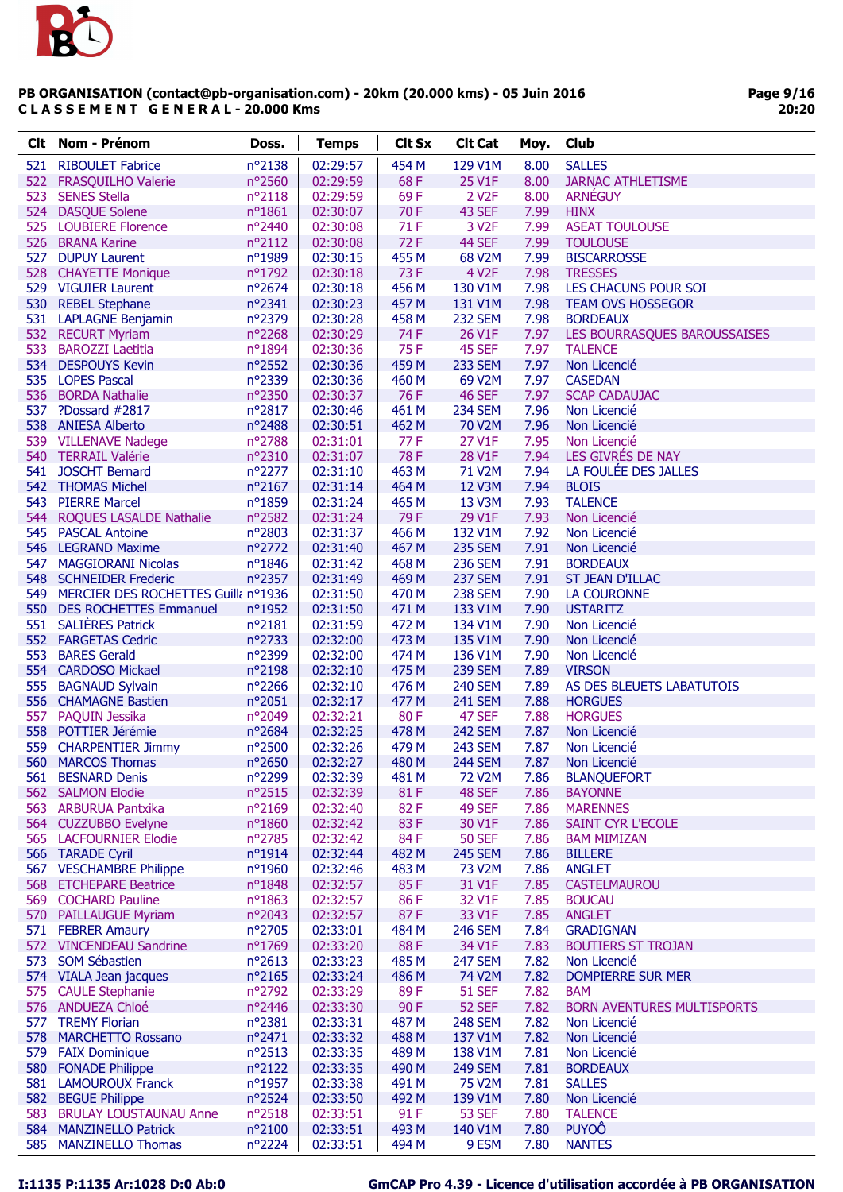

Page 9/16 20:20

| Clt i | Nom - Prénom                                                      | Doss.                     | <b>Temps</b>         | <b>Clt Sx</b>  | <b>Clt Cat</b>                   | Moy.         | <b>Club</b>                                       |
|-------|-------------------------------------------------------------------|---------------------------|----------------------|----------------|----------------------------------|--------------|---------------------------------------------------|
| 521   | <b>RIBOULET Fabrice</b>                                           | nº2138                    | 02:29:57             | 454 M          | 129 V1M                          | 8.00         | <b>SALLES</b>                                     |
|       | 522 FRASQUILHO Valerie                                            | nº2560                    | 02:29:59             | 68F            | 25 V1F                           | 8.00         | <b>JARNAC ATHLETISME</b>                          |
| 523   | <b>SENES Stella</b>                                               | $n^o$ 2118                | 02:29:59             | 69F            | 2 V <sub>2</sub> F               | 8.00         | <b>ARNÉGUY</b>                                    |
|       | 524 DASQUE Solene                                                 | $n^o$ 1861                | 02:30:07             | 70F            | 43 SEF                           | 7.99         | <b>HINX</b>                                       |
|       | 525 LOUBIERE Florence                                             | nº2440                    | 02:30:08             | 71 F           | 3 V <sub>2</sub> F               | 7.99         | <b>ASEAT TOULOUSE</b>                             |
|       | 526 BRANA Karine                                                  | $n^o2112$                 | 02:30:08             | 72F            | 44 SEF                           | 7.99         | <b>TOULOUSE</b>                                   |
|       | 527 DUPUY Laurent                                                 | nº1989                    | 02:30:15             | 455 M          | 68 V2M                           | 7.99         | <b>BISCARROSSE</b>                                |
|       | 528 CHAYETTE Monique                                              | nº1792                    | 02:30:18             | 73 F           | 4 V <sub>2</sub> F               | 7.98         | <b>TRESSES</b>                                    |
|       | 529 VIGUIER Laurent                                               | nº2674                    | 02:30:18             | 456 M          | 130 V1M                          | 7.98         | LES CHACUNS POUR SOI                              |
|       | 530 REBEL Stephane                                                | nº2341                    | 02:30:23             | 457 M          | 131 V1M                          | 7.98         | <b>TEAM OVS HOSSEGOR</b>                          |
|       | 531 LAPLAGNE Benjamin                                             | nº2379                    | 02:30:28             | 458 M          | <b>232 SEM</b>                   | 7.98         | <b>BORDEAUX</b>                                   |
|       | 532 RECURT Myriam                                                 | nº2268                    | 02:30:29             | 74 F           | 26 V1F                           | 7.97         | LES BOURRASQUES BAROUSSAISES                      |
| 533   | <b>BAROZZI Laetitia</b>                                           | nº1894                    | 02:30:36             | 75 F           | 45 SEF                           | 7.97         | <b>TALENCE</b>                                    |
|       | 534 DESPOUYS Kevin                                                | $n^{\circ}2552$           | 02:30:36             | 459 M          | <b>233 SEM</b>                   | 7.97         | Non Licencié                                      |
|       | 535 LOPES Pascal                                                  | nº2339                    | 02:30:36             | 460 M          | 69 V2M                           | 7.97         | <b>CASEDAN</b>                                    |
|       | 536 BORDA Nathalie                                                | nº2350                    | 02:30:37             | 76 F           | <b>46 SEF</b>                    | 7.97         | <b>SCAP CADAUJAC</b>                              |
|       | 537 ?Dossard #2817                                                | nº2817                    | 02:30:46             | 461 M          | <b>234 SEM</b>                   | 7.96         | Non Licencié                                      |
|       | 538 ANIESA Alberto                                                | nº2488                    | 02:30:51             | 462 M          | 70 V2M                           | 7.96         | Non Licencié                                      |
|       | 539 VILLENAVE Nadege                                              | nº2788                    | 02:31:01             | 77 F           | 27 V1F                           | 7.95         | Non Licencié                                      |
|       | 540 TERRAIL Valérie                                               | nº2310                    | 02:31:07             | 78F            | 28 V1F                           | 7.94         | LES GIVRÉS DE NAY                                 |
|       | 541 JOSCHT Bernard                                                | nº2277                    | 02:31:10             | 463 M          | 71 V2M                           | 7.94         | LA FOULÉE DES JALLES                              |
|       | 542 THOMAS Michel                                                 | nº2167                    | 02:31:14             | 464 M          | <b>12 V3M</b>                    | 7.94         | <b>BLOIS</b>                                      |
| 543   | <b>PIERRE Marcel</b>                                              | nº1859                    | 02:31:24             | 465 M          | 13 V3M                           | 7.93         | <b>TALENCE</b>                                    |
|       | 544 ROQUES LASALDE Nathalie                                       | nº2582                    | 02:31:24             | 79F            | 29 V1F                           | 7.93         | Non Licencié                                      |
|       | 545 PASCAL Antoine                                                | n°2803                    | 02:31:37             | 466 M          | 132 V1M                          | 7.92         | Non Licencié                                      |
|       | 546 LEGRAND Maxime                                                | nº2772                    | 02:31:40             | 467 M          | <b>235 SEM</b>                   | 7.91         | Non Licencié                                      |
| 547   | <b>MAGGIORANI Nicolas</b>                                         | nº1846<br>nº2357          | 02:31:42             | 468 M          | <b>236 SEM</b>                   | 7.91<br>7.91 | <b>BORDEAUX</b>                                   |
|       | 548 SCHNEIDER Frederic<br>549 MERCIER DES ROCHETTES Guilla nº1936 |                           | 02:31:49<br>02:31:50 | 469 M<br>470 M | <b>237 SEM</b><br><b>238 SEM</b> | 7.90         | ST JEAN D'ILLAC<br><b>LA COURONNE</b>             |
|       | 550 DES ROCHETTES Emmanuel                                        | nº1952                    | 02:31:50             | 471 M          | 133 V1M                          | 7.90         | <b>USTARITZ</b>                                   |
|       | 551 SALIÈRES Patrick                                              | n°2181                    | 02:31:59             | 472 M          | 134 V1M                          | 7.90         | Non Licencié                                      |
|       | 552 FARGETAS Cedric                                               | nº2733                    | 02:32:00             | 473 M          | 135 V1M                          | 7.90         | Non Licencié                                      |
| 553   | <b>BARES Gerald</b>                                               | nº2399                    | 02:32:00             | 474 M          | 136 V1M                          | 7.90         | Non Licencié                                      |
|       | 554 CARDOSO Mickael                                               | nº2198                    | 02:32:10             | 475 M          | <b>239 SEM</b>                   | 7.89         | <b>VIRSON</b>                                     |
| 555   | <b>BAGNAUD Sylvain</b>                                            | nº2266                    | 02:32:10             | 476 M          | <b>240 SEM</b>                   | 7.89         | AS DES BLEUETS LABATUTOIS                         |
|       | 556 CHAMAGNE Bastien                                              | nº2051                    | 02:32:17             | 477 M          | <b>241 SEM</b>                   | 7.88         | <b>HORGUES</b>                                    |
| 557   | PAQUIN Jessika                                                    | nº2049                    | 02:32:21             | 80F            | 47 SEF                           | 7.88         | <b>HORGUES</b>                                    |
|       | 558 POTTIER Jérémie                                               | $n^{\circ}2684$           | 02:32:25             | 478 M          | <b>242 SEM</b>                   | 7.87         | Non Licencié                                      |
| 559   | <b>CHARPENTIER Jimmy</b>                                          | nº2500                    | 02:32:26             | 479 M          | <b>243 SEM</b>                   | 7.87         | Non Licencié                                      |
| 560   | <b>MARCOS Thomas</b>                                              | nº2650                    | 02:32:27             | 480 M          | <b>244 SEM</b>                   | 7.87         | Non Licencié                                      |
|       | 561 BESNARD Denis                                                 | nº2299                    | 02:32:39             | 481 M          | <b>72 V2M</b>                    | 7.86         | <b>BLANQUEFORT</b>                                |
|       | 562 SALMON Elodie                                                 | $n^{\circ}2515$           | 02:32:39             | 81F            | 48 SEF                           | 7.86         | <b>BAYONNE</b>                                    |
|       | 563 ARBURUA Pantxika                                              | nº2169                    | 02:32:40             | 82F            | 49 SEF                           | 7.86         | <b>MARENNES</b>                                   |
|       | 564 CUZZUBBO Evelyne                                              | nº1860                    | 02:32:42             | 83F            | 30 V1F                           | 7.86         | <b>SAINT CYR L'ECOLE</b>                          |
|       | 565 LACFOURNIER Elodie                                            | nº2785                    | 02:32:42             | 84F            | <b>50 SEF</b>                    | 7.86         | <b>BAM MIMIZAN</b>                                |
|       | 566 TARADE Cyril                                                  | $n^{\circ}1914$           | 02:32:44             | 482 M          | <b>245 SEM</b>                   | 7.86         | <b>BILLERE</b>                                    |
|       | 567 VESCHAMBRE Philippe                                           | nº1960                    | 02:32:46             | 483 M          | 73 V2M                           | 7.86         | <b>ANGLET</b>                                     |
|       | 568 ETCHEPARE Beatrice                                            | nº1848                    | 02:32:57             | 85F            | 31 V1F                           | 7.85         | <b>CASTELMAUROU</b>                               |
|       | 569 COCHARD Pauline                                               | nº1863                    | 02:32:57             | 86F            | 32 V1F                           | 7.85         | <b>BOUCAU</b>                                     |
|       | 570 PAILLAUGUE Myriam                                             | nº2043                    | 02:32:57             | 87F            | 33 V1F                           | 7.85         | <b>ANGLET</b>                                     |
|       | 571 FEBRER Amaury                                                 | nº2705                    | 02:33:01             | 484 M          | <b>246 SEM</b>                   | 7.84         | <b>GRADIGNAN</b>                                  |
|       | 572 VINCENDEAU Sandrine                                           | nº1769                    | 02:33:20             | 88F            | 34 V1F                           | 7.83         | <b>BOUTIERS ST TROJAN</b>                         |
|       | 573 SOM Sébastien                                                 | $n^{\circ}2613$           | 02:33:23             | 485 M          | <b>247 SEM</b>                   | 7.82         | Non Licencié                                      |
|       | 574 VIALA Jean jacques<br>575 CAULE Stephanie                     | nº2165<br>nº2792          | 02:33:24<br>02:33:29 | 486 M<br>89F   | 74 V2M<br><b>51 SEF</b>          | 7.82<br>7.82 | <b>DOMPIERRE SUR MER</b><br><b>BAM</b>            |
|       | 576 ANDUEZA Chloé                                                 |                           |                      | 90F            | 52 SEF                           |              |                                                   |
|       | 577 TREMY Florian                                                 | nº2446<br>$n^{\circ}2381$ | 02:33:30<br>02:33:31 | 487 M          | <b>248 SEM</b>                   | 7.82<br>7.82 | <b>BORN AVENTURES MULTISPORTS</b><br>Non Licencié |
| 578   | <b>MARCHETTO Rossano</b>                                          | $n^{\circ}2471$           | 02:33:32             | 488 M          | 137 V1M                          | 7.82         | Non Licencié                                      |
|       | 579 FAIX Dominique                                                | $n^{\circ}2513$           | 02:33:35             | 489 M          | 138 V1M                          | 7.81         | Non Licencié                                      |
|       | 580 FONADE Philippe                                               | nº2122                    | 02:33:35             | 490 M          | <b>249 SEM</b>                   | 7.81         | <b>BORDEAUX</b>                                   |
|       | 581 LAMOUROUX Franck                                              | nº1957                    | 02:33:38             | 491 M          | 75 V2M                           | 7.81         | <b>SALLES</b>                                     |
|       | 582 BEGUE Philippe                                                | nº2524                    | 02:33:50             | 492 M          | 139 V1M                          | 7.80         | Non Licencié                                      |
| 583   | <b>BRULAY LOUSTAUNAU Anne</b>                                     | $n^{\circ}2518$           | 02:33:51             | 91 F           | <b>53 SEF</b>                    | 7.80         | <b>TALENCE</b>                                    |
|       | 584 MANZINELLO Patrick                                            | n°2100                    | 02:33:51             | 493 M          | 140 V1M                          | 7.80         | <b>PUYOÔ</b>                                      |
|       | 585 MANZINELLO Thomas                                             | nº2224                    | 02:33:51             | 494 M          | 9 ESM                            | 7.80         | <b>NANTES</b>                                     |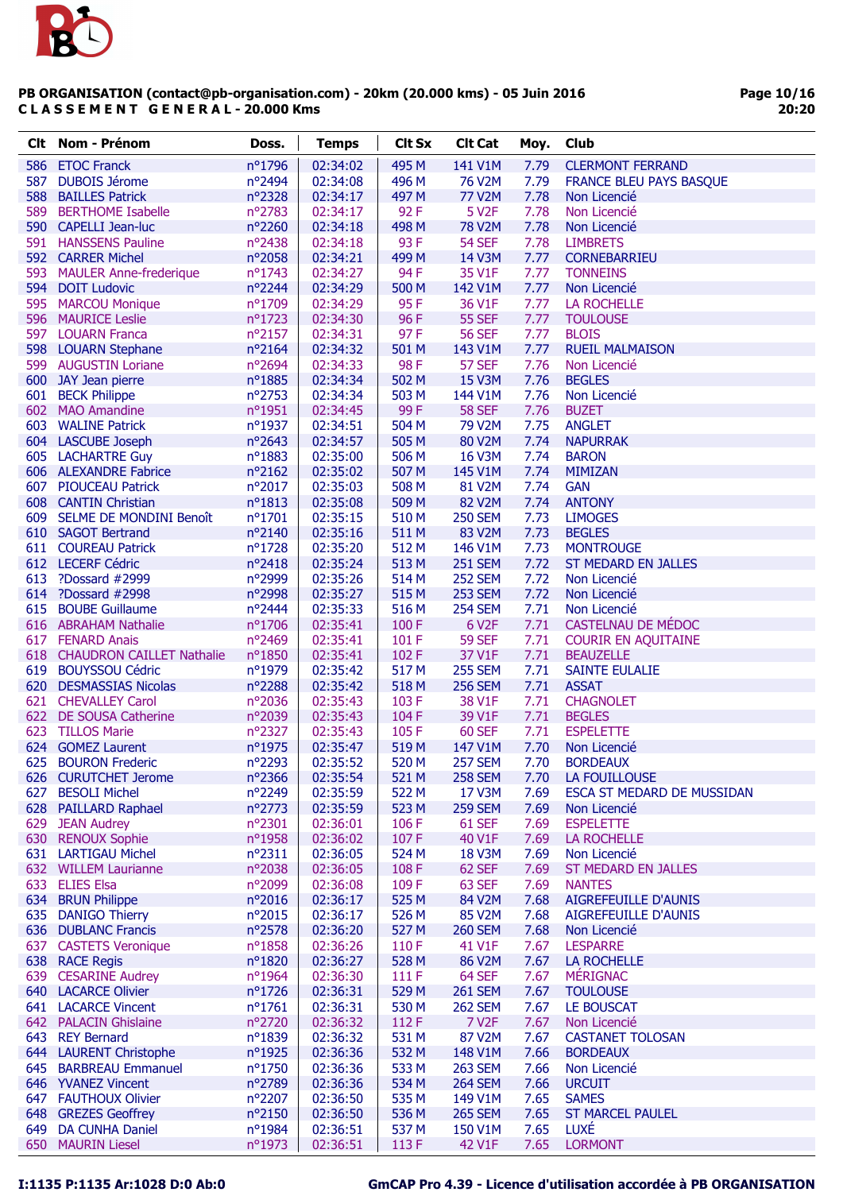

| Clt | Nom - Prénom                  | Doss.            | <b>Temps</b> | <b>Clt Sx</b> | <b>Clt Cat</b>     | Moy. | Club                       |
|-----|-------------------------------|------------------|--------------|---------------|--------------------|------|----------------------------|
| 586 | <b>ETOC Franck</b>            | nº1796           | 02:34:02     | 495 M         | 141 V1M            | 7.79 | <b>CLERMONT FERRAND</b>    |
| 587 | <b>DUBOIS Jérome</b>          | nº2494           | 02:34:08     | 496 M         | 76 V2M             | 7.79 | FRANCE BLEU PAYS BASQUE    |
| 588 | <b>BAILLES Patrick</b>        | nº2328           | 02:34:17     | 497 M         | <b>77 V2M</b>      | 7.78 | Non Licencié               |
|     | 589 BERTHOME Isabelle         | nº2783           | 02:34:17     | 92F           | 5 V <sub>2</sub> F | 7.78 | Non Licencié               |
|     | 590 CAPELLI Jean-luc          | nº2260           | 02:34:18     | 498 M         | <b>78 V2M</b>      | 7.78 | Non Licencié               |
|     | 591 HANSSENS Pauline          | nº2438           | 02:34:18     | 93F           | <b>54 SEF</b>      | 7.78 | <b>LIMBRETS</b>            |
|     | 592 CARRER Michel             | nº2058           | 02:34:21     | 499 M         | 14 V3M             | 7.77 | <b>CORNEBARRIEU</b>        |
|     | 593 MAULER Anne-frederique    | nº1743           | 02:34:27     | 94 F          | 35 V1F             | 7.77 | <b>TONNEINS</b>            |
|     | 594 DOIT Ludovic              | nº2244           | 02:34:29     | 500 M         | 142 V1M            | 7.77 | Non Licencié               |
|     | 595 MARCOU Monique            | nº1709           | 02:34:29     | 95F           | 36 V1F             | 7.77 | <b>LA ROCHELLE</b>         |
|     | 596 MAURICE Leslie            | $n^{\circ}$ 1723 | 02:34:30     | 96F           | <b>55 SEF</b>      | 7.77 | <b>TOULOUSE</b>            |
|     | 597 LOUARN Franca             | nº2157           | 02:34:31     | 97F           | <b>56 SEF</b>      | 7.77 | <b>BLOIS</b>               |
|     | 598 LOUARN Stephane           | nº2164           | 02:34:32     | 501 M         | 143 V1M            | 7.77 | <b>RUEIL MALMAISON</b>     |
|     | 599 AUGUSTIN Loriane          | nº2694           | 02:34:33     | 98F           | 57 SEF             | 7.76 | Non Licencié               |
|     | 600 JAY Jean pierre           | nº1885           | 02:34:34     | 502 M         | 15 V3M             | 7.76 | <b>BEGLES</b>              |
|     | 601 BECK Philippe             | nº2753           | 02:34:34     | 503 M         | 144 V1M            | 7.76 | Non Licencié               |
|     | 602 MAO Amandine              | nº1951           | 02:34:45     | 99F           | <b>58 SEF</b>      | 7.76 | <b>BUZET</b>               |
|     | 603 WALINE Patrick            | $n^{\circ}$ 1937 | 02:34:51     | 504 M         | 79 V2M             | 7.75 | <b>ANGLET</b>              |
|     | 604 LASCUBE Joseph            | nº2643           | 02:34:57     | 505 M         | 80 V2M             | 7.74 | <b>NAPURRAK</b>            |
|     | 605 LACHARTRE Guy             | nº1883           | 02:35:00     | 506 M         | 16 V3M             | 7.74 | <b>BARON</b>               |
|     | 606 ALEXANDRE Fabrice         | $n^{\circ}2162$  | 02:35:02     | 507 M         | 145 V1M            | 7.74 | <b>MIMIZAN</b>             |
|     | 607 PIOUCEAU Patrick          | nº2017           | 02:35:03     | 508 M         | 81 V2M             | 7.74 | <b>GAN</b>                 |
|     | 608 CANTIN Christian          | $n^o$ 1813       | 02:35:08     | 509 M         | 82 V2M             | 7.74 | <b>ANTONY</b>              |
|     | 609 SELME DE MONDINI Benoît   | nº1701           | 02:35:15     | 510 M         | <b>250 SEM</b>     | 7.73 | <b>LIMOGES</b>             |
|     | 610 SAGOT Bertrand            | nº2140           | 02:35:16     | 511 M         | 83 V2M             | 7.73 | <b>BEGLES</b>              |
|     | 611 COUREAU Patrick           | nº1728           | 02:35:20     | 512 M         | 146 V1M            | 7.73 | <b>MONTROUGE</b>           |
|     | 612 LECERF Cédric             | nº2418           | 02:35:24     | 513 M         | <b>251 SEM</b>     | 7.72 | <b>ST MEDARD EN JALLES</b> |
| 613 | ?Dossard #2999                | n°2999           | 02:35:26     | 514 M         | <b>252 SEM</b>     | 7.72 | Non Licencié               |
|     | 614 ?Dossard #2998            | n°2998           | 02:35:27     | 515 M         | <b>253 SEM</b>     | 7.72 | Non Licencié               |
|     | 615 BOUBE Guillaume           | nº2444           | 02:35:33     | 516 M         | <b>254 SEM</b>     | 7.71 | Non Licencié               |
|     | 616 ABRAHAM Nathalie          | nº1706           | 02:35:41     | 100F          | 6 V <sub>2</sub> F | 7.71 | CASTELNAU DE MÉDOC         |
|     | 617 FENARD Anais              | nº2469           | 02:35:41     | 101F          | <b>59 SEF</b>      | 7.71 | <b>COURIR EN AQUITAINE</b> |
|     | 618 CHAUDRON CAILLET Nathalie | nº1850           | 02:35:41     | 102F          | 37 V1F             | 7.71 | <b>BEAUZELLE</b>           |
|     | 619 BOUYSSOU Cédric           | n°1979           | 02:35:42     | 517 M         | <b>255 SEM</b>     | 7.71 | <b>SAINTE EULALIE</b>      |
|     | 620 DESMASSIAS Nicolas        | nº2288           | 02:35:42     | 518 M         | <b>256 SEM</b>     | 7.71 | <b>ASSAT</b>               |
|     | 621 CHEVALLEY Carol           | nº2036           | 02:35:43     | 103 F         | 38 V1F             | 7.71 | <b>CHAGNOLET</b>           |
|     | 622 DE SOUSA Catherine        | nº2039           | 02:35:43     | 104F          | 39 V1F             | 7.71 | <b>BEGLES</b>              |
|     | 623 TILLOS Marie              | nº2327           | 02:35:43     | 105F          | <b>60 SEF</b>      | 7.71 | <b>ESPELETTE</b>           |
|     | 624 GOMEZ Laurent             | nº1975           | 02:35:47     | 519 M         | 147 V1M            | 7.70 | Non Licencié               |
| 625 | <b>BOURON Frederic</b>        | nº2293           | 02:35:52     | 520 M         | <b>257 SEM</b>     | 7.70 | <b>BORDEAUX</b>            |
|     | 626 CURUTCHET Jerome          | nº2366           | 02:35:54     | 521 M         | <b>258 SEM</b>     | 7.70 | LA FOUILLOUSE              |
| 627 | <b>BESOLI Michel</b>          | nº2249           | 02:35:59     | 522 M         | 17 V3M             | 7.69 | ESCA ST MEDARD DE MUSSIDAN |
|     | 628 PAILLARD Raphael          | nº2773           | 02:35:59     | 523 M         | <b>259 SEM</b>     | 7.69 | Non Licencié               |
|     | 629 JEAN Audrey               | nº2301           | 02:36:01     | 106 F         | 61 SEF             | 7.69 | <b>ESPELETTE</b>           |
|     | 630 RENOUX Sophie             | nº1958           | 02:36:02     | 107F          | 40 V1F             | 7.69 | <b>LA ROCHELLE</b>         |
|     | 631 LARTIGAU Michel           | $n^{\circ}2311$  | 02:36:05     | 524 M         | <b>18 V3M</b>      | 7.69 | Non Licencié               |
|     | 632 WILLEM Laurianne          | nº2038           | 02:36:05     | 108F          | 62 SEF             | 7.69 | <b>ST MEDARD EN JALLES</b> |
|     | 633 ELIES Elsa                | nº2099           | 02:36:08     | 109F          | 63 SEF             | 7.69 | <b>NANTES</b>              |
|     | 634 BRUN Philippe             | n°2016           | 02:36:17     | 525 M         | 84 V2M             | 7.68 | AIGREFEUILLE D'AUNIS       |
| 635 | <b>DANIGO Thierry</b>         | n°2015           | 02:36:17     | 526 M         | 85 V2M             | 7.68 | AIGREFEUILLE D'AUNIS       |
|     | 636 DUBLANC Francis           | nº2578           | 02:36:20     | 527 M         | <b>260 SEM</b>     | 7.68 | Non Licencié               |
|     | 637 CASTETS Veronique         | $n^o$ 1858       | 02:36:26     | 110F          | 41 V1F             | 7.67 | <b>LESPARRE</b>            |
|     | 638 RACE Regis                | nº1820           | 02:36:27     | 528 M         | 86 V2M             | 7.67 | <b>LA ROCHELLE</b>         |
|     | 639 CESARINE Audrey           | nº1964           | 02:36:30     | 111 F         | 64 SEF             | 7.67 | <b>MÉRIGNAC</b>            |
|     | <b>640 LACARCE Olivier</b>    | nº1726           | 02:36:31     | 529 M         | <b>261 SEM</b>     | 7.67 | <b>TOULOUSE</b>            |
|     | <b>641 LACARCE Vincent</b>    | $n^o$ 1761       | 02:36:31     | 530 M         | <b>262 SEM</b>     | 7.67 | LE BOUSCAT                 |
|     | 642 PALACIN Ghislaine         | nº2720           | 02:36:32     | 112F          | 7 V <sub>2</sub> F | 7.67 | Non Licencié               |
|     | 643 REY Bernard               | nº1839           | 02:36:32     | 531 M         | 87 V2M             | 7.67 | <b>CASTANET TOLOSAN</b>    |
|     | 644 LAURENT Christophe        | nº1925           | 02:36:36     | 532 M         | 148 V1M            | 7.66 | <b>BORDEAUX</b>            |
|     | 645 BARBREAU Emmanuel         | nº1750           | 02:36:36     | 533 M         | <b>263 SEM</b>     | 7.66 | Non Licencié               |
|     | 646 YVANEZ Vincent            | n°2789           | 02:36:36     | 534 M         | <b>264 SEM</b>     | 7.66 | <b>URCUIT</b>              |
|     | 647 FAUTHOUX Olivier          | nº2207           | 02:36:50     | 535 M         | 149 V1M            | 7.65 | <b>SAMES</b>               |
|     | 648 GREZES Geoffrey           | $n^{\circ}2150$  | 02:36:50     | 536 M         | <b>265 SEM</b>     | 7.65 | <b>ST MARCEL PAULEL</b>    |
| 649 | <b>DA CUNHA Daniel</b>        | nº1984           | 02:36:51     | 537 M         | 150 V1M            | 7.65 | LUXÉ                       |
|     | 650 MAURIN Liesel             | nº1973           | 02:36:51     | 113F          | 42 V1F             | 7.65 | <b>LORMONT</b>             |
|     |                               |                  |              |               |                    |      |                            |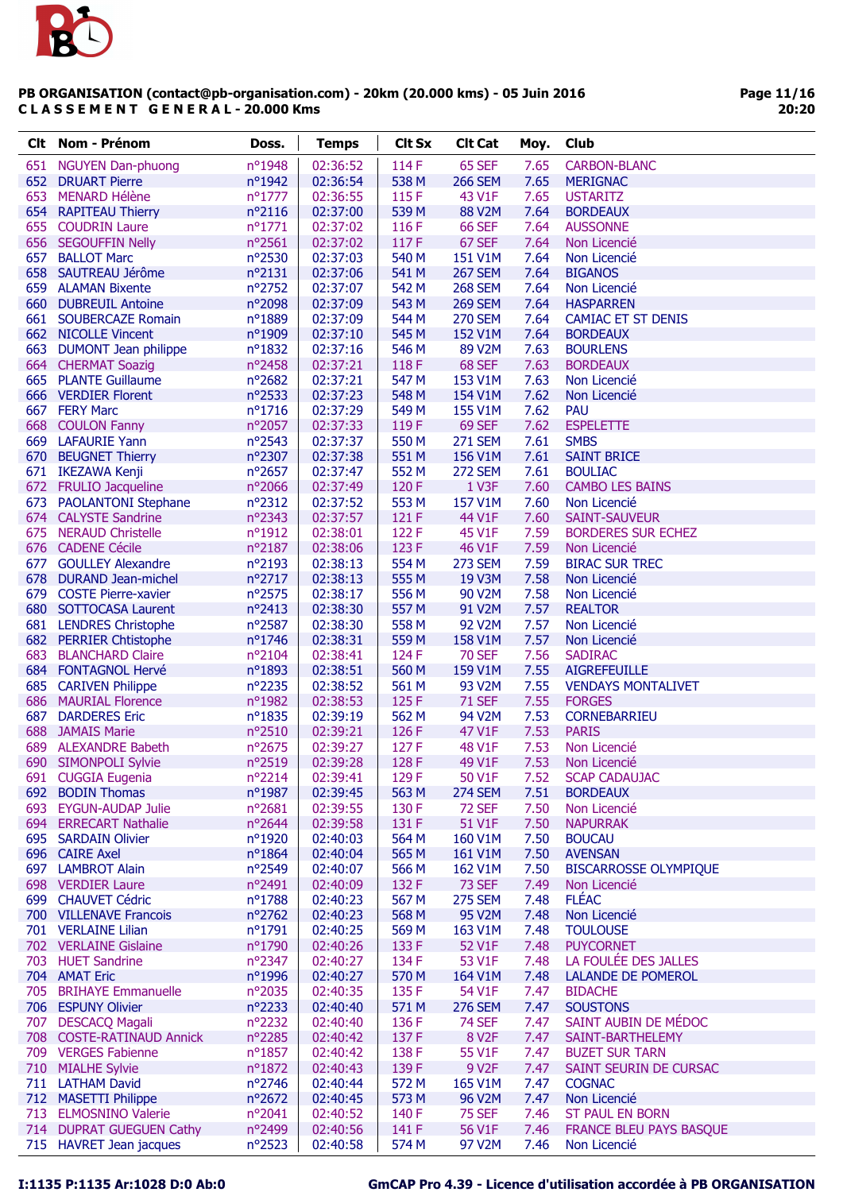

| Clt. | Nom - Prénom              | Doss.           | <b>Temps</b> | <b>Clt Sx</b> | <b>Clt Cat</b>     | Moy. | Club                         |
|------|---------------------------|-----------------|--------------|---------------|--------------------|------|------------------------------|
|      | 651 NGUYEN Dan-phuong     | nº1948          | 02:36:52     | 114 F         | 65 SEF             | 7.65 | <b>CARBON-BLANC</b>          |
|      | 652 DRUART Pierre         | nº1942          | 02:36:54     | 538 M         | <b>266 SEM</b>     | 7.65 | <b>MERIGNAC</b>              |
| 653  | <b>MENARD Hélène</b>      | nº1777          | 02:36:55     | 115 F         | 43 V1F             | 7.65 | <b>USTARITZ</b>              |
|      | 654 RAPITEAU Thierry      | $n^o$ 2116      | 02:37:00     | 539 M         | 88 V2M             | 7.64 | <b>BORDEAUX</b>              |
|      | 655 COUDRIN Laure         | nº1771          | 02:37:02     | 116F          | <b>66 SEF</b>      | 7.64 | <b>AUSSONNE</b>              |
|      | 656 SEGOUFFIN Nelly       | nº2561          | 02:37:02     | 117F          | 67 SEF             | 7.64 | Non Licencié                 |
|      | 657 BALLOT Marc           | nº2530          | 02:37:03     | 540 M         | 151 V1M            | 7.64 | Non Licencié                 |
|      | 658 SAUTREAU Jérôme       | $n^{\circ}2131$ | 02:37:06     | 541 M         | <b>267 SEM</b>     | 7.64 | <b>BIGANOS</b>               |
|      | 659 ALAMAN Bixente        | nº2752          | 02:37:07     | 542 M         | <b>268 SEM</b>     | 7.64 | Non Licencié                 |
|      | 660 DUBREUIL Antoine      | nº2098          | 02:37:09     | 543 M         | <b>269 SEM</b>     | 7.64 | <b>HASPARREN</b>             |
|      | 661 SOUBERCAZE Romain     | n°1889          | 02:37:09     | 544 M         | <b>270 SEM</b>     | 7.64 | <b>CAMIAC ET ST DENIS</b>    |
|      | 662 NICOLLE Vincent       | n°1909          | 02:37:10     | 545 M         | 152 V1M            | 7.64 | <b>BORDEAUX</b>              |
|      | 663 DUMONT Jean philippe  | $n^o$ 1832      | 02:37:16     | 546 M         | 89 V2M             | 7.63 | <b>BOURLENS</b>              |
|      | 664 CHERMAT Soazig        | nº2458          | 02:37:21     | 118 F         | 68 SEF             | 7.63 | <b>BORDEAUX</b>              |
|      | 665 PLANTE Guillaume      | nº2682          | 02:37:21     | 547 M         | 153 V1M            | 7.63 | Non Licencié                 |
|      | 666 VERDIER Florent       | nº2533          | 02:37:23     | 548 M         | 154 V1M            | 7.62 | Non Licencié                 |
|      | 667 FERY Marc             | $n^o$ 1716      | 02:37:29     | 549 M         | 155 V1M            | 7.62 | <b>PAU</b>                   |
|      | 668 COULON Fanny          | nº2057          | 02:37:33     | 119F          | 69 SEF             | 7.62 | <b>ESPELETTE</b>             |
|      | 669 LAFAURIE Yann         | $n^{\circ}2543$ | 02:37:37     | 550 M         | <b>271 SEM</b>     | 7.61 | <b>SMBS</b>                  |
|      | 670 BEUGNET Thierry       | nº2307          | 02:37:38     | 551 M         | 156 V1M            | 7.61 | <b>SAINT BRICE</b>           |
|      | 671 IKEZAWA Kenji         | nº2657          | 02:37:47     | 552 M         | <b>272 SEM</b>     | 7.61 | <b>BOULIAC</b>               |
|      | 672 FRULIO Jacqueline     | nº2066          | 02:37:49     | 120 F         | 1 V3F              | 7.60 | <b>CAMBO LES BAINS</b>       |
|      | 673 PAOLANTONI Stephane   | $n^{\circ}2312$ | 02:37:52     | 553 M         | 157 V1M            | 7.60 | Non Licencié                 |
|      | 674 CALYSTE Sandrine      | nº2343          | 02:37:57     | 121 F         | 44 V1F             | 7.60 | <b>SAINT-SAUVEUR</b>         |
|      | 675 NERAUD Christelle     | nº1912          | 02:38:01     | 122 F         | 45 V1F             | 7.59 | <b>BORDERES SUR ECHEZ</b>    |
|      | 676 CADENE Cécile         | nº2187          | 02:38:06     | 123F          | 46 V1F             | 7.59 | Non Licencié                 |
|      | 677 GOULLEY Alexandre     | nº2193          | 02:38:13     | 554 M         | <b>273 SEM</b>     | 7.59 | <b>BIRAC SUR TREC</b>        |
|      | 678 DURAND Jean-michel    | nº2717          | 02:38:13     | 555 M         | 19 V3M             | 7.58 | Non Licencié                 |
|      | 679 COSTE Pierre-xavier   | nº2575          | 02:38:17     | 556 M         | 90 V2M             | 7.58 | Non Licencié                 |
|      | 680 SOTTOCASA Laurent     | nº2413          | 02:38:30     | 557 M         | 91 V2M             | 7.57 | <b>REALTOR</b>               |
|      | 681 LENDRES Christophe    | nº2587          | 02:38:30     | 558 M         | 92 V2M             | 7.57 | Non Licencié                 |
|      | 682 PERRIER Chtistophe    | nº1746          | 02:38:31     | 559 M         | 158 V1M            | 7.57 | Non Licencié                 |
| 683  | <b>BLANCHARD Claire</b>   | $n^{\circ}2104$ | 02:38:41     | 124 F         | <b>70 SEF</b>      | 7.56 | <b>SADIRAC</b>               |
|      | 684 FONTAGNOL Hervé       | nº1893          | 02:38:51     | 560 M         | 159 V1M            | 7.55 | <b>AIGREFEUILLE</b>          |
|      | 685 CARIVEN Philippe      | nº2235          | 02:38:52     | 561 M         | 93 V2M             | 7.55 | <b>VENDAYS MONTALIVET</b>    |
|      | 686 MAURIAL Florence      | nº1982          | 02:38:53     | 125F          | <b>71 SEF</b>      | 7.55 | <b>FORGES</b>                |
| 687  | <b>DARDERES Eric</b>      | $n^o$ 1835      | 02:39:19     | 562 M         | 94 V2M             | 7.53 | <b>CORNEBARRIEU</b>          |
|      | 688 JAMAIS Marie          | nº2510          | 02:39:21     | 126 F         | 47 V1F             | 7.53 | <b>PARIS</b>                 |
| 689  | <b>ALEXANDRE Babeth</b>   | nº2675          | 02:39:27     | 127 F         | 48 V1F             | 7.53 | Non Licencié                 |
|      | 690 SIMONPOLI Sylvie      | n°2519          | 02:39:28     | 128 F         | 49 V1F             | 7.53 | Non Licencié                 |
|      | 691 CUGGIA Eugenia        | nº2214          | 02:39:41     | 129 F         | 50 V1F             | 7.52 | <b>SCAP CADAUJAC</b>         |
|      | 692 BODIN Thomas          | nº1987          | 02:39:45     | 563 M         | <b>274 SEM</b>     | 7.51 | <b>BORDEAUX</b>              |
| 693  | <b>EYGUN-AUDAP Julie</b>  | $n^{\circ}2681$ | 02:39:55     | 130 F         | <b>72 SEF</b>      | 7.50 | Non Licencié                 |
|      | 694 ERRECART Nathalie     | nº2644          | 02:39:58     | 131 F         | 51 V1F             | 7.50 | <b>NAPURRAK</b>              |
|      | 695 SARDAIN Olivier       | nº1920          | 02:40:03     | 564 M         | 160 V1M            | 7.50 | <b>BOUCAU</b>                |
|      | 696 CAIRE Axel            | nº1864          | 02:40:04     | 565 M         | 161 V1M            | 7.50 | <b>AVENSAN</b>               |
|      | 697 LAMBROT Alain         | nº2549          | 02:40:07     | 566 M         | 162 V1M            | 7.50 | <b>BISCARROSSE OLYMPIQUE</b> |
|      | 698 VERDIER Laure         | nº2491          | 02:40:09     | 132 F         | <b>73 SEF</b>      | 7.49 | Non Licencié                 |
|      | 699 CHAUVET Cédric        | nº1788          | 02:40:23     | 567 M         | <b>275 SEM</b>     | 7.48 | <b>FLÉAC</b>                 |
|      | 700 VILLENAVE Francois    | nº2762          | 02:40:23     | 568 M         | 95 V2M             | 7.48 | Non Licencié                 |
|      | 701 VERLAINE Lilian       | nº1791          | 02:40:25     | 569 M         | 163 V1M            | 7.48 | <b>TOULOUSE</b>              |
|      | 702 VERLAINE Gislaine     | nº1790          | 02:40:26     | 133 F         | 52 V1F             | 7.48 | <b>PUYCORNET</b>             |
|      | 703 HUET Sandrine         | nº2347          | 02:40:27     | 134 F         | 53 V1F             | 7.48 | LA FOULÉE DES JALLES         |
|      | 704 AMAT Eric             | nº1996          | 02:40:27     | 570 M         | 164 V1M            | 7.48 | <b>LALANDE DE POMEROL</b>    |
|      | 705 BRIHAYE Emmanuelle    | nº2035          | 02:40:35     | 135F          | 54 V1F             | 7.47 | <b>BIDACHE</b>               |
|      | 706 ESPUNY Olivier        | nº2233          | 02:40:40     | 571 M         | <b>276 SEM</b>     | 7.47 | <b>SOUSTONS</b>              |
|      | 707 DESCACQ Magali        | $n^{\circ}2232$ | 02:40:40     | 136 F         | <b>74 SEF</b>      | 7.47 | SAINT AUBIN DE MÉDOC         |
|      | 708 COSTE-RATINAUD Annick | nº2285          | 02:40:42     | 137 F         | 8 V <sub>2</sub> F | 7.47 | SAINT-BARTHELEMY             |
|      | 709 VERGES Fabienne       | n°1857          | 02:40:42     | 138 F         | 55 V1F             | 7.47 | <b>BUZET SUR TARN</b>        |
|      | 710 MIALHE Sylvie         | nº1872          | 02:40:43     | 139F          | 9 V2F              | 7.47 | SAINT SEURIN DE CURSAC       |
|      | 711 LATHAM David          | nº2746          | 02:40:44     | 572 M         | 165 V1M            | 7.47 | <b>COGNAC</b>                |
|      | 712 MASETTI Philippe      | $n^{\circ}2672$ | 02:40:45     | 573 M         | 96 V2M             | 7.47 | Non Licencié                 |
|      | 713 ELMOSNINO Valerie     | nº2041          | 02:40:52     | 140 F         | <b>75 SEF</b>      | 7.46 | <b>ST PAUL EN BORN</b>       |
|      | 714 DUPRAT GUEGUEN Cathy  | nº2499          | 02:40:56     | 141 F         | 56 V1F             | 7.46 | FRANCE BLEU PAYS BASQUE      |
|      | 715 HAVRET Jean jacques   | nº2523          | 02:40:58     | 574 M         | 97 V2M             | 7.46 | Non Licencié                 |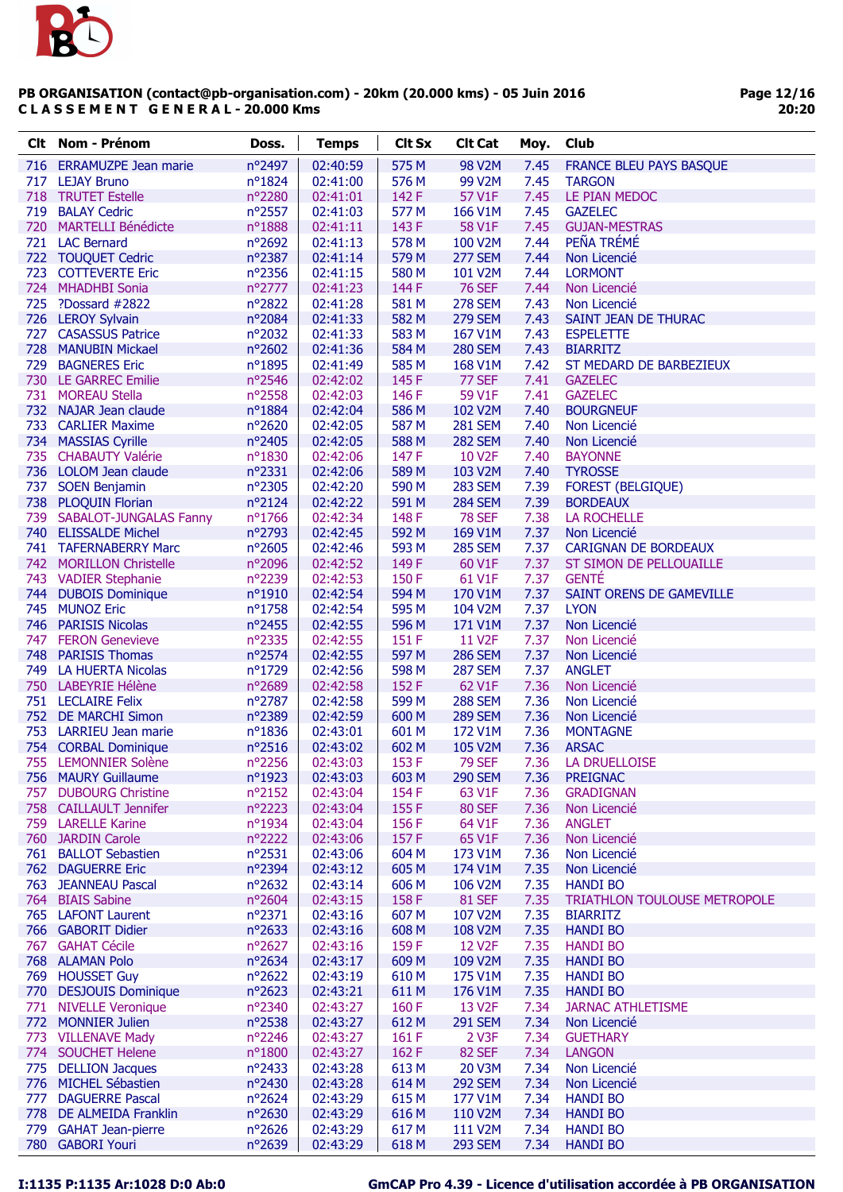

| Clt. | Nom - Prénom                                 | Doss.            | <b>Temps</b>         | <b>Clt Sx</b>  | <b>Clt Cat</b>                       | Moy.         | <b>Club</b>                              |
|------|----------------------------------------------|------------------|----------------------|----------------|--------------------------------------|--------------|------------------------------------------|
| 716  | <b>ERRAMUZPE Jean marie</b>                  | nº2497           | 02:40:59             | 575 M          | 98 V2M                               | 7.45         | <b>FRANCE BLEU PAYS BASQUE</b>           |
| 717  | <b>LEJAY Bruno</b>                           | $n^{\circ}1824$  | 02:41:00             | 576 M          | 99 V2M                               | 7.45         | <b>TARGON</b>                            |
|      | 718 TRUTET Estelle                           | nº2280           | 02:41:01             | 142 F          | 57 V1F                               | 7.45         | LE PIAN MEDOC                            |
| 719  | <b>BALAY Cedric</b>                          | nº2557           | 02:41:03             | 577 M          | 166 V1M                              | 7.45         | <b>GAZELEC</b>                           |
|      | 720 MARTELLI Bénédicte                       | nº1888           | 02:41:11             | 143 F          | 58 V1F                               | 7.45         | <b>GUJAN-MESTRAS</b>                     |
|      | 721 LAC Bernard                              | nº2692           | 02:41:13             | 578 M          | 100 V2M                              | 7.44         | PEÑA TRÉMÉ                               |
|      | 722 TOUQUET Cedric                           | nº2387           | 02:41:14             | 579 M          | <b>277 SEM</b>                       | 7.44         | Non Licencié                             |
|      | 723 COTTEVERTE Eric                          | nº2356           | 02:41:15             | 580 M          | 101 V2M                              | 7.44         | <b>LORMONT</b>                           |
|      | 724 MHADHBI Sonia                            | nº2777           | 02:41:23             | 144 F          | <b>76 SEF</b>                        | 7.44         | Non Licencié                             |
|      | 725 ?Dossard #2822                           | nº2822           | 02:41:28             | 581 M          | <b>278 SEM</b>                       | 7.43         | Non Licencié                             |
|      | 726 LEROY Sylvain                            | nº2084           | 02:41:33             | 582 M          | <b>279 SEM</b>                       | 7.43         | SAINT JEAN DE THURAC                     |
| 727  | <b>CASASSUS Patrice</b>                      | $n^{\circ}2032$  | 02:41:33             | 583 M          | 167 V1M                              | 7.43         | <b>ESPELETTE</b>                         |
|      | 728 MANUBIN Mickael                          | $n^{\circ}2602$  | 02:41:36             | 584 M          | <b>280 SEM</b>                       | 7.43         | <b>BIARRITZ</b>                          |
| 729  | <b>BAGNERES Eric</b>                         | nº1895           | 02:41:49             | 585 M          | 168 V1M                              | 7.42         | ST MEDARD DE BARBEZIEUX                  |
|      | 730 LE GARREC Emilie                         | nº2546           | 02:42:02             | 145F           | 77 SEF                               | 7.41         | <b>GAZELEC</b>                           |
|      | 731 MOREAU Stella                            | nº2558           | 02:42:03             | 146 F          | 59 V1F                               | 7.41         | <b>GAZELEC</b>                           |
|      | 732 NAJAR Jean claude                        | nº1884           | 02:42:04             | 586 M          | 102 V2M                              | 7.40         | <b>BOURGNEUF</b>                         |
|      | 733 CARLIER Maxime                           | $n^{\circ}2620$  | 02:42:05             | 587 M          | <b>281 SEM</b>                       | 7.40         | Non Licencié                             |
|      | 734 MASSIAS Cyrille                          | nº2405           | 02:42:05             | 588 M          | <b>282 SEM</b>                       | 7.40         | Non Licencié                             |
|      | 735 CHABAUTY Valérie                         | nº1830           | 02:42:06             | 147 F          | 10 V2F                               | 7.40         | <b>BAYONNE</b>                           |
|      | 736 LOLOM Jean claude                        | nº2331           | 02:42:06             | 589 M          | 103 V2M                              | 7.40         | <b>TYROSSE</b>                           |
| 737  | <b>SOEN Benjamin</b>                         | nº2305           | 02:42:20             | 590 M          | <b>283 SEM</b>                       | 7.39         | <b>FOREST (BELGIQUE)</b>                 |
|      | 738 PLOQUIN Florian                          | nº2124           | 02:42:22             | 591 M          | <b>284 SEM</b>                       | 7.39         | <b>BORDEAUX</b>                          |
|      | 739 SABALOT-JUNGALAS Fanny                   | nº1766           | 02:42:34             | 148 F          | <b>78 SEF</b>                        | 7.38         | <b>LA ROCHELLE</b>                       |
|      | 740 ELISSALDE Michel                         | n°2793           | 02:42:45             | 592 M          | 169 V1M                              | 7.37         | Non Licencié                             |
|      | 741 TAFERNABERRY Marc                        | nº2605           | 02:42:46             | 593 M          | <b>285 SEM</b>                       | 7.37         | <b>CARIGNAN DE BORDEAUX</b>              |
|      | 742 MORILLON Christelle                      | nº2096           | 02:42:52             | 149F           | 60 V1F                               | 7.37<br>7.37 | ST SIMON DE PELLOUAILLE<br><b>GENTÉ</b>  |
|      | 743 VADIER Stephanie<br>744 DUBOIS Dominique | nº2239<br>nº1910 | 02:42:53<br>02:42:54 | 150 F<br>594 M | 61 V1F<br>170 V1M                    | 7.37         | SAINT ORENS DE GAMEVILLE                 |
|      | 745 MUNOZ Eric                               | nº1758           | 02:42:54             | 595 M          | 104 V2M                              | 7.37         | <b>LYON</b>                              |
|      | 746 PARISIS Nicolas                          | nº2455           | 02:42:55             | 596 M          | 171 V1M                              | 7.37         | Non Licencié                             |
|      | 747 FERON Genevieve                          | n°2335           | 02:42:55             | 151 F          | 11 V <sub>2</sub> F                  | 7.37         | Non Licencié                             |
|      | 748 PARISIS Thomas                           | nº2574           | 02:42:55             | 597 M          | <b>286 SEM</b>                       | 7.37         | Non Licencié                             |
|      | 749 LA HUERTA Nicolas                        | nº1729           | 02:42:56             | 598 M          | <b>287 SEM</b>                       | 7.37         | <b>ANGLET</b>                            |
|      | 750 LABEYRIE Hélène                          | nº2689           | 02:42:58             | 152F           | 62 V1F                               | 7.36         | Non Licencié                             |
|      | 751 LECLAIRE Felix                           | nº2787           | 02:42:58             | 599 M          | <b>288 SEM</b>                       | 7.36         | Non Licencié                             |
|      | 752 DE MARCHI Simon                          | nº2389           | 02:42:59             | 600 M          | <b>289 SEM</b>                       | 7.36         | Non Licencié                             |
|      | 753 LARRIEU Jean marie                       | $n^{\circ}$ 1836 | 02:43:01             | 601 M          | 172 V1M                              | 7.36         | <b>MONTAGNE</b>                          |
|      | 754 CORBAL Dominique                         | nº2516           | 02:43:02             | 602 M          | 105 V2M                              | 7.36         | <b>ARSAC</b>                             |
| 755  | <b>LEMONNIER Solène</b>                      | nº2256           | 02:43:03             | 153 F          | <b>79 SEF</b>                        | 7.36         | LA DRUELLOISE                            |
|      | 756 MAURY Guillaume                          | nº1923           | 02:43:03             | 603 M          | <b>290 SEM</b>                       | 7.36         | <b>PREIGNAC</b>                          |
| 757  | <b>DUBOURG Christine</b>                     | nº2152           | 02:43:04             | 154 F          | 63 V1F                               | 7.36         | <b>GRADIGNAN</b>                         |
|      | 758 CAILLAULT Jennifer                       | nº2223           | 02:43:04             | 155F           | <b>80 SEF</b>                        | 7.36         | Non Licencié                             |
|      | 759 LARELLE Karine                           | nº1934           | 02:43:04             | 156 F          | 64 V1F                               | 7.36         | <b>ANGLET</b>                            |
|      | 760 JARDIN Carole                            | nº2222           | 02:43:06             | 157 F          | 65 V1F                               | 7.36         | Non Licencié                             |
|      | 761 BALLOT Sebastien                         | nº2531           | 02:43:06             | 604 M          | 173 V1M                              | 7.36         | Non Licencié                             |
|      | 762 DAGUERRE Eric                            | nº2394           | 02:43:12             | 605 M          | 174 V1M                              | 7.35         | Non Licencié                             |
| 763  | <b>JEANNEAU Pascal</b>                       | nº2632           | 02:43:14             | 606 M          | 106 V2M                              | 7.35         | <b>HANDI BO</b>                          |
|      | 764 BIAIS Sabine                             | nº2604           | 02:43:15             | 158F           | <b>81 SEF</b>                        | 7.35         | TRIATHLON TOULOUSE METROPOLE             |
|      | 765 LAFONT Laurent                           | nº2371           | 02:43:16             | 607 M          | 107 V2M                              | 7.35         | <b>BIARRITZ</b>                          |
|      | 766 GABORIT Didier                           | nº2633           | 02:43:16             | 608 M          | 108 V2M                              | 7.35         | <b>HANDI BO</b>                          |
| 767  | <b>GAHAT Cécile</b>                          | nº2627           | 02:43:16             | 159F           | 12 V <sub>2</sub> F                  | 7.35         | <b>HANDI BO</b>                          |
|      | 768 ALAMAN Polo                              | nº2634           | 02:43:17             | 609 M          | 109 V2M                              | 7.35         | <b>HANDI BO</b>                          |
|      | 769 HOUSSET Guy                              | nº2622           | 02:43:19             | 610 M          | 175 V1M                              | 7.35         | <b>HANDI BO</b>                          |
|      | 770 DESJOUIS Dominique                       | nº2623<br>nº2340 | 02:43:21             | 611 M<br>160F  | 176 V1M                              | 7.35<br>7.34 | <b>HANDI BO</b>                          |
|      | 771 NIVELLE Veronique<br>772 MONNIER Julien  | $n^{\circ}2538$  | 02:43:27<br>02:43:27 | 612 M          | 13 V <sub>2F</sub><br><b>291 SEM</b> | 7.34         | <b>JARNAC ATHLETISME</b><br>Non Licencié |
|      |                                              |                  |                      |                |                                      |              |                                          |
|      | 773 VILLENAVE Mady<br>774 SOUCHET Helene     | nº2246<br>nº1800 | 02:43:27<br>02:43:27 | 161 F<br>162 F | 2 V3F<br><b>82 SEF</b>               | 7.34<br>7.34 | <b>GUETHARY</b><br><b>LANGON</b>         |
|      | 775 DELLION Jacques                          | nº2433           | 02:43:28             | 613 M          | <b>20 V3M</b>                        | 7.34         | Non Licencié                             |
|      | 776 MICHEL Sébastien                         | nº2430           | 02:43:28             | 614 M          | <b>292 SEM</b>                       | 7.34         | Non Licencié                             |
| 777  | <b>DAGUERRE Pascal</b>                       | nº2624           | 02:43:29             | 615 M          | 177 V1M                              | 7.34         | <b>HANDI BO</b>                          |
|      | 778 DE ALMEIDA Franklin                      | nº2630           | 02:43:29             | 616 M          | 110 V2M                              | 7.34         | <b>HANDI BO</b>                          |
| 779  | <b>GAHAT Jean-pierre</b>                     | nº2626           | 02:43:29             | 617 M          | 111 V2M                              | 7.34         | <b>HANDI BO</b>                          |
|      | 780 GABORI Youri                             | nº2639           | 02:43:29             | 618 M          | <b>293 SEM</b>                       | 7.34         | <b>HANDI BO</b>                          |
|      |                                              |                  |                      |                |                                      |              |                                          |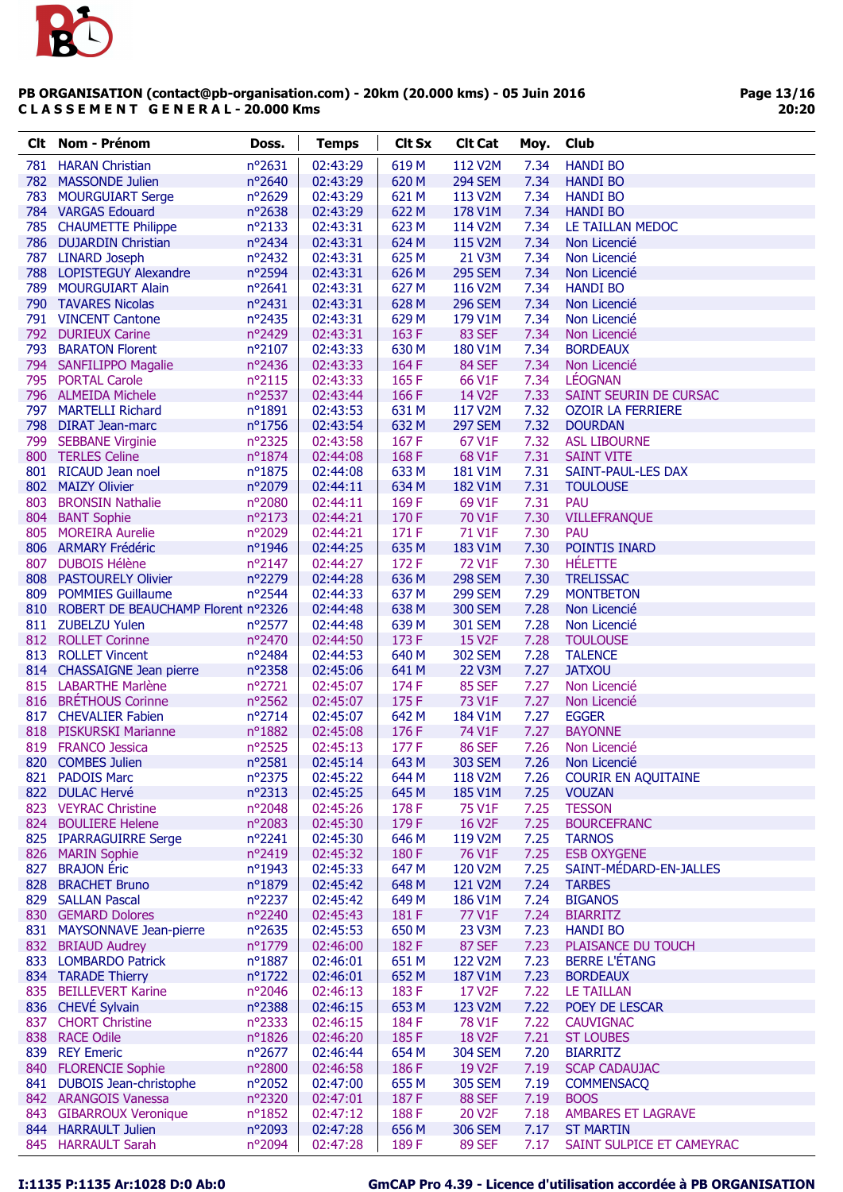

Page 13/16 20:20

| nº2631<br>02:43:29<br>619 <sub>M</sub><br>112 V2M<br>7.34<br>781<br><b>HARAN Christian</b><br><b>HANDI BO</b><br>782<br>nº2640<br>620 M<br>7.34<br><b>MASSONDE Julien</b><br>02:43:29<br><b>294 SEM</b><br><b>HANDI BO</b><br>783<br><b>MOURGUIART Serge</b><br>nº2629<br>02:43:29<br>621 M<br>113 V2M<br>7.34<br><b>HANDI BO</b><br>784 VARGAS Edouard<br>nº2638<br>02:43:29<br>622 M<br>7.34<br>178 V1M<br><b>HANDI BO</b><br>785 CHAUMETTE Philippe<br>nº2133<br>02:43:31<br>623 M<br>7.34<br>114 V2M<br>LE TAILLAN MEDOC<br>786 DUJARDIN Christian<br>nº2434<br>02:43:31<br>624 M<br>115 V2M<br>7.34<br>Non Licencié<br>787 LINARD Joseph<br>nº2432<br>02:43:31<br>625 M<br>7.34<br>21 V3M<br>Non Licencié<br>n°2594<br>626 M<br><b>295 SEM</b><br>7.34<br>788 LOPISTEGUY Alexandre<br>02:43:31<br>Non Licencié<br>nº2641<br>02:43:31<br>627 M<br>7.34<br>789 MOURGUIART Alain<br>116 V2M<br><b>HANDI BO</b><br>790 TAVARES Nicolas<br>nº2431<br>02:43:31<br>628 M<br><b>296 SEM</b><br>7.34<br>Non Licencié<br>791 VINCENT Cantone<br>nº2435<br>02:43:31<br>629 M<br>179 V1M<br>7.34<br>Non Licencié<br>163F<br>792<br>nº2429<br>02:43:31<br>83 SEF<br>7.34<br><b>DURIEUX Carine</b><br>Non Licencié<br>793<br><b>BARATON Florent</b><br>$n^{\circ}2107$<br>02:43:33<br>630 M<br>180 V1M<br>7.34<br><b>BORDEAUX</b><br>794 SANFILIPPO Magalie<br>02:43:33<br>164F<br>84 SEF<br>7.34<br>nº2436<br>Non Licencié<br>795 PORTAL Carole<br>nº2115<br>02:43:33<br>165F<br>66 V1F<br>7.34<br><b>LÉOGNAN</b><br>nº2537<br>7.33<br>796 ALMEIDA Michele<br>02:43:44<br>166 F<br>14 V2F<br>SAINT SEURIN DE CURSAC<br>797<br>n°1891<br>631 M<br>117 V2M<br>7.32<br><b>MARTELLI Richard</b><br>02:43:53<br><b>OZOIR LA FERRIERE</b><br>798 DIRAT Jean-marc<br>nº1756<br>632 M<br><b>297 SEM</b><br>7.32<br>02:43:54<br><b>DOURDAN</b><br>nº2325<br>167F<br>799 SEBBANE Virginie<br>02:43:58<br>67 V1F<br>7.32<br><b>ASL LIBOURNE</b><br>800 TERLES Celine<br>nº1874<br>168F<br>68 V1F<br>7.31<br>02:44:08<br><b>SAINT VITE</b><br>801 RICAUD Jean noel<br>nº1875<br>633 M<br>7.31<br>02:44:08<br>181 V1M<br>SAINT-PAUL-LES DAX<br>802 MAIZY Olivier<br>n°2079<br>634 M<br>182 V1M<br>7.31<br>02:44:11<br><b>TOULOUSE</b><br>803<br>nº2080<br>169F<br>7.31<br><b>BRONSIN Nathalie</b><br>02:44:11<br>69 V1F<br><b>PAU</b><br>nº2173<br>02:44:21<br>170 F<br>70 V1F<br>7.30<br>804<br><b>BANT Sophie</b><br><b>VILLEFRANQUE</b><br>805 MOREIRA Aurelie<br>nº2029<br>171 F<br>71 V1F<br>7.30<br><b>PAU</b><br>02:44:21<br>806 ARMARY Frédéric<br>nº1946<br>02:44:25<br>635 M<br>183 V1M<br>7.30<br>POINTIS INARD<br>807<br><b>DUBOIS Hélène</b><br>nº2147<br>172 F<br>72 V1F<br>7.30<br><b>HÉLETTE</b><br>02:44:27<br>n°2279<br>636 M<br><b>298 SEM</b><br>7.30<br><b>TRELISSAC</b><br>808 PASTOURELY Olivier<br>02:44:28<br>nº2544<br>637 M<br>7.29<br>809 POMMIES Guillaume<br>02:44:33<br><b>299 SEM</b><br><b>MONTBETON</b><br>810 ROBERT DE BEAUCHAMP Florent nº2326<br>638 M<br>7.28<br>02:44:48<br><b>300 SEM</b><br>Non Licencié<br>811 ZUBELZU Yulen<br>nº2577<br>639 M<br>7.28<br>02:44:48<br><b>301 SEM</b><br>Non Licencié<br>812 ROLLET Corinne<br>nº2470<br>173 F<br><b>15 V2F</b><br>7.28<br>02:44:50<br><b>TOULOUSE</b><br>7.28<br>813<br><b>ROLLET Vincent</b><br>nº2484<br>02:44:53<br>640 M<br><b>302 SEM</b><br><b>TALENCE</b><br>nº2358<br>641 M<br>7.27<br>814 CHASSAIGNE Jean pierre<br>02:45:06<br>22 V3M<br><b>JATXOU</b><br>815 LABARTHE Marlène<br>nº2721<br>174 F<br><b>85 SEF</b><br>7.27<br>02:45:07<br>Non Licencié<br>816 BRÉTHOUS Corinne<br>nº2562<br>175F<br>73 V1F<br>7.27<br>02:45:07<br>Non Licencié<br>nº2714<br>642 M<br>7.27<br>817<br><b>CHEVALIER Fabien</b><br>02:45:07<br>184 V1M<br><b>EGGER</b><br>nº1882<br>7.27<br>818 PISKURSKI Marianne<br>02:45:08<br>176 F<br>74 V1F<br><b>BAYONNE</b><br>819<br>nº2525<br>7.26<br><b>FRANCO Jessica</b><br>02:45:13<br>177 F<br><b>86 SEF</b><br>Non Licencié<br>n°2581<br>7.26<br>820 COMBES Julien<br>02:45:14<br>643 M<br><b>303 SEM</b><br>Non Licencié<br>821 PADOIS Marc<br>nº2375<br>02:45:22<br><b>COURIR EN AQUITAINE</b><br>644 M<br>118 V2M<br>7.26<br>n°2313<br>645 M<br>822 DULAC Hervé<br>02:45:25<br>185 V1M<br>7.25<br><b>VOUZAN</b><br>823 VEYRAC Christine<br>nº2048<br>02:45:26<br>178 F<br>75 V1F<br>7.25<br><b>TESSON</b><br>n°2083<br>179F<br>16 V2F<br>824 BOULIERE Helene<br>02:45:30<br>7.25<br><b>BOURCEFRANC</b><br>825 IPARRAGUIRRE Serge<br>$n^{\circ}2241$<br>02:45:30<br>646 M<br>119 V2M<br>7.25<br><b>TARNOS</b><br>nº2419<br>180F<br>7.25<br>826 MARIN Sophie<br>02:45:32<br>76 V1F<br><b>ESB OXYGENE</b><br>827<br><b>BRAJON</b> Eric<br>SAINT-MÉDARD-EN-JALLES<br>nº1943<br>02:45:33<br>647 M<br>120 V2M<br>7.25<br>7.24<br>828<br><b>BRACHET Bruno</b><br>nº1879<br>02:45:42<br>648 M<br>121 V2M<br><b>TARBES</b><br>829 SALLAN Pascal<br>nº2237<br>649 M<br>02:45:42<br>186 V1M<br>7.24<br><b>BIGANOS</b><br>nº2240<br>181 F<br>7.24<br>830 GEMARD Dolores<br>02:45:43<br>77 V1F<br><b>BIARRITZ</b><br>nº2635<br>650 M<br>7.23<br>831 MAYSONNAVE Jean-pierre<br>02:45:53<br>23 V3M<br><b>HANDI BO</b><br>832 BRIAUD Audrey<br>182F<br><b>87 SEF</b><br>7.23<br>PLAISANCE DU TOUCH<br>nº1779<br>02:46:00<br><b>BERRE L'ÉTANG</b><br>833 LOMBARDO Patrick<br>nº1887<br>02:46:01<br>651 M<br>122 V2M<br>7.23<br>nº1722<br>652 M<br>834 TARADE Thierry<br>02:46:01<br>187 V1M<br>7.23<br><b>BORDEAUX</b><br>835 BEILLEVERT Karine<br>nº2046<br>183F<br>17 V2F<br><b>LE TAILLAN</b><br>02:46:13<br>7.22<br>836 CHEVÉ Sylvain<br>nº2388<br>653 M<br>02:46:15<br>123 V2M<br>7.22<br>POEY DE LESCAR<br>837 CHORT Christine<br>nº2333<br>02:46:15<br>184 F<br>78 V1F<br>7.22<br><b>CAUVIGNAC</b><br>7.21<br>838 RACE Odile<br>nº1826<br>02:46:20<br>185F<br>18 V <sub>2</sub> F<br><b>ST LOUBES</b><br>839 REY Emeric<br>nº2677<br>02:46:44<br>654 M<br><b>304 SEM</b><br>7.20<br><b>BIARRITZ</b><br>186F<br>840 FLORENCIE Sophie<br>nº2800<br>02:46:58<br>19 V2F<br>7.19<br><b>SCAP CADAUJAC</b><br>655 M<br>841 DUBOIS Jean-christophe<br>nº2052<br><b>305 SEM</b><br>7.19<br>02:47:00<br><b>COMMENSACQ</b><br>187F<br>7.19<br>842 ARANGOIS Vanessa<br>nº2320<br>02:47:01<br><b>88 SEF</b><br><b>BOOS</b><br>843 GIBARROUX Veronique<br>$n^o$ 1852<br>02:47:12<br>188 F<br>20 V2F<br>7.18<br>AMBARES ET LAGRAVE<br>nº2093<br>656 M<br>844 HARRAULT Julien<br>02:47:28<br><b>306 SEM</b><br>7.17<br><b>ST MARTIN</b> | Clt | <b>Nom - Prénom</b> | Doss.  | <b>Temps</b> | <b>Clt Sx</b> | <b>Clt Cat</b> | Moy. | Club                      |
|-------------------------------------------------------------------------------------------------------------------------------------------------------------------------------------------------------------------------------------------------------------------------------------------------------------------------------------------------------------------------------------------------------------------------------------------------------------------------------------------------------------------------------------------------------------------------------------------------------------------------------------------------------------------------------------------------------------------------------------------------------------------------------------------------------------------------------------------------------------------------------------------------------------------------------------------------------------------------------------------------------------------------------------------------------------------------------------------------------------------------------------------------------------------------------------------------------------------------------------------------------------------------------------------------------------------------------------------------------------------------------------------------------------------------------------------------------------------------------------------------------------------------------------------------------------------------------------------------------------------------------------------------------------------------------------------------------------------------------------------------------------------------------------------------------------------------------------------------------------------------------------------------------------------------------------------------------------------------------------------------------------------------------------------------------------------------------------------------------------------------------------------------------------------------------------------------------------------------------------------------------------------------------------------------------------------------------------------------------------------------------------------------------------------------------------------------------------------------------------------------------------------------------------------------------------------------------------------------------------------------------------------------------------------------------------------------------------------------------------------------------------------------------------------------------------------------------------------------------------------------------------------------------------------------------------------------------------------------------------------------------------------------------------------------------------------------------------------------------------------------------------------------------------------------------------------------------------------------------------------------------------------------------------------------------------------------------------------------------------------------------------------------------------------------------------------------------------------------------------------------------------------------------------------------------------------------------------------------------------------------------------------------------------------------------------------------------------------------------------------------------------------------------------------------------------------------------------------------------------------------------------------------------------------------------------------------------------------------------------------------------------------------------------------------------------------------------------------------------------------------------------------------------------------------------------------------------------------------------------------------------------------------------------------------------------------------------------------------------------------------------------------------------------------------------------------------------------------------------------------------------------------------------------------------------------------------------------------------------------------------------------------------------------------------------------------------------------------------------------------------------------------------------------------------------------------------------------------------------------------------------------------------------------------------------------------------------------------------------------------------------------------------------------------------------------------------------------------------------------------------------------------------------------------------------------------------------------------------------------------------------------------------------------------------------------------------------------------------------------------------------------------------------------------------------------------------------------------------------------------------------------------------------------------------------------------------------------------------------------------------------------------------------------------------------------------------------------------------------------------------------------------------------------------------------------------------------------------------------------------------------------------------------------------------------------------------------------------------------------------------------------------------------------------------------------------------------------------------------------------------------------------------------------------------------------------------------------------------------------------------------------------------------------------------------------------------------------------------------------------------------------------------------------------------------|-----|---------------------|--------|--------------|---------------|----------------|------|---------------------------|
|                                                                                                                                                                                                                                                                                                                                                                                                                                                                                                                                                                                                                                                                                                                                                                                                                                                                                                                                                                                                                                                                                                                                                                                                                                                                                                                                                                                                                                                                                                                                                                                                                                                                                                                                                                                                                                                                                                                                                                                                                                                                                                                                                                                                                                                                                                                                                                                                                                                                                                                                                                                                                                                                                                                                                                                                                                                                                                                                                                                                                                                                                                                                                                                                                                                                                                                                                                                                                                                                                                                                                                                                                                                                                                                                                                                                                                                                                                                                                                                                                                                                                                                                                                                                                                                                                                                                                                                                                                                                                                                                                                                                                                                                                                                                                                                                                                                                                                                                                                                                                                                                                                                                                                                                                                                                                                                                                                                                                                                                                                                                                                                                                                                                                                                                                                                                                                                                                                                                                                                                                                                                                                                                                                                                                                                                                                                                                                                                                               |     |                     |        |              |               |                |      |                           |
|                                                                                                                                                                                                                                                                                                                                                                                                                                                                                                                                                                                                                                                                                                                                                                                                                                                                                                                                                                                                                                                                                                                                                                                                                                                                                                                                                                                                                                                                                                                                                                                                                                                                                                                                                                                                                                                                                                                                                                                                                                                                                                                                                                                                                                                                                                                                                                                                                                                                                                                                                                                                                                                                                                                                                                                                                                                                                                                                                                                                                                                                                                                                                                                                                                                                                                                                                                                                                                                                                                                                                                                                                                                                                                                                                                                                                                                                                                                                                                                                                                                                                                                                                                                                                                                                                                                                                                                                                                                                                                                                                                                                                                                                                                                                                                                                                                                                                                                                                                                                                                                                                                                                                                                                                                                                                                                                                                                                                                                                                                                                                                                                                                                                                                                                                                                                                                                                                                                                                                                                                                                                                                                                                                                                                                                                                                                                                                                                                               |     |                     |        |              |               |                |      |                           |
|                                                                                                                                                                                                                                                                                                                                                                                                                                                                                                                                                                                                                                                                                                                                                                                                                                                                                                                                                                                                                                                                                                                                                                                                                                                                                                                                                                                                                                                                                                                                                                                                                                                                                                                                                                                                                                                                                                                                                                                                                                                                                                                                                                                                                                                                                                                                                                                                                                                                                                                                                                                                                                                                                                                                                                                                                                                                                                                                                                                                                                                                                                                                                                                                                                                                                                                                                                                                                                                                                                                                                                                                                                                                                                                                                                                                                                                                                                                                                                                                                                                                                                                                                                                                                                                                                                                                                                                                                                                                                                                                                                                                                                                                                                                                                                                                                                                                                                                                                                                                                                                                                                                                                                                                                                                                                                                                                                                                                                                                                                                                                                                                                                                                                                                                                                                                                                                                                                                                                                                                                                                                                                                                                                                                                                                                                                                                                                                                                               |     |                     |        |              |               |                |      |                           |
|                                                                                                                                                                                                                                                                                                                                                                                                                                                                                                                                                                                                                                                                                                                                                                                                                                                                                                                                                                                                                                                                                                                                                                                                                                                                                                                                                                                                                                                                                                                                                                                                                                                                                                                                                                                                                                                                                                                                                                                                                                                                                                                                                                                                                                                                                                                                                                                                                                                                                                                                                                                                                                                                                                                                                                                                                                                                                                                                                                                                                                                                                                                                                                                                                                                                                                                                                                                                                                                                                                                                                                                                                                                                                                                                                                                                                                                                                                                                                                                                                                                                                                                                                                                                                                                                                                                                                                                                                                                                                                                                                                                                                                                                                                                                                                                                                                                                                                                                                                                                                                                                                                                                                                                                                                                                                                                                                                                                                                                                                                                                                                                                                                                                                                                                                                                                                                                                                                                                                                                                                                                                                                                                                                                                                                                                                                                                                                                                                               |     |                     |        |              |               |                |      |                           |
|                                                                                                                                                                                                                                                                                                                                                                                                                                                                                                                                                                                                                                                                                                                                                                                                                                                                                                                                                                                                                                                                                                                                                                                                                                                                                                                                                                                                                                                                                                                                                                                                                                                                                                                                                                                                                                                                                                                                                                                                                                                                                                                                                                                                                                                                                                                                                                                                                                                                                                                                                                                                                                                                                                                                                                                                                                                                                                                                                                                                                                                                                                                                                                                                                                                                                                                                                                                                                                                                                                                                                                                                                                                                                                                                                                                                                                                                                                                                                                                                                                                                                                                                                                                                                                                                                                                                                                                                                                                                                                                                                                                                                                                                                                                                                                                                                                                                                                                                                                                                                                                                                                                                                                                                                                                                                                                                                                                                                                                                                                                                                                                                                                                                                                                                                                                                                                                                                                                                                                                                                                                                                                                                                                                                                                                                                                                                                                                                                               |     |                     |        |              |               |                |      |                           |
|                                                                                                                                                                                                                                                                                                                                                                                                                                                                                                                                                                                                                                                                                                                                                                                                                                                                                                                                                                                                                                                                                                                                                                                                                                                                                                                                                                                                                                                                                                                                                                                                                                                                                                                                                                                                                                                                                                                                                                                                                                                                                                                                                                                                                                                                                                                                                                                                                                                                                                                                                                                                                                                                                                                                                                                                                                                                                                                                                                                                                                                                                                                                                                                                                                                                                                                                                                                                                                                                                                                                                                                                                                                                                                                                                                                                                                                                                                                                                                                                                                                                                                                                                                                                                                                                                                                                                                                                                                                                                                                                                                                                                                                                                                                                                                                                                                                                                                                                                                                                                                                                                                                                                                                                                                                                                                                                                                                                                                                                                                                                                                                                                                                                                                                                                                                                                                                                                                                                                                                                                                                                                                                                                                                                                                                                                                                                                                                                                               |     |                     |        |              |               |                |      |                           |
|                                                                                                                                                                                                                                                                                                                                                                                                                                                                                                                                                                                                                                                                                                                                                                                                                                                                                                                                                                                                                                                                                                                                                                                                                                                                                                                                                                                                                                                                                                                                                                                                                                                                                                                                                                                                                                                                                                                                                                                                                                                                                                                                                                                                                                                                                                                                                                                                                                                                                                                                                                                                                                                                                                                                                                                                                                                                                                                                                                                                                                                                                                                                                                                                                                                                                                                                                                                                                                                                                                                                                                                                                                                                                                                                                                                                                                                                                                                                                                                                                                                                                                                                                                                                                                                                                                                                                                                                                                                                                                                                                                                                                                                                                                                                                                                                                                                                                                                                                                                                                                                                                                                                                                                                                                                                                                                                                                                                                                                                                                                                                                                                                                                                                                                                                                                                                                                                                                                                                                                                                                                                                                                                                                                                                                                                                                                                                                                                                               |     |                     |        |              |               |                |      |                           |
|                                                                                                                                                                                                                                                                                                                                                                                                                                                                                                                                                                                                                                                                                                                                                                                                                                                                                                                                                                                                                                                                                                                                                                                                                                                                                                                                                                                                                                                                                                                                                                                                                                                                                                                                                                                                                                                                                                                                                                                                                                                                                                                                                                                                                                                                                                                                                                                                                                                                                                                                                                                                                                                                                                                                                                                                                                                                                                                                                                                                                                                                                                                                                                                                                                                                                                                                                                                                                                                                                                                                                                                                                                                                                                                                                                                                                                                                                                                                                                                                                                                                                                                                                                                                                                                                                                                                                                                                                                                                                                                                                                                                                                                                                                                                                                                                                                                                                                                                                                                                                                                                                                                                                                                                                                                                                                                                                                                                                                                                                                                                                                                                                                                                                                                                                                                                                                                                                                                                                                                                                                                                                                                                                                                                                                                                                                                                                                                                                               |     |                     |        |              |               |                |      |                           |
|                                                                                                                                                                                                                                                                                                                                                                                                                                                                                                                                                                                                                                                                                                                                                                                                                                                                                                                                                                                                                                                                                                                                                                                                                                                                                                                                                                                                                                                                                                                                                                                                                                                                                                                                                                                                                                                                                                                                                                                                                                                                                                                                                                                                                                                                                                                                                                                                                                                                                                                                                                                                                                                                                                                                                                                                                                                                                                                                                                                                                                                                                                                                                                                                                                                                                                                                                                                                                                                                                                                                                                                                                                                                                                                                                                                                                                                                                                                                                                                                                                                                                                                                                                                                                                                                                                                                                                                                                                                                                                                                                                                                                                                                                                                                                                                                                                                                                                                                                                                                                                                                                                                                                                                                                                                                                                                                                                                                                                                                                                                                                                                                                                                                                                                                                                                                                                                                                                                                                                                                                                                                                                                                                                                                                                                                                                                                                                                                                               |     |                     |        |              |               |                |      |                           |
|                                                                                                                                                                                                                                                                                                                                                                                                                                                                                                                                                                                                                                                                                                                                                                                                                                                                                                                                                                                                                                                                                                                                                                                                                                                                                                                                                                                                                                                                                                                                                                                                                                                                                                                                                                                                                                                                                                                                                                                                                                                                                                                                                                                                                                                                                                                                                                                                                                                                                                                                                                                                                                                                                                                                                                                                                                                                                                                                                                                                                                                                                                                                                                                                                                                                                                                                                                                                                                                                                                                                                                                                                                                                                                                                                                                                                                                                                                                                                                                                                                                                                                                                                                                                                                                                                                                                                                                                                                                                                                                                                                                                                                                                                                                                                                                                                                                                                                                                                                                                                                                                                                                                                                                                                                                                                                                                                                                                                                                                                                                                                                                                                                                                                                                                                                                                                                                                                                                                                                                                                                                                                                                                                                                                                                                                                                                                                                                                                               |     |                     |        |              |               |                |      |                           |
|                                                                                                                                                                                                                                                                                                                                                                                                                                                                                                                                                                                                                                                                                                                                                                                                                                                                                                                                                                                                                                                                                                                                                                                                                                                                                                                                                                                                                                                                                                                                                                                                                                                                                                                                                                                                                                                                                                                                                                                                                                                                                                                                                                                                                                                                                                                                                                                                                                                                                                                                                                                                                                                                                                                                                                                                                                                                                                                                                                                                                                                                                                                                                                                                                                                                                                                                                                                                                                                                                                                                                                                                                                                                                                                                                                                                                                                                                                                                                                                                                                                                                                                                                                                                                                                                                                                                                                                                                                                                                                                                                                                                                                                                                                                                                                                                                                                                                                                                                                                                                                                                                                                                                                                                                                                                                                                                                                                                                                                                                                                                                                                                                                                                                                                                                                                                                                                                                                                                                                                                                                                                                                                                                                                                                                                                                                                                                                                                                               |     |                     |        |              |               |                |      |                           |
|                                                                                                                                                                                                                                                                                                                                                                                                                                                                                                                                                                                                                                                                                                                                                                                                                                                                                                                                                                                                                                                                                                                                                                                                                                                                                                                                                                                                                                                                                                                                                                                                                                                                                                                                                                                                                                                                                                                                                                                                                                                                                                                                                                                                                                                                                                                                                                                                                                                                                                                                                                                                                                                                                                                                                                                                                                                                                                                                                                                                                                                                                                                                                                                                                                                                                                                                                                                                                                                                                                                                                                                                                                                                                                                                                                                                                                                                                                                                                                                                                                                                                                                                                                                                                                                                                                                                                                                                                                                                                                                                                                                                                                                                                                                                                                                                                                                                                                                                                                                                                                                                                                                                                                                                                                                                                                                                                                                                                                                                                                                                                                                                                                                                                                                                                                                                                                                                                                                                                                                                                                                                                                                                                                                                                                                                                                                                                                                                                               |     |                     |        |              |               |                |      |                           |
|                                                                                                                                                                                                                                                                                                                                                                                                                                                                                                                                                                                                                                                                                                                                                                                                                                                                                                                                                                                                                                                                                                                                                                                                                                                                                                                                                                                                                                                                                                                                                                                                                                                                                                                                                                                                                                                                                                                                                                                                                                                                                                                                                                                                                                                                                                                                                                                                                                                                                                                                                                                                                                                                                                                                                                                                                                                                                                                                                                                                                                                                                                                                                                                                                                                                                                                                                                                                                                                                                                                                                                                                                                                                                                                                                                                                                                                                                                                                                                                                                                                                                                                                                                                                                                                                                                                                                                                                                                                                                                                                                                                                                                                                                                                                                                                                                                                                                                                                                                                                                                                                                                                                                                                                                                                                                                                                                                                                                                                                                                                                                                                                                                                                                                                                                                                                                                                                                                                                                                                                                                                                                                                                                                                                                                                                                                                                                                                                                               |     |                     |        |              |               |                |      |                           |
|                                                                                                                                                                                                                                                                                                                                                                                                                                                                                                                                                                                                                                                                                                                                                                                                                                                                                                                                                                                                                                                                                                                                                                                                                                                                                                                                                                                                                                                                                                                                                                                                                                                                                                                                                                                                                                                                                                                                                                                                                                                                                                                                                                                                                                                                                                                                                                                                                                                                                                                                                                                                                                                                                                                                                                                                                                                                                                                                                                                                                                                                                                                                                                                                                                                                                                                                                                                                                                                                                                                                                                                                                                                                                                                                                                                                                                                                                                                                                                                                                                                                                                                                                                                                                                                                                                                                                                                                                                                                                                                                                                                                                                                                                                                                                                                                                                                                                                                                                                                                                                                                                                                                                                                                                                                                                                                                                                                                                                                                                                                                                                                                                                                                                                                                                                                                                                                                                                                                                                                                                                                                                                                                                                                                                                                                                                                                                                                                                               |     |                     |        |              |               |                |      |                           |
|                                                                                                                                                                                                                                                                                                                                                                                                                                                                                                                                                                                                                                                                                                                                                                                                                                                                                                                                                                                                                                                                                                                                                                                                                                                                                                                                                                                                                                                                                                                                                                                                                                                                                                                                                                                                                                                                                                                                                                                                                                                                                                                                                                                                                                                                                                                                                                                                                                                                                                                                                                                                                                                                                                                                                                                                                                                                                                                                                                                                                                                                                                                                                                                                                                                                                                                                                                                                                                                                                                                                                                                                                                                                                                                                                                                                                                                                                                                                                                                                                                                                                                                                                                                                                                                                                                                                                                                                                                                                                                                                                                                                                                                                                                                                                                                                                                                                                                                                                                                                                                                                                                                                                                                                                                                                                                                                                                                                                                                                                                                                                                                                                                                                                                                                                                                                                                                                                                                                                                                                                                                                                                                                                                                                                                                                                                                                                                                                                               |     |                     |        |              |               |                |      |                           |
|                                                                                                                                                                                                                                                                                                                                                                                                                                                                                                                                                                                                                                                                                                                                                                                                                                                                                                                                                                                                                                                                                                                                                                                                                                                                                                                                                                                                                                                                                                                                                                                                                                                                                                                                                                                                                                                                                                                                                                                                                                                                                                                                                                                                                                                                                                                                                                                                                                                                                                                                                                                                                                                                                                                                                                                                                                                                                                                                                                                                                                                                                                                                                                                                                                                                                                                                                                                                                                                                                                                                                                                                                                                                                                                                                                                                                                                                                                                                                                                                                                                                                                                                                                                                                                                                                                                                                                                                                                                                                                                                                                                                                                                                                                                                                                                                                                                                                                                                                                                                                                                                                                                                                                                                                                                                                                                                                                                                                                                                                                                                                                                                                                                                                                                                                                                                                                                                                                                                                                                                                                                                                                                                                                                                                                                                                                                                                                                                                               |     |                     |        |              |               |                |      |                           |
|                                                                                                                                                                                                                                                                                                                                                                                                                                                                                                                                                                                                                                                                                                                                                                                                                                                                                                                                                                                                                                                                                                                                                                                                                                                                                                                                                                                                                                                                                                                                                                                                                                                                                                                                                                                                                                                                                                                                                                                                                                                                                                                                                                                                                                                                                                                                                                                                                                                                                                                                                                                                                                                                                                                                                                                                                                                                                                                                                                                                                                                                                                                                                                                                                                                                                                                                                                                                                                                                                                                                                                                                                                                                                                                                                                                                                                                                                                                                                                                                                                                                                                                                                                                                                                                                                                                                                                                                                                                                                                                                                                                                                                                                                                                                                                                                                                                                                                                                                                                                                                                                                                                                                                                                                                                                                                                                                                                                                                                                                                                                                                                                                                                                                                                                                                                                                                                                                                                                                                                                                                                                                                                                                                                                                                                                                                                                                                                                                               |     |                     |        |              |               |                |      |                           |
|                                                                                                                                                                                                                                                                                                                                                                                                                                                                                                                                                                                                                                                                                                                                                                                                                                                                                                                                                                                                                                                                                                                                                                                                                                                                                                                                                                                                                                                                                                                                                                                                                                                                                                                                                                                                                                                                                                                                                                                                                                                                                                                                                                                                                                                                                                                                                                                                                                                                                                                                                                                                                                                                                                                                                                                                                                                                                                                                                                                                                                                                                                                                                                                                                                                                                                                                                                                                                                                                                                                                                                                                                                                                                                                                                                                                                                                                                                                                                                                                                                                                                                                                                                                                                                                                                                                                                                                                                                                                                                                                                                                                                                                                                                                                                                                                                                                                                                                                                                                                                                                                                                                                                                                                                                                                                                                                                                                                                                                                                                                                                                                                                                                                                                                                                                                                                                                                                                                                                                                                                                                                                                                                                                                                                                                                                                                                                                                                                               |     |                     |        |              |               |                |      |                           |
|                                                                                                                                                                                                                                                                                                                                                                                                                                                                                                                                                                                                                                                                                                                                                                                                                                                                                                                                                                                                                                                                                                                                                                                                                                                                                                                                                                                                                                                                                                                                                                                                                                                                                                                                                                                                                                                                                                                                                                                                                                                                                                                                                                                                                                                                                                                                                                                                                                                                                                                                                                                                                                                                                                                                                                                                                                                                                                                                                                                                                                                                                                                                                                                                                                                                                                                                                                                                                                                                                                                                                                                                                                                                                                                                                                                                                                                                                                                                                                                                                                                                                                                                                                                                                                                                                                                                                                                                                                                                                                                                                                                                                                                                                                                                                                                                                                                                                                                                                                                                                                                                                                                                                                                                                                                                                                                                                                                                                                                                                                                                                                                                                                                                                                                                                                                                                                                                                                                                                                                                                                                                                                                                                                                                                                                                                                                                                                                                                               |     |                     |        |              |               |                |      |                           |
|                                                                                                                                                                                                                                                                                                                                                                                                                                                                                                                                                                                                                                                                                                                                                                                                                                                                                                                                                                                                                                                                                                                                                                                                                                                                                                                                                                                                                                                                                                                                                                                                                                                                                                                                                                                                                                                                                                                                                                                                                                                                                                                                                                                                                                                                                                                                                                                                                                                                                                                                                                                                                                                                                                                                                                                                                                                                                                                                                                                                                                                                                                                                                                                                                                                                                                                                                                                                                                                                                                                                                                                                                                                                                                                                                                                                                                                                                                                                                                                                                                                                                                                                                                                                                                                                                                                                                                                                                                                                                                                                                                                                                                                                                                                                                                                                                                                                                                                                                                                                                                                                                                                                                                                                                                                                                                                                                                                                                                                                                                                                                                                                                                                                                                                                                                                                                                                                                                                                                                                                                                                                                                                                                                                                                                                                                                                                                                                                                               |     |                     |        |              |               |                |      |                           |
|                                                                                                                                                                                                                                                                                                                                                                                                                                                                                                                                                                                                                                                                                                                                                                                                                                                                                                                                                                                                                                                                                                                                                                                                                                                                                                                                                                                                                                                                                                                                                                                                                                                                                                                                                                                                                                                                                                                                                                                                                                                                                                                                                                                                                                                                                                                                                                                                                                                                                                                                                                                                                                                                                                                                                                                                                                                                                                                                                                                                                                                                                                                                                                                                                                                                                                                                                                                                                                                                                                                                                                                                                                                                                                                                                                                                                                                                                                                                                                                                                                                                                                                                                                                                                                                                                                                                                                                                                                                                                                                                                                                                                                                                                                                                                                                                                                                                                                                                                                                                                                                                                                                                                                                                                                                                                                                                                                                                                                                                                                                                                                                                                                                                                                                                                                                                                                                                                                                                                                                                                                                                                                                                                                                                                                                                                                                                                                                                                               |     |                     |        |              |               |                |      |                           |
|                                                                                                                                                                                                                                                                                                                                                                                                                                                                                                                                                                                                                                                                                                                                                                                                                                                                                                                                                                                                                                                                                                                                                                                                                                                                                                                                                                                                                                                                                                                                                                                                                                                                                                                                                                                                                                                                                                                                                                                                                                                                                                                                                                                                                                                                                                                                                                                                                                                                                                                                                                                                                                                                                                                                                                                                                                                                                                                                                                                                                                                                                                                                                                                                                                                                                                                                                                                                                                                                                                                                                                                                                                                                                                                                                                                                                                                                                                                                                                                                                                                                                                                                                                                                                                                                                                                                                                                                                                                                                                                                                                                                                                                                                                                                                                                                                                                                                                                                                                                                                                                                                                                                                                                                                                                                                                                                                                                                                                                                                                                                                                                                                                                                                                                                                                                                                                                                                                                                                                                                                                                                                                                                                                                                                                                                                                                                                                                                                               |     |                     |        |              |               |                |      |                           |
|                                                                                                                                                                                                                                                                                                                                                                                                                                                                                                                                                                                                                                                                                                                                                                                                                                                                                                                                                                                                                                                                                                                                                                                                                                                                                                                                                                                                                                                                                                                                                                                                                                                                                                                                                                                                                                                                                                                                                                                                                                                                                                                                                                                                                                                                                                                                                                                                                                                                                                                                                                                                                                                                                                                                                                                                                                                                                                                                                                                                                                                                                                                                                                                                                                                                                                                                                                                                                                                                                                                                                                                                                                                                                                                                                                                                                                                                                                                                                                                                                                                                                                                                                                                                                                                                                                                                                                                                                                                                                                                                                                                                                                                                                                                                                                                                                                                                                                                                                                                                                                                                                                                                                                                                                                                                                                                                                                                                                                                                                                                                                                                                                                                                                                                                                                                                                                                                                                                                                                                                                                                                                                                                                                                                                                                                                                                                                                                                                               |     |                     |        |              |               |                |      |                           |
|                                                                                                                                                                                                                                                                                                                                                                                                                                                                                                                                                                                                                                                                                                                                                                                                                                                                                                                                                                                                                                                                                                                                                                                                                                                                                                                                                                                                                                                                                                                                                                                                                                                                                                                                                                                                                                                                                                                                                                                                                                                                                                                                                                                                                                                                                                                                                                                                                                                                                                                                                                                                                                                                                                                                                                                                                                                                                                                                                                                                                                                                                                                                                                                                                                                                                                                                                                                                                                                                                                                                                                                                                                                                                                                                                                                                                                                                                                                                                                                                                                                                                                                                                                                                                                                                                                                                                                                                                                                                                                                                                                                                                                                                                                                                                                                                                                                                                                                                                                                                                                                                                                                                                                                                                                                                                                                                                                                                                                                                                                                                                                                                                                                                                                                                                                                                                                                                                                                                                                                                                                                                                                                                                                                                                                                                                                                                                                                                                               |     |                     |        |              |               |                |      |                           |
|                                                                                                                                                                                                                                                                                                                                                                                                                                                                                                                                                                                                                                                                                                                                                                                                                                                                                                                                                                                                                                                                                                                                                                                                                                                                                                                                                                                                                                                                                                                                                                                                                                                                                                                                                                                                                                                                                                                                                                                                                                                                                                                                                                                                                                                                                                                                                                                                                                                                                                                                                                                                                                                                                                                                                                                                                                                                                                                                                                                                                                                                                                                                                                                                                                                                                                                                                                                                                                                                                                                                                                                                                                                                                                                                                                                                                                                                                                                                                                                                                                                                                                                                                                                                                                                                                                                                                                                                                                                                                                                                                                                                                                                                                                                                                                                                                                                                                                                                                                                                                                                                                                                                                                                                                                                                                                                                                                                                                                                                                                                                                                                                                                                                                                                                                                                                                                                                                                                                                                                                                                                                                                                                                                                                                                                                                                                                                                                                                               |     |                     |        |              |               |                |      |                           |
|                                                                                                                                                                                                                                                                                                                                                                                                                                                                                                                                                                                                                                                                                                                                                                                                                                                                                                                                                                                                                                                                                                                                                                                                                                                                                                                                                                                                                                                                                                                                                                                                                                                                                                                                                                                                                                                                                                                                                                                                                                                                                                                                                                                                                                                                                                                                                                                                                                                                                                                                                                                                                                                                                                                                                                                                                                                                                                                                                                                                                                                                                                                                                                                                                                                                                                                                                                                                                                                                                                                                                                                                                                                                                                                                                                                                                                                                                                                                                                                                                                                                                                                                                                                                                                                                                                                                                                                                                                                                                                                                                                                                                                                                                                                                                                                                                                                                                                                                                                                                                                                                                                                                                                                                                                                                                                                                                                                                                                                                                                                                                                                                                                                                                                                                                                                                                                                                                                                                                                                                                                                                                                                                                                                                                                                                                                                                                                                                                               |     |                     |        |              |               |                |      |                           |
|                                                                                                                                                                                                                                                                                                                                                                                                                                                                                                                                                                                                                                                                                                                                                                                                                                                                                                                                                                                                                                                                                                                                                                                                                                                                                                                                                                                                                                                                                                                                                                                                                                                                                                                                                                                                                                                                                                                                                                                                                                                                                                                                                                                                                                                                                                                                                                                                                                                                                                                                                                                                                                                                                                                                                                                                                                                                                                                                                                                                                                                                                                                                                                                                                                                                                                                                                                                                                                                                                                                                                                                                                                                                                                                                                                                                                                                                                                                                                                                                                                                                                                                                                                                                                                                                                                                                                                                                                                                                                                                                                                                                                                                                                                                                                                                                                                                                                                                                                                                                                                                                                                                                                                                                                                                                                                                                                                                                                                                                                                                                                                                                                                                                                                                                                                                                                                                                                                                                                                                                                                                                                                                                                                                                                                                                                                                                                                                                                               |     |                     |        |              |               |                |      |                           |
|                                                                                                                                                                                                                                                                                                                                                                                                                                                                                                                                                                                                                                                                                                                                                                                                                                                                                                                                                                                                                                                                                                                                                                                                                                                                                                                                                                                                                                                                                                                                                                                                                                                                                                                                                                                                                                                                                                                                                                                                                                                                                                                                                                                                                                                                                                                                                                                                                                                                                                                                                                                                                                                                                                                                                                                                                                                                                                                                                                                                                                                                                                                                                                                                                                                                                                                                                                                                                                                                                                                                                                                                                                                                                                                                                                                                                                                                                                                                                                                                                                                                                                                                                                                                                                                                                                                                                                                                                                                                                                                                                                                                                                                                                                                                                                                                                                                                                                                                                                                                                                                                                                                                                                                                                                                                                                                                                                                                                                                                                                                                                                                                                                                                                                                                                                                                                                                                                                                                                                                                                                                                                                                                                                                                                                                                                                                                                                                                                               |     |                     |        |              |               |                |      |                           |
|                                                                                                                                                                                                                                                                                                                                                                                                                                                                                                                                                                                                                                                                                                                                                                                                                                                                                                                                                                                                                                                                                                                                                                                                                                                                                                                                                                                                                                                                                                                                                                                                                                                                                                                                                                                                                                                                                                                                                                                                                                                                                                                                                                                                                                                                                                                                                                                                                                                                                                                                                                                                                                                                                                                                                                                                                                                                                                                                                                                                                                                                                                                                                                                                                                                                                                                                                                                                                                                                                                                                                                                                                                                                                                                                                                                                                                                                                                                                                                                                                                                                                                                                                                                                                                                                                                                                                                                                                                                                                                                                                                                                                                                                                                                                                                                                                                                                                                                                                                                                                                                                                                                                                                                                                                                                                                                                                                                                                                                                                                                                                                                                                                                                                                                                                                                                                                                                                                                                                                                                                                                                                                                                                                                                                                                                                                                                                                                                                               |     |                     |        |              |               |                |      |                           |
|                                                                                                                                                                                                                                                                                                                                                                                                                                                                                                                                                                                                                                                                                                                                                                                                                                                                                                                                                                                                                                                                                                                                                                                                                                                                                                                                                                                                                                                                                                                                                                                                                                                                                                                                                                                                                                                                                                                                                                                                                                                                                                                                                                                                                                                                                                                                                                                                                                                                                                                                                                                                                                                                                                                                                                                                                                                                                                                                                                                                                                                                                                                                                                                                                                                                                                                                                                                                                                                                                                                                                                                                                                                                                                                                                                                                                                                                                                                                                                                                                                                                                                                                                                                                                                                                                                                                                                                                                                                                                                                                                                                                                                                                                                                                                                                                                                                                                                                                                                                                                                                                                                                                                                                                                                                                                                                                                                                                                                                                                                                                                                                                                                                                                                                                                                                                                                                                                                                                                                                                                                                                                                                                                                                                                                                                                                                                                                                                                               |     |                     |        |              |               |                |      |                           |
|                                                                                                                                                                                                                                                                                                                                                                                                                                                                                                                                                                                                                                                                                                                                                                                                                                                                                                                                                                                                                                                                                                                                                                                                                                                                                                                                                                                                                                                                                                                                                                                                                                                                                                                                                                                                                                                                                                                                                                                                                                                                                                                                                                                                                                                                                                                                                                                                                                                                                                                                                                                                                                                                                                                                                                                                                                                                                                                                                                                                                                                                                                                                                                                                                                                                                                                                                                                                                                                                                                                                                                                                                                                                                                                                                                                                                                                                                                                                                                                                                                                                                                                                                                                                                                                                                                                                                                                                                                                                                                                                                                                                                                                                                                                                                                                                                                                                                                                                                                                                                                                                                                                                                                                                                                                                                                                                                                                                                                                                                                                                                                                                                                                                                                                                                                                                                                                                                                                                                                                                                                                                                                                                                                                                                                                                                                                                                                                                                               |     |                     |        |              |               |                |      |                           |
|                                                                                                                                                                                                                                                                                                                                                                                                                                                                                                                                                                                                                                                                                                                                                                                                                                                                                                                                                                                                                                                                                                                                                                                                                                                                                                                                                                                                                                                                                                                                                                                                                                                                                                                                                                                                                                                                                                                                                                                                                                                                                                                                                                                                                                                                                                                                                                                                                                                                                                                                                                                                                                                                                                                                                                                                                                                                                                                                                                                                                                                                                                                                                                                                                                                                                                                                                                                                                                                                                                                                                                                                                                                                                                                                                                                                                                                                                                                                                                                                                                                                                                                                                                                                                                                                                                                                                                                                                                                                                                                                                                                                                                                                                                                                                                                                                                                                                                                                                                                                                                                                                                                                                                                                                                                                                                                                                                                                                                                                                                                                                                                                                                                                                                                                                                                                                                                                                                                                                                                                                                                                                                                                                                                                                                                                                                                                                                                                                               |     |                     |        |              |               |                |      |                           |
|                                                                                                                                                                                                                                                                                                                                                                                                                                                                                                                                                                                                                                                                                                                                                                                                                                                                                                                                                                                                                                                                                                                                                                                                                                                                                                                                                                                                                                                                                                                                                                                                                                                                                                                                                                                                                                                                                                                                                                                                                                                                                                                                                                                                                                                                                                                                                                                                                                                                                                                                                                                                                                                                                                                                                                                                                                                                                                                                                                                                                                                                                                                                                                                                                                                                                                                                                                                                                                                                                                                                                                                                                                                                                                                                                                                                                                                                                                                                                                                                                                                                                                                                                                                                                                                                                                                                                                                                                                                                                                                                                                                                                                                                                                                                                                                                                                                                                                                                                                                                                                                                                                                                                                                                                                                                                                                                                                                                                                                                                                                                                                                                                                                                                                                                                                                                                                                                                                                                                                                                                                                                                                                                                                                                                                                                                                                                                                                                                               |     |                     |        |              |               |                |      |                           |
|                                                                                                                                                                                                                                                                                                                                                                                                                                                                                                                                                                                                                                                                                                                                                                                                                                                                                                                                                                                                                                                                                                                                                                                                                                                                                                                                                                                                                                                                                                                                                                                                                                                                                                                                                                                                                                                                                                                                                                                                                                                                                                                                                                                                                                                                                                                                                                                                                                                                                                                                                                                                                                                                                                                                                                                                                                                                                                                                                                                                                                                                                                                                                                                                                                                                                                                                                                                                                                                                                                                                                                                                                                                                                                                                                                                                                                                                                                                                                                                                                                                                                                                                                                                                                                                                                                                                                                                                                                                                                                                                                                                                                                                                                                                                                                                                                                                                                                                                                                                                                                                                                                                                                                                                                                                                                                                                                                                                                                                                                                                                                                                                                                                                                                                                                                                                                                                                                                                                                                                                                                                                                                                                                                                                                                                                                                                                                                                                                               |     |                     |        |              |               |                |      |                           |
|                                                                                                                                                                                                                                                                                                                                                                                                                                                                                                                                                                                                                                                                                                                                                                                                                                                                                                                                                                                                                                                                                                                                                                                                                                                                                                                                                                                                                                                                                                                                                                                                                                                                                                                                                                                                                                                                                                                                                                                                                                                                                                                                                                                                                                                                                                                                                                                                                                                                                                                                                                                                                                                                                                                                                                                                                                                                                                                                                                                                                                                                                                                                                                                                                                                                                                                                                                                                                                                                                                                                                                                                                                                                                                                                                                                                                                                                                                                                                                                                                                                                                                                                                                                                                                                                                                                                                                                                                                                                                                                                                                                                                                                                                                                                                                                                                                                                                                                                                                                                                                                                                                                                                                                                                                                                                                                                                                                                                                                                                                                                                                                                                                                                                                                                                                                                                                                                                                                                                                                                                                                                                                                                                                                                                                                                                                                                                                                                                               |     |                     |        |              |               |                |      |                           |
|                                                                                                                                                                                                                                                                                                                                                                                                                                                                                                                                                                                                                                                                                                                                                                                                                                                                                                                                                                                                                                                                                                                                                                                                                                                                                                                                                                                                                                                                                                                                                                                                                                                                                                                                                                                                                                                                                                                                                                                                                                                                                                                                                                                                                                                                                                                                                                                                                                                                                                                                                                                                                                                                                                                                                                                                                                                                                                                                                                                                                                                                                                                                                                                                                                                                                                                                                                                                                                                                                                                                                                                                                                                                                                                                                                                                                                                                                                                                                                                                                                                                                                                                                                                                                                                                                                                                                                                                                                                                                                                                                                                                                                                                                                                                                                                                                                                                                                                                                                                                                                                                                                                                                                                                                                                                                                                                                                                                                                                                                                                                                                                                                                                                                                                                                                                                                                                                                                                                                                                                                                                                                                                                                                                                                                                                                                                                                                                                                               |     |                     |        |              |               |                |      |                           |
|                                                                                                                                                                                                                                                                                                                                                                                                                                                                                                                                                                                                                                                                                                                                                                                                                                                                                                                                                                                                                                                                                                                                                                                                                                                                                                                                                                                                                                                                                                                                                                                                                                                                                                                                                                                                                                                                                                                                                                                                                                                                                                                                                                                                                                                                                                                                                                                                                                                                                                                                                                                                                                                                                                                                                                                                                                                                                                                                                                                                                                                                                                                                                                                                                                                                                                                                                                                                                                                                                                                                                                                                                                                                                                                                                                                                                                                                                                                                                                                                                                                                                                                                                                                                                                                                                                                                                                                                                                                                                                                                                                                                                                                                                                                                                                                                                                                                                                                                                                                                                                                                                                                                                                                                                                                                                                                                                                                                                                                                                                                                                                                                                                                                                                                                                                                                                                                                                                                                                                                                                                                                                                                                                                                                                                                                                                                                                                                                                               |     |                     |        |              |               |                |      |                           |
|                                                                                                                                                                                                                                                                                                                                                                                                                                                                                                                                                                                                                                                                                                                                                                                                                                                                                                                                                                                                                                                                                                                                                                                                                                                                                                                                                                                                                                                                                                                                                                                                                                                                                                                                                                                                                                                                                                                                                                                                                                                                                                                                                                                                                                                                                                                                                                                                                                                                                                                                                                                                                                                                                                                                                                                                                                                                                                                                                                                                                                                                                                                                                                                                                                                                                                                                                                                                                                                                                                                                                                                                                                                                                                                                                                                                                                                                                                                                                                                                                                                                                                                                                                                                                                                                                                                                                                                                                                                                                                                                                                                                                                                                                                                                                                                                                                                                                                                                                                                                                                                                                                                                                                                                                                                                                                                                                                                                                                                                                                                                                                                                                                                                                                                                                                                                                                                                                                                                                                                                                                                                                                                                                                                                                                                                                                                                                                                                                               |     |                     |        |              |               |                |      |                           |
|                                                                                                                                                                                                                                                                                                                                                                                                                                                                                                                                                                                                                                                                                                                                                                                                                                                                                                                                                                                                                                                                                                                                                                                                                                                                                                                                                                                                                                                                                                                                                                                                                                                                                                                                                                                                                                                                                                                                                                                                                                                                                                                                                                                                                                                                                                                                                                                                                                                                                                                                                                                                                                                                                                                                                                                                                                                                                                                                                                                                                                                                                                                                                                                                                                                                                                                                                                                                                                                                                                                                                                                                                                                                                                                                                                                                                                                                                                                                                                                                                                                                                                                                                                                                                                                                                                                                                                                                                                                                                                                                                                                                                                                                                                                                                                                                                                                                                                                                                                                                                                                                                                                                                                                                                                                                                                                                                                                                                                                                                                                                                                                                                                                                                                                                                                                                                                                                                                                                                                                                                                                                                                                                                                                                                                                                                                                                                                                                                               |     |                     |        |              |               |                |      |                           |
|                                                                                                                                                                                                                                                                                                                                                                                                                                                                                                                                                                                                                                                                                                                                                                                                                                                                                                                                                                                                                                                                                                                                                                                                                                                                                                                                                                                                                                                                                                                                                                                                                                                                                                                                                                                                                                                                                                                                                                                                                                                                                                                                                                                                                                                                                                                                                                                                                                                                                                                                                                                                                                                                                                                                                                                                                                                                                                                                                                                                                                                                                                                                                                                                                                                                                                                                                                                                                                                                                                                                                                                                                                                                                                                                                                                                                                                                                                                                                                                                                                                                                                                                                                                                                                                                                                                                                                                                                                                                                                                                                                                                                                                                                                                                                                                                                                                                                                                                                                                                                                                                                                                                                                                                                                                                                                                                                                                                                                                                                                                                                                                                                                                                                                                                                                                                                                                                                                                                                                                                                                                                                                                                                                                                                                                                                                                                                                                                                               |     |                     |        |              |               |                |      |                           |
|                                                                                                                                                                                                                                                                                                                                                                                                                                                                                                                                                                                                                                                                                                                                                                                                                                                                                                                                                                                                                                                                                                                                                                                                                                                                                                                                                                                                                                                                                                                                                                                                                                                                                                                                                                                                                                                                                                                                                                                                                                                                                                                                                                                                                                                                                                                                                                                                                                                                                                                                                                                                                                                                                                                                                                                                                                                                                                                                                                                                                                                                                                                                                                                                                                                                                                                                                                                                                                                                                                                                                                                                                                                                                                                                                                                                                                                                                                                                                                                                                                                                                                                                                                                                                                                                                                                                                                                                                                                                                                                                                                                                                                                                                                                                                                                                                                                                                                                                                                                                                                                                                                                                                                                                                                                                                                                                                                                                                                                                                                                                                                                                                                                                                                                                                                                                                                                                                                                                                                                                                                                                                                                                                                                                                                                                                                                                                                                                                               |     |                     |        |              |               |                |      |                           |
|                                                                                                                                                                                                                                                                                                                                                                                                                                                                                                                                                                                                                                                                                                                                                                                                                                                                                                                                                                                                                                                                                                                                                                                                                                                                                                                                                                                                                                                                                                                                                                                                                                                                                                                                                                                                                                                                                                                                                                                                                                                                                                                                                                                                                                                                                                                                                                                                                                                                                                                                                                                                                                                                                                                                                                                                                                                                                                                                                                                                                                                                                                                                                                                                                                                                                                                                                                                                                                                                                                                                                                                                                                                                                                                                                                                                                                                                                                                                                                                                                                                                                                                                                                                                                                                                                                                                                                                                                                                                                                                                                                                                                                                                                                                                                                                                                                                                                                                                                                                                                                                                                                                                                                                                                                                                                                                                                                                                                                                                                                                                                                                                                                                                                                                                                                                                                                                                                                                                                                                                                                                                                                                                                                                                                                                                                                                                                                                                                               |     |                     |        |              |               |                |      |                           |
|                                                                                                                                                                                                                                                                                                                                                                                                                                                                                                                                                                                                                                                                                                                                                                                                                                                                                                                                                                                                                                                                                                                                                                                                                                                                                                                                                                                                                                                                                                                                                                                                                                                                                                                                                                                                                                                                                                                                                                                                                                                                                                                                                                                                                                                                                                                                                                                                                                                                                                                                                                                                                                                                                                                                                                                                                                                                                                                                                                                                                                                                                                                                                                                                                                                                                                                                                                                                                                                                                                                                                                                                                                                                                                                                                                                                                                                                                                                                                                                                                                                                                                                                                                                                                                                                                                                                                                                                                                                                                                                                                                                                                                                                                                                                                                                                                                                                                                                                                                                                                                                                                                                                                                                                                                                                                                                                                                                                                                                                                                                                                                                                                                                                                                                                                                                                                                                                                                                                                                                                                                                                                                                                                                                                                                                                                                                                                                                                                               |     |                     |        |              |               |                |      |                           |
|                                                                                                                                                                                                                                                                                                                                                                                                                                                                                                                                                                                                                                                                                                                                                                                                                                                                                                                                                                                                                                                                                                                                                                                                                                                                                                                                                                                                                                                                                                                                                                                                                                                                                                                                                                                                                                                                                                                                                                                                                                                                                                                                                                                                                                                                                                                                                                                                                                                                                                                                                                                                                                                                                                                                                                                                                                                                                                                                                                                                                                                                                                                                                                                                                                                                                                                                                                                                                                                                                                                                                                                                                                                                                                                                                                                                                                                                                                                                                                                                                                                                                                                                                                                                                                                                                                                                                                                                                                                                                                                                                                                                                                                                                                                                                                                                                                                                                                                                                                                                                                                                                                                                                                                                                                                                                                                                                                                                                                                                                                                                                                                                                                                                                                                                                                                                                                                                                                                                                                                                                                                                                                                                                                                                                                                                                                                                                                                                                               |     |                     |        |              |               |                |      |                           |
|                                                                                                                                                                                                                                                                                                                                                                                                                                                                                                                                                                                                                                                                                                                                                                                                                                                                                                                                                                                                                                                                                                                                                                                                                                                                                                                                                                                                                                                                                                                                                                                                                                                                                                                                                                                                                                                                                                                                                                                                                                                                                                                                                                                                                                                                                                                                                                                                                                                                                                                                                                                                                                                                                                                                                                                                                                                                                                                                                                                                                                                                                                                                                                                                                                                                                                                                                                                                                                                                                                                                                                                                                                                                                                                                                                                                                                                                                                                                                                                                                                                                                                                                                                                                                                                                                                                                                                                                                                                                                                                                                                                                                                                                                                                                                                                                                                                                                                                                                                                                                                                                                                                                                                                                                                                                                                                                                                                                                                                                                                                                                                                                                                                                                                                                                                                                                                                                                                                                                                                                                                                                                                                                                                                                                                                                                                                                                                                                                               |     |                     |        |              |               |                |      |                           |
|                                                                                                                                                                                                                                                                                                                                                                                                                                                                                                                                                                                                                                                                                                                                                                                                                                                                                                                                                                                                                                                                                                                                                                                                                                                                                                                                                                                                                                                                                                                                                                                                                                                                                                                                                                                                                                                                                                                                                                                                                                                                                                                                                                                                                                                                                                                                                                                                                                                                                                                                                                                                                                                                                                                                                                                                                                                                                                                                                                                                                                                                                                                                                                                                                                                                                                                                                                                                                                                                                                                                                                                                                                                                                                                                                                                                                                                                                                                                                                                                                                                                                                                                                                                                                                                                                                                                                                                                                                                                                                                                                                                                                                                                                                                                                                                                                                                                                                                                                                                                                                                                                                                                                                                                                                                                                                                                                                                                                                                                                                                                                                                                                                                                                                                                                                                                                                                                                                                                                                                                                                                                                                                                                                                                                                                                                                                                                                                                                               |     |                     |        |              |               |                |      |                           |
|                                                                                                                                                                                                                                                                                                                                                                                                                                                                                                                                                                                                                                                                                                                                                                                                                                                                                                                                                                                                                                                                                                                                                                                                                                                                                                                                                                                                                                                                                                                                                                                                                                                                                                                                                                                                                                                                                                                                                                                                                                                                                                                                                                                                                                                                                                                                                                                                                                                                                                                                                                                                                                                                                                                                                                                                                                                                                                                                                                                                                                                                                                                                                                                                                                                                                                                                                                                                                                                                                                                                                                                                                                                                                                                                                                                                                                                                                                                                                                                                                                                                                                                                                                                                                                                                                                                                                                                                                                                                                                                                                                                                                                                                                                                                                                                                                                                                                                                                                                                                                                                                                                                                                                                                                                                                                                                                                                                                                                                                                                                                                                                                                                                                                                                                                                                                                                                                                                                                                                                                                                                                                                                                                                                                                                                                                                                                                                                                                               |     |                     |        |              |               |                |      |                           |
|                                                                                                                                                                                                                                                                                                                                                                                                                                                                                                                                                                                                                                                                                                                                                                                                                                                                                                                                                                                                                                                                                                                                                                                                                                                                                                                                                                                                                                                                                                                                                                                                                                                                                                                                                                                                                                                                                                                                                                                                                                                                                                                                                                                                                                                                                                                                                                                                                                                                                                                                                                                                                                                                                                                                                                                                                                                                                                                                                                                                                                                                                                                                                                                                                                                                                                                                                                                                                                                                                                                                                                                                                                                                                                                                                                                                                                                                                                                                                                                                                                                                                                                                                                                                                                                                                                                                                                                                                                                                                                                                                                                                                                                                                                                                                                                                                                                                                                                                                                                                                                                                                                                                                                                                                                                                                                                                                                                                                                                                                                                                                                                                                                                                                                                                                                                                                                                                                                                                                                                                                                                                                                                                                                                                                                                                                                                                                                                                                               |     |                     |        |              |               |                |      |                           |
|                                                                                                                                                                                                                                                                                                                                                                                                                                                                                                                                                                                                                                                                                                                                                                                                                                                                                                                                                                                                                                                                                                                                                                                                                                                                                                                                                                                                                                                                                                                                                                                                                                                                                                                                                                                                                                                                                                                                                                                                                                                                                                                                                                                                                                                                                                                                                                                                                                                                                                                                                                                                                                                                                                                                                                                                                                                                                                                                                                                                                                                                                                                                                                                                                                                                                                                                                                                                                                                                                                                                                                                                                                                                                                                                                                                                                                                                                                                                                                                                                                                                                                                                                                                                                                                                                                                                                                                                                                                                                                                                                                                                                                                                                                                                                                                                                                                                                                                                                                                                                                                                                                                                                                                                                                                                                                                                                                                                                                                                                                                                                                                                                                                                                                                                                                                                                                                                                                                                                                                                                                                                                                                                                                                                                                                                                                                                                                                                                               |     |                     |        |              |               |                |      |                           |
|                                                                                                                                                                                                                                                                                                                                                                                                                                                                                                                                                                                                                                                                                                                                                                                                                                                                                                                                                                                                                                                                                                                                                                                                                                                                                                                                                                                                                                                                                                                                                                                                                                                                                                                                                                                                                                                                                                                                                                                                                                                                                                                                                                                                                                                                                                                                                                                                                                                                                                                                                                                                                                                                                                                                                                                                                                                                                                                                                                                                                                                                                                                                                                                                                                                                                                                                                                                                                                                                                                                                                                                                                                                                                                                                                                                                                                                                                                                                                                                                                                                                                                                                                                                                                                                                                                                                                                                                                                                                                                                                                                                                                                                                                                                                                                                                                                                                                                                                                                                                                                                                                                                                                                                                                                                                                                                                                                                                                                                                                                                                                                                                                                                                                                                                                                                                                                                                                                                                                                                                                                                                                                                                                                                                                                                                                                                                                                                                                               |     |                     |        |              |               |                |      |                           |
|                                                                                                                                                                                                                                                                                                                                                                                                                                                                                                                                                                                                                                                                                                                                                                                                                                                                                                                                                                                                                                                                                                                                                                                                                                                                                                                                                                                                                                                                                                                                                                                                                                                                                                                                                                                                                                                                                                                                                                                                                                                                                                                                                                                                                                                                                                                                                                                                                                                                                                                                                                                                                                                                                                                                                                                                                                                                                                                                                                                                                                                                                                                                                                                                                                                                                                                                                                                                                                                                                                                                                                                                                                                                                                                                                                                                                                                                                                                                                                                                                                                                                                                                                                                                                                                                                                                                                                                                                                                                                                                                                                                                                                                                                                                                                                                                                                                                                                                                                                                                                                                                                                                                                                                                                                                                                                                                                                                                                                                                                                                                                                                                                                                                                                                                                                                                                                                                                                                                                                                                                                                                                                                                                                                                                                                                                                                                                                                                                               |     |                     |        |              |               |                |      |                           |
|                                                                                                                                                                                                                                                                                                                                                                                                                                                                                                                                                                                                                                                                                                                                                                                                                                                                                                                                                                                                                                                                                                                                                                                                                                                                                                                                                                                                                                                                                                                                                                                                                                                                                                                                                                                                                                                                                                                                                                                                                                                                                                                                                                                                                                                                                                                                                                                                                                                                                                                                                                                                                                                                                                                                                                                                                                                                                                                                                                                                                                                                                                                                                                                                                                                                                                                                                                                                                                                                                                                                                                                                                                                                                                                                                                                                                                                                                                                                                                                                                                                                                                                                                                                                                                                                                                                                                                                                                                                                                                                                                                                                                                                                                                                                                                                                                                                                                                                                                                                                                                                                                                                                                                                                                                                                                                                                                                                                                                                                                                                                                                                                                                                                                                                                                                                                                                                                                                                                                                                                                                                                                                                                                                                                                                                                                                                                                                                                                               |     |                     |        |              |               |                |      |                           |
|                                                                                                                                                                                                                                                                                                                                                                                                                                                                                                                                                                                                                                                                                                                                                                                                                                                                                                                                                                                                                                                                                                                                                                                                                                                                                                                                                                                                                                                                                                                                                                                                                                                                                                                                                                                                                                                                                                                                                                                                                                                                                                                                                                                                                                                                                                                                                                                                                                                                                                                                                                                                                                                                                                                                                                                                                                                                                                                                                                                                                                                                                                                                                                                                                                                                                                                                                                                                                                                                                                                                                                                                                                                                                                                                                                                                                                                                                                                                                                                                                                                                                                                                                                                                                                                                                                                                                                                                                                                                                                                                                                                                                                                                                                                                                                                                                                                                                                                                                                                                                                                                                                                                                                                                                                                                                                                                                                                                                                                                                                                                                                                                                                                                                                                                                                                                                                                                                                                                                                                                                                                                                                                                                                                                                                                                                                                                                                                                                               |     |                     |        |              |               |                |      |                           |
|                                                                                                                                                                                                                                                                                                                                                                                                                                                                                                                                                                                                                                                                                                                                                                                                                                                                                                                                                                                                                                                                                                                                                                                                                                                                                                                                                                                                                                                                                                                                                                                                                                                                                                                                                                                                                                                                                                                                                                                                                                                                                                                                                                                                                                                                                                                                                                                                                                                                                                                                                                                                                                                                                                                                                                                                                                                                                                                                                                                                                                                                                                                                                                                                                                                                                                                                                                                                                                                                                                                                                                                                                                                                                                                                                                                                                                                                                                                                                                                                                                                                                                                                                                                                                                                                                                                                                                                                                                                                                                                                                                                                                                                                                                                                                                                                                                                                                                                                                                                                                                                                                                                                                                                                                                                                                                                                                                                                                                                                                                                                                                                                                                                                                                                                                                                                                                                                                                                                                                                                                                                                                                                                                                                                                                                                                                                                                                                                                               |     |                     |        |              |               |                |      |                           |
|                                                                                                                                                                                                                                                                                                                                                                                                                                                                                                                                                                                                                                                                                                                                                                                                                                                                                                                                                                                                                                                                                                                                                                                                                                                                                                                                                                                                                                                                                                                                                                                                                                                                                                                                                                                                                                                                                                                                                                                                                                                                                                                                                                                                                                                                                                                                                                                                                                                                                                                                                                                                                                                                                                                                                                                                                                                                                                                                                                                                                                                                                                                                                                                                                                                                                                                                                                                                                                                                                                                                                                                                                                                                                                                                                                                                                                                                                                                                                                                                                                                                                                                                                                                                                                                                                                                                                                                                                                                                                                                                                                                                                                                                                                                                                                                                                                                                                                                                                                                                                                                                                                                                                                                                                                                                                                                                                                                                                                                                                                                                                                                                                                                                                                                                                                                                                                                                                                                                                                                                                                                                                                                                                                                                                                                                                                                                                                                                                               |     |                     |        |              |               |                |      |                           |
|                                                                                                                                                                                                                                                                                                                                                                                                                                                                                                                                                                                                                                                                                                                                                                                                                                                                                                                                                                                                                                                                                                                                                                                                                                                                                                                                                                                                                                                                                                                                                                                                                                                                                                                                                                                                                                                                                                                                                                                                                                                                                                                                                                                                                                                                                                                                                                                                                                                                                                                                                                                                                                                                                                                                                                                                                                                                                                                                                                                                                                                                                                                                                                                                                                                                                                                                                                                                                                                                                                                                                                                                                                                                                                                                                                                                                                                                                                                                                                                                                                                                                                                                                                                                                                                                                                                                                                                                                                                                                                                                                                                                                                                                                                                                                                                                                                                                                                                                                                                                                                                                                                                                                                                                                                                                                                                                                                                                                                                                                                                                                                                                                                                                                                                                                                                                                                                                                                                                                                                                                                                                                                                                                                                                                                                                                                                                                                                                                               |     |                     |        |              |               |                |      |                           |
|                                                                                                                                                                                                                                                                                                                                                                                                                                                                                                                                                                                                                                                                                                                                                                                                                                                                                                                                                                                                                                                                                                                                                                                                                                                                                                                                                                                                                                                                                                                                                                                                                                                                                                                                                                                                                                                                                                                                                                                                                                                                                                                                                                                                                                                                                                                                                                                                                                                                                                                                                                                                                                                                                                                                                                                                                                                                                                                                                                                                                                                                                                                                                                                                                                                                                                                                                                                                                                                                                                                                                                                                                                                                                                                                                                                                                                                                                                                                                                                                                                                                                                                                                                                                                                                                                                                                                                                                                                                                                                                                                                                                                                                                                                                                                                                                                                                                                                                                                                                                                                                                                                                                                                                                                                                                                                                                                                                                                                                                                                                                                                                                                                                                                                                                                                                                                                                                                                                                                                                                                                                                                                                                                                                                                                                                                                                                                                                                                               |     |                     |        |              |               |                |      |                           |
|                                                                                                                                                                                                                                                                                                                                                                                                                                                                                                                                                                                                                                                                                                                                                                                                                                                                                                                                                                                                                                                                                                                                                                                                                                                                                                                                                                                                                                                                                                                                                                                                                                                                                                                                                                                                                                                                                                                                                                                                                                                                                                                                                                                                                                                                                                                                                                                                                                                                                                                                                                                                                                                                                                                                                                                                                                                                                                                                                                                                                                                                                                                                                                                                                                                                                                                                                                                                                                                                                                                                                                                                                                                                                                                                                                                                                                                                                                                                                                                                                                                                                                                                                                                                                                                                                                                                                                                                                                                                                                                                                                                                                                                                                                                                                                                                                                                                                                                                                                                                                                                                                                                                                                                                                                                                                                                                                                                                                                                                                                                                                                                                                                                                                                                                                                                                                                                                                                                                                                                                                                                                                                                                                                                                                                                                                                                                                                                                                               |     |                     |        |              |               |                |      |                           |
|                                                                                                                                                                                                                                                                                                                                                                                                                                                                                                                                                                                                                                                                                                                                                                                                                                                                                                                                                                                                                                                                                                                                                                                                                                                                                                                                                                                                                                                                                                                                                                                                                                                                                                                                                                                                                                                                                                                                                                                                                                                                                                                                                                                                                                                                                                                                                                                                                                                                                                                                                                                                                                                                                                                                                                                                                                                                                                                                                                                                                                                                                                                                                                                                                                                                                                                                                                                                                                                                                                                                                                                                                                                                                                                                                                                                                                                                                                                                                                                                                                                                                                                                                                                                                                                                                                                                                                                                                                                                                                                                                                                                                                                                                                                                                                                                                                                                                                                                                                                                                                                                                                                                                                                                                                                                                                                                                                                                                                                                                                                                                                                                                                                                                                                                                                                                                                                                                                                                                                                                                                                                                                                                                                                                                                                                                                                                                                                                                               |     |                     |        |              |               |                |      |                           |
|                                                                                                                                                                                                                                                                                                                                                                                                                                                                                                                                                                                                                                                                                                                                                                                                                                                                                                                                                                                                                                                                                                                                                                                                                                                                                                                                                                                                                                                                                                                                                                                                                                                                                                                                                                                                                                                                                                                                                                                                                                                                                                                                                                                                                                                                                                                                                                                                                                                                                                                                                                                                                                                                                                                                                                                                                                                                                                                                                                                                                                                                                                                                                                                                                                                                                                                                                                                                                                                                                                                                                                                                                                                                                                                                                                                                                                                                                                                                                                                                                                                                                                                                                                                                                                                                                                                                                                                                                                                                                                                                                                                                                                                                                                                                                                                                                                                                                                                                                                                                                                                                                                                                                                                                                                                                                                                                                                                                                                                                                                                                                                                                                                                                                                                                                                                                                                                                                                                                                                                                                                                                                                                                                                                                                                                                                                                                                                                                                               |     |                     |        |              |               |                |      |                           |
|                                                                                                                                                                                                                                                                                                                                                                                                                                                                                                                                                                                                                                                                                                                                                                                                                                                                                                                                                                                                                                                                                                                                                                                                                                                                                                                                                                                                                                                                                                                                                                                                                                                                                                                                                                                                                                                                                                                                                                                                                                                                                                                                                                                                                                                                                                                                                                                                                                                                                                                                                                                                                                                                                                                                                                                                                                                                                                                                                                                                                                                                                                                                                                                                                                                                                                                                                                                                                                                                                                                                                                                                                                                                                                                                                                                                                                                                                                                                                                                                                                                                                                                                                                                                                                                                                                                                                                                                                                                                                                                                                                                                                                                                                                                                                                                                                                                                                                                                                                                                                                                                                                                                                                                                                                                                                                                                                                                                                                                                                                                                                                                                                                                                                                                                                                                                                                                                                                                                                                                                                                                                                                                                                                                                                                                                                                                                                                                                                               |     |                     |        |              |               |                |      |                           |
|                                                                                                                                                                                                                                                                                                                                                                                                                                                                                                                                                                                                                                                                                                                                                                                                                                                                                                                                                                                                                                                                                                                                                                                                                                                                                                                                                                                                                                                                                                                                                                                                                                                                                                                                                                                                                                                                                                                                                                                                                                                                                                                                                                                                                                                                                                                                                                                                                                                                                                                                                                                                                                                                                                                                                                                                                                                                                                                                                                                                                                                                                                                                                                                                                                                                                                                                                                                                                                                                                                                                                                                                                                                                                                                                                                                                                                                                                                                                                                                                                                                                                                                                                                                                                                                                                                                                                                                                                                                                                                                                                                                                                                                                                                                                                                                                                                                                                                                                                                                                                                                                                                                                                                                                                                                                                                                                                                                                                                                                                                                                                                                                                                                                                                                                                                                                                                                                                                                                                                                                                                                                                                                                                                                                                                                                                                                                                                                                                               |     |                     |        |              |               |                |      |                           |
|                                                                                                                                                                                                                                                                                                                                                                                                                                                                                                                                                                                                                                                                                                                                                                                                                                                                                                                                                                                                                                                                                                                                                                                                                                                                                                                                                                                                                                                                                                                                                                                                                                                                                                                                                                                                                                                                                                                                                                                                                                                                                                                                                                                                                                                                                                                                                                                                                                                                                                                                                                                                                                                                                                                                                                                                                                                                                                                                                                                                                                                                                                                                                                                                                                                                                                                                                                                                                                                                                                                                                                                                                                                                                                                                                                                                                                                                                                                                                                                                                                                                                                                                                                                                                                                                                                                                                                                                                                                                                                                                                                                                                                                                                                                                                                                                                                                                                                                                                                                                                                                                                                                                                                                                                                                                                                                                                                                                                                                                                                                                                                                                                                                                                                                                                                                                                                                                                                                                                                                                                                                                                                                                                                                                                                                                                                                                                                                                                               |     | 845 HARRAULT Sarah  | nº2094 | 02:47:28     | 189F          | <b>89 SEF</b>  | 7.17 | SAINT SULPICE ET CAMEYRAC |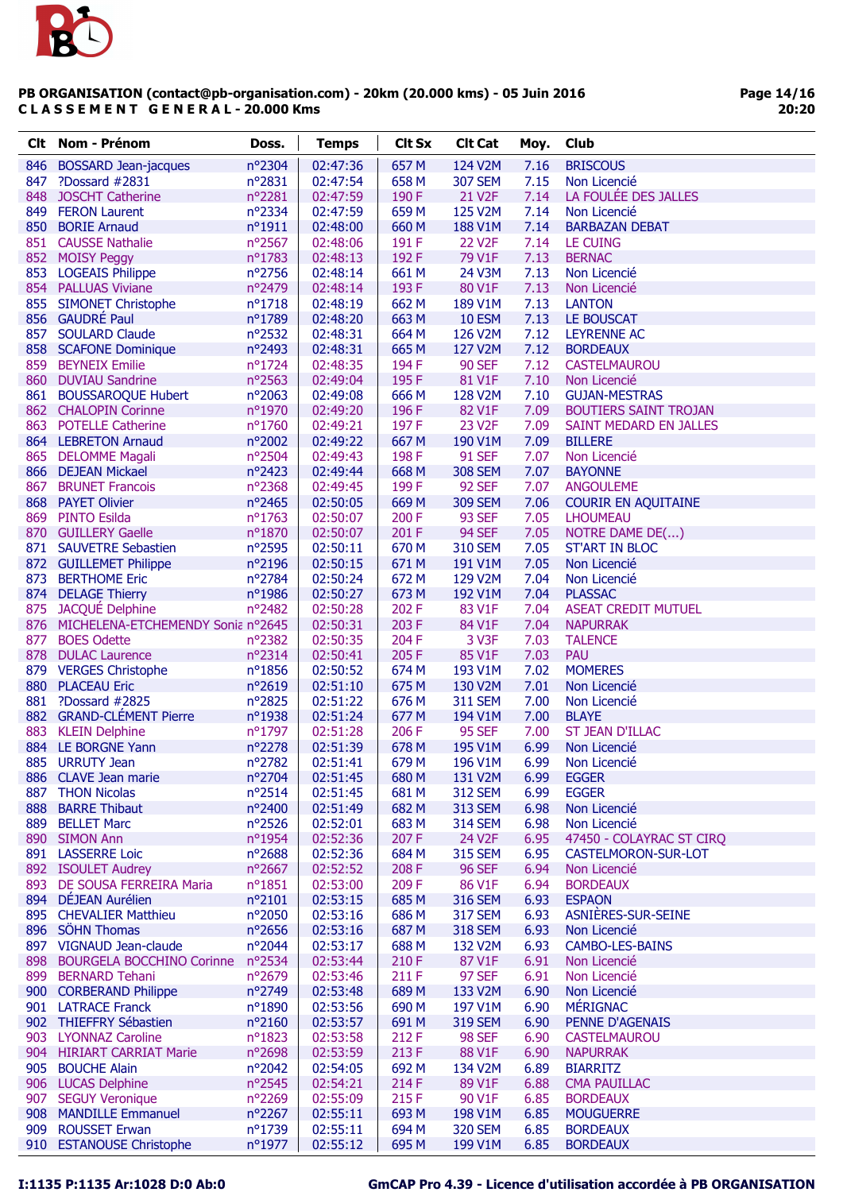

Page 14/16 20:20

|            | Clt Nom - Prénom                          | Doss.                     | <b>Temps</b>         | <b>Clt Sx</b>  | <b>Clt Cat</b>           | Moy.         | Club                                     |
|------------|-------------------------------------------|---------------------------|----------------------|----------------|--------------------------|--------------|------------------------------------------|
| 846        | <b>BOSSARD Jean-jacques</b>               | nº2304                    | 02:47:36             | 657 M          | 124 V2M                  | 7.16         | <b>BRISCOUS</b>                          |
| 847        | ?Dossard #2831                            | nº2831                    | 02:47:54             | 658 M          | <b>307 SEM</b>           | 7.15         | Non Licencié                             |
|            | 848 JOSCHT Catherine                      | n°2281                    | 02:47:59             | 190 F          | 21 V <sub>2</sub> F      | 7.14         | LA FOULÉE DES JALLES                     |
|            | 849 FERON Laurent                         | nº2334                    | 02:47:59             | 659 M          | 125 V2M                  | 7.14         | Non Licencié                             |
|            | 850 BORIE Arnaud                          | $n^o$ 1911                | 02:48:00             | 660 M          | 188 V1M                  | 7.14         | <b>BARBAZAN DEBAT</b>                    |
|            | 851 CAUSSE Nathalie                       | nº2567                    | 02:48:06             | 191 F          | <b>22 V2F</b>            | 7.14         | LE CUING                                 |
|            | 852 MOISY Peggy                           | nº1783                    | 02:48:13             | 192 F          | 79 V1F                   | 7.13         | <b>BERNAC</b>                            |
|            | 853 LOGEAIS Philippe                      | nº2756                    | 02:48:14             | 661 M          | 24 V3M                   | 7.13         | Non Licencié                             |
|            | 854 PALLUAS Viviane                       | nº2479                    | 02:48:14             | 193 F          | 80 V1F                   | 7.13         | Non Licencié                             |
|            | 855 SIMONET Christophe                    | $n^o$ 1718                | 02:48:19             | 662 M          | 189 V1M                  | 7.13         | <b>LANTON</b>                            |
|            | 856 GAUDRÉ Paul                           | nº1789                    | 02:48:20             | 663 M          | <b>10 ESM</b>            | 7.13         | LE BOUSCAT                               |
|            | 857 SOULARD Claude                        | nº2532                    | 02:48:31             | 664 M          | 126 V2M                  | 7.12         | <b>LEYRENNE AC</b>                       |
|            | 858 SCAFONE Dominique                     | nº2493                    | 02:48:31             | 665 M          | 127 V2M                  | 7.12         | <b>BORDEAUX</b>                          |
|            | 859 BEYNEIX Emilie<br>860 DUVIAU Sandrine | $n^{\circ}$ 1724          | 02:48:35             | 194F           | <b>90 SEF</b>            | 7.12<br>7.10 | <b>CASTELMAUROU</b>                      |
|            | 861 BOUSSAROQUE Hubert                    | nº2563<br>$n^{\circ}2063$ | 02:49:04<br>02:49:08 | 195F<br>666 M  | 81 V1F<br>128 V2M        | 7.10         | Non Licencié<br><b>GUJAN-MESTRAS</b>     |
|            | 862 CHALOPIN Corinne                      | nº1970                    | 02:49:20             | 196 F          | 82 V1F                   | 7.09         | <b>BOUTIERS SAINT TROJAN</b>             |
|            | 863 POTELLE Catherine                     | nº1760                    | 02:49:21             | 197 F          | 23 V <sub>2F</sub>       | 7.09         | SAINT MEDARD EN JALLES                   |
|            | 864 LEBRETON Arnaud                       | nº2002                    | 02:49:22             | 667 M          | 190 V1M                  | 7.09         | <b>BILLERE</b>                           |
|            | 865 DELOMME Magali                        | nº2504                    | 02:49:43             | 198 F          | <b>91 SEF</b>            | 7.07         | Non Licencié                             |
|            | 866 DEJEAN Mickael                        | nº2423                    | 02:49:44             | 668 M          | <b>308 SEM</b>           | 7.07         | <b>BAYONNE</b>                           |
| 867        | <b>BRUNET Francois</b>                    | $n^{\circ}2368$           | 02:49:45             | 199 F          | <b>92 SEF</b>            | 7.07         | <b>ANGOULEME</b>                         |
| 868        | <b>PAYET Olivier</b>                      | nº2465                    | 02:50:05             | 669 M          | <b>309 SEM</b>           | 7.06         | <b>COURIR EN AQUITAINE</b>               |
|            | 869 PINTO Esilda                          | $n^o$ 1763                | 02:50:07             | 200 F          | <b>93 SEF</b>            | 7.05         | <b>LHOUMEAU</b>                          |
|            | 870 GUILLERY Gaelle                       | nº1870                    | 02:50:07             | 201 F          | <b>94 SEF</b>            | 7.05         | NOTRE DAME DE()                          |
|            | 871 SAUVETRE Sebastien                    | nº2595                    | 02:50:11             | 670 M          | <b>310 SEM</b>           | 7.05         | <b>ST'ART IN BLOC</b>                    |
|            | 872 GUILLEMET Philippe                    | nº2196                    | 02:50:15             | 671 M          | 191 V1M                  | 7.05         | Non Licencié                             |
| 873        | <b>BERTHOME Eric</b>                      | nº2784                    | 02:50:24             | 672 M          | 129 V2M                  | 7.04         | Non Licencié                             |
|            | 874 DELAGE Thierry                        | nº1986                    | 02:50:27             | 673 M          | 192 V1M                  | 7.04         | <b>PLASSAC</b>                           |
|            | 875 JACQUÉ Delphine                       | nº2482                    | 02:50:28             | 202 F          | 83 V1F                   | 7.04         | <b>ASEAT CREDIT MUTUEL</b>               |
|            | 876 MICHELENA-ETCHEMENDY Sonia nº2645     |                           | 02:50:31             | 203 F          | 84 V1F                   | 7.04         | <b>NAPURRAK</b>                          |
| 877        | <b>BOES Odette</b>                        | nº2382                    | 02:50:35             | 204 F          | 3 V3F                    | 7.03         | <b>TALENCE</b>                           |
| 878        | <b>DULAC Laurence</b>                     | nº2314                    | 02:50:41             | 205 F          | 85 V1F                   | 7.03         | PAU                                      |
|            | 879 VERGES Christophe                     | nº1856                    | 02:50:52             | 674 M          | 193 V1M                  | 7.02         | <b>MOMERES</b>                           |
|            | 880 PLACEAU Eric                          | n°2619                    | 02:51:10             | 675 M          | 130 V2M                  | 7.01         | Non Licencié                             |
|            | 881 ?Dossard #2825                        | n°2825                    | 02:51:22             | 676 M          | <b>311 SEM</b>           | 7.00         | Non Licencié                             |
|            | 882 GRAND-CLÉMENT Pierre                  | nº1938                    | 02:51:24             | 677 M          | 194 V1M                  | 7.00         | <b>BLAYE</b>                             |
|            | 883 KLEIN Delphine                        | nº1797                    | 02:51:28             | 206 F          | <b>95 SEF</b>            | 7.00         | <b>ST JEAN D'ILLAC</b>                   |
|            | 884 LE BORGNE Yann                        | nº2278                    | 02:51:39             | 678 M          | 195 V1M                  | 6.99         | Non Licencié                             |
|            | 885 URRUTY Jean                           | nº2782                    | 02:51:41             | 679 M          | 196 V1M                  | 6.99         | Non Licencié                             |
|            | 886 CLAVE Jean marie                      | nº2704                    | 02:51:45             | 680 M          | 131 V2M                  | 6.99         | <b>EGGER</b>                             |
|            | 887 THON Nicolas                          | $n^{\circ}2514$           | 02:51:45             | 681 M          | <b>312 SEM</b>           | 6.99         | <b>EGGER</b>                             |
| 888<br>889 | <b>BARRE Thibaut</b>                      | nº2400                    | 02:51:49             | 682 M          | <b>313 SEM</b>           | 6.98         | Non Licencié                             |
|            | <b>BELLET Marc</b><br>890 SIMON Ann       | nº2526<br>nº1954          | 02:52:01<br>02:52:36 | 683 M<br>207 F | <b>314 SEM</b><br>24 V2F | 6.98<br>6.95 | Non Licencié<br>47450 - COLAYRAC ST CIRQ |
|            | 891 LASSERRE Loic                         | $n^{\circ}2688$           | 02:52:36             | 684 M          | <b>315 SEM</b>           | 6.95         | CASTELMORON-SUR-LOT                      |
|            | 892 ISOULET Audrey                        | nº2667                    | 02:52:52             | 208 F          | <b>96 SEF</b>            | 6.94         | Non Licencié                             |
|            | 893 DE SOUSA FERREIRA Maria               | $n^o$ 1851                | 02:53:00             | 209 F          | 86 V1F                   | 6.94         | <b>BORDEAUX</b>                          |
|            | 894 DÉJEAN Aurélien                       | $n^{\circ}2101$           | 02:53:15             | 685 M          | <b>316 SEM</b>           | 6.93         | <b>ESPAON</b>                            |
|            | 895 CHEVALIER Matthieu                    | nº2050                    | 02:53:16             | 686 M          | <b>317 SEM</b>           | 6.93         | ASNIÈRES-SUR-SEINE                       |
|            | 896 SÖHN Thomas                           | nº2656                    | 02:53:16             | 687 M          | <b>318 SEM</b>           | 6.93         | Non Licencié                             |
|            | 897 VIGNAUD Jean-claude                   | nº2044                    | 02:53:17             | 688 M          | 132 V2M                  | 6.93         | <b>CAMBO-LES-BAINS</b>                   |
| 898        | BOURGELA BOCCHINO Corinne nº2534          |                           | 02:53:44             | 210 F          | 87 V1F                   | 6.91         | Non Licencié                             |
|            | 899 BERNARD Tehani                        | nº2679                    | 02:53:46             | 211 F          | <b>97 SEF</b>            | 6.91         | Non Licencié                             |
|            | 900 CORBERAND Philippe                    | nº2749                    | 02:53:48             | 689 M          | 133 V2M                  | 6.90         | Non Licencié                             |
|            | 901 LATRACE Franck                        | nº1890                    | 02:53:56             | 690 M          | 197 V1M                  | 6.90         | <b>MÉRIGNAC</b>                          |
|            | 902 THIEFFRY Sébastien                    | $n^{\circ}2160$           | 02:53:57             | 691 M          | <b>319 SEM</b>           | 6.90         | PENNE D'AGENAIS                          |
|            | 903 LYONNAZ Caroline                      | $n^o$ 1823                | 02:53:58             | 212 F          | <b>98 SEF</b>            | 6.90         | <b>CASTELMAUROU</b>                      |
|            | 904 HIRIART CARRIAT Marie                 | n°2698                    | 02:53:59             | 213 F          | 88 V1F                   | 6.90         | <b>NAPURRAK</b>                          |
| 905        | <b>BOUCHE Alain</b>                       | nº2042                    | 02:54:05             | 692 M          | 134 V2M                  | 6.89         | <b>BIARRITZ</b>                          |
|            | 906 LUCAS Delphine                        | nº2545                    | 02:54:21             | 214 F          | 89 V1F                   | 6.88         | <b>CMA PAUILLAC</b>                      |
|            | 907 SEGUY Veronique                       | nº2269                    | 02:55:09             | 215 F          | 90 V1F                   | 6.85         | <b>BORDEAUX</b>                          |
|            | 908 MANDILLE Emmanuel                     | nº2267                    | 02:55:11             | 693 M          | 198 V1M                  | 6.85         | <b>MOUGUERRE</b>                         |
| 909        | <b>ROUSSET Erwan</b>                      | nº1739                    | 02:55:11             | 694 M          | <b>320 SEM</b>           | 6.85         | <b>BORDEAUX</b>                          |
|            | 910 ESTANOUSE Christophe                  | nº1977                    | 02:55:12             | 695 M          | 199 V1M                  | 6.85         | <b>BORDEAUX</b>                          |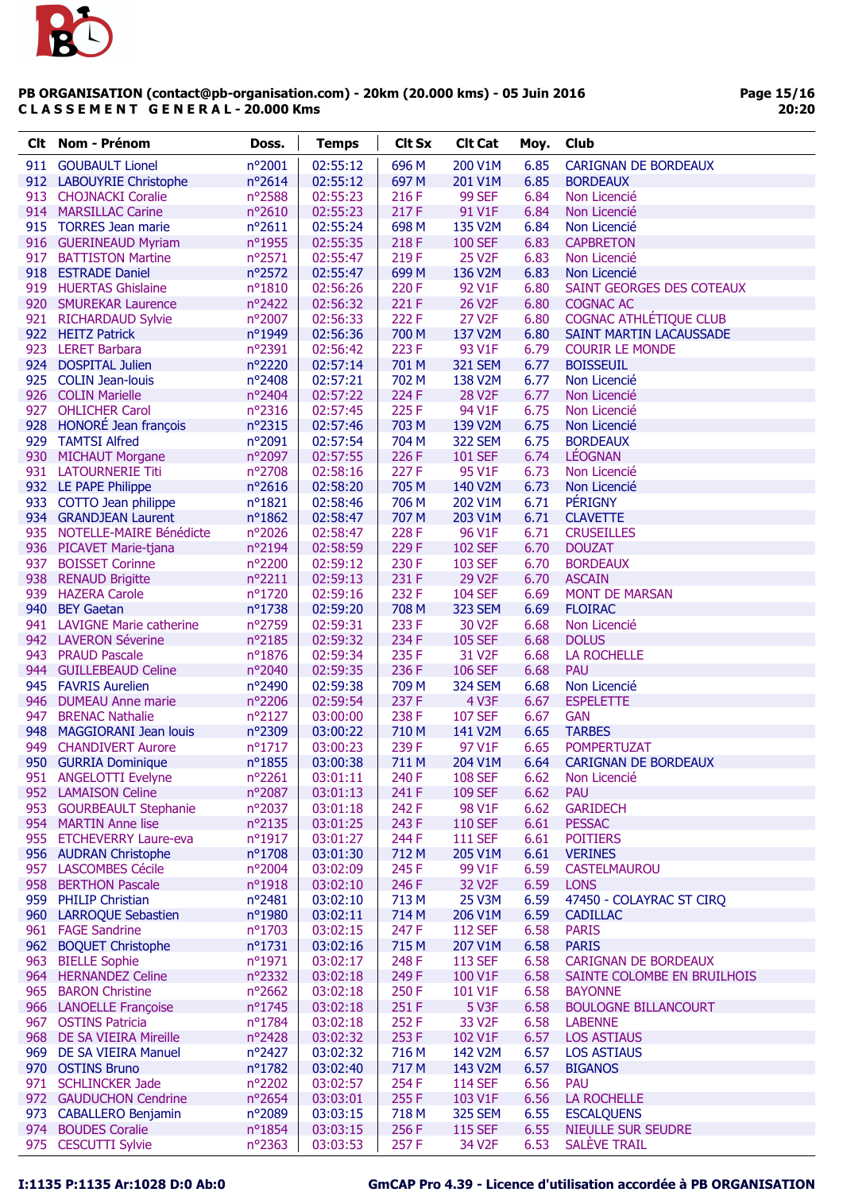

| Clt | Nom - Prénom                                     | Doss.                     | <b>Temps</b>         | <b>Clt Sx</b>  | <b>Clt Cat</b>                   | Moy.         | Club                              |
|-----|--------------------------------------------------|---------------------------|----------------------|----------------|----------------------------------|--------------|-----------------------------------|
|     | 911 GOUBAULT Lionel                              | nº2001                    | 02:55:12             | 696 M          | 200 V1M                          | 6.85         | <b>CARIGNAN DE BORDEAUX</b>       |
|     | 912 LABOUYRIE Christophe                         | nº2614                    | 02:55:12             | 697 M          | 201 V1M                          | 6.85         | <b>BORDEAUX</b>                   |
|     | 913 CHOJNACKI Coralie                            | nº2588                    | 02:55:23             | 216 F          | <b>99 SEF</b>                    | 6.84         | Non Licencié                      |
|     | 914 MARSILLAC Carine                             | nº2610                    | 02:55:23             | 217F           | 91 V1F                           | 6.84         | Non Licencié                      |
|     | 915 TORRES Jean marie                            | $n^{\circ}2611$           | 02:55:24             | 698 M          | 135 V2M                          | 6.84         | Non Licencié                      |
|     | 916 GUERINEAUD Myriam                            | nº1955                    | 02:55:35             | 218 F          | <b>100 SEF</b>                   | 6.83         | <b>CAPBRETON</b>                  |
|     | 917 BATTISTON Martine                            | nº2571                    | 02:55:47             | 219F           | <b>25 V2F</b>                    | 6.83         | Non Licencié                      |
|     | 918 ESTRADE Daniel                               | nº2572                    | 02:55:47             | 699 M          | 136 V2M                          | 6.83         | Non Licencié                      |
|     | 919 HUERTAS Ghislaine                            | nº1810                    | 02:56:26             | 220 F          | 92 V1F                           | 6.80         | SAINT GEORGES DES COTEAUX         |
|     | 920 SMUREKAR Laurence                            | nº2422                    | 02:56:32             | 221 F          | 26 V2F                           | 6.80         | <b>COGNAC AC</b>                  |
|     | 921 RICHARDAUD Sylvie                            | nº2007                    | 02:56:33             | 222 F          | 27 V2F                           | 6.80         | COGNAC ATHLÉTIQUE CLUB            |
|     | 922 HEITZ Patrick                                | nº1949                    | 02:56:36             | 700 M          | 137 V2M                          | 6.80         | <b>SAINT MARTIN LACAUSSADE</b>    |
|     | 923 LERET Barbara                                | nº2391                    | 02:56:42             | 223 F          | 93 V1F                           | 6.79         | <b>COURIR LE MONDE</b>            |
|     | 924 DOSPITAL Julien                              | nº2220                    | 02:57:14             | 701 M          | <b>321 SEM</b>                   | 6.77         | <b>BOISSEUIL</b>                  |
|     | 925 COLIN Jean-louis                             | nº2408                    | 02:57:21             | 702 M          | 138 V2M                          | 6.77         | Non Licencié                      |
|     | 926 COLIN Marielle                               | nº2404                    | 02:57:22             | 224 F          | <b>28 V2F</b>                    | 6.77         | Non Licencié                      |
|     | 927 OHLICHER Carol                               | nº2316                    | 02:57:45             | 225F           | 94 V1F                           | 6.75         | Non Licencié                      |
|     | 928 HONORÉ Jean françois                         | nº2315                    | 02:57:46             | 703 M          | 139 V2M                          | 6.75         | Non Licencié                      |
|     | 929 TAMTSI Alfred                                | nº2091<br>nº2097          | 02:57:54             | 704 M          | <b>322 SEM</b>                   | 6.75         | <b>BORDEAUX</b><br><b>LÉOGNAN</b> |
|     | 930 MICHAUT Morgane                              |                           | 02:57:55             | 226 F          | <b>101 SEF</b>                   | 6.74         |                                   |
|     | 931 LATOURNERIE Titi                             | nº2708<br>nº2616          | 02:58:16<br>02:58:20 | 227 F<br>705 M | 95 V1F<br>140 V2M                | 6.73<br>6.73 | Non Licencié                      |
|     | 932 LE PAPE Philippe<br>933 COTTO Jean philippe  | $n^o$ 1821                | 02:58:46             | 706 M          | 202 V1M                          | 6.71         | Non Licencié<br>PÉRIGNY           |
|     | 934 GRANDJEAN Laurent                            | $n^o$ 1862                | 02:58:47             | 707 M          | 203 V1M                          | 6.71         | <b>CLAVETTE</b>                   |
|     | 935 NOTELLE-MAIRE Bénédicte                      | nº2026                    | 02:58:47             | 228 F          | 96 V1F                           | 6.71         | <b>CRUSEILLES</b>                 |
|     | 936 PICAVET Marie-tjana                          | n°2194                    | 02:58:59             | 229 F          | <b>102 SEF</b>                   | 6.70         | <b>DOUZAT</b>                     |
| 937 | <b>BOISSET Corinne</b>                           | nº2200                    | 02:59:12             | 230 F          | <b>103 SEF</b>                   | 6.70         | <b>BORDEAUX</b>                   |
|     | 938 RENAUD Brigitte                              | n°2211                    | 02:59:13             | 231 F          | 29 V2F                           | 6.70         | <b>ASCAIN</b>                     |
|     | 939 HAZERA Carole                                | nº1720                    | 02:59:16             | 232 F          | <b>104 SEF</b>                   | 6.69         | <b>MONT DE MARSAN</b>             |
|     | 940 BEY Gaetan                                   | nº1738                    | 02:59:20             | 708 M          | <b>323 SEM</b>                   | 6.69         | <b>FLOIRAC</b>                    |
|     | 941 LAVIGNE Marie catherine                      | n°2759                    | 02:59:31             | 233 F          | 30 V2F                           | 6.68         | Non Licencié                      |
|     | 942 LAVERON Séverine                             | nº2185                    | 02:59:32             | 234 F          | <b>105 SEF</b>                   | 6.68         | <b>DOLUS</b>                      |
| 943 | <b>PRAUD Pascale</b>                             | $n^{\circ}$ 1876          | 02:59:34             | 235F           | 31 V <sub>2F</sub>               | 6.68         | <b>LA ROCHELLE</b>                |
|     | 944 GUILLEBEAUD Celine                           | nº2040                    | 02:59:35             | 236 F          | <b>106 SEF</b>                   | 6.68         | PAU                               |
|     | 945 FAVRIS Aurelien                              | nº2490                    | 02:59:38             | 709 M          | <b>324 SEM</b>                   | 6.68         | Non Licencié                      |
|     | 946 DUMEAU Anne marie                            | nº2206                    | 02:59:54             | 237F           | 4 V3F                            | 6.67         | <b>ESPELETTE</b>                  |
| 947 | <b>BRENAC Nathalie</b>                           | nº2127                    | 03:00:00             | 238 F          | <b>107 SEF</b>                   | 6.67         | <b>GAN</b>                        |
| 948 | <b>MAGGIORANI Jean louis</b>                     | n°2309                    | 03:00:22             | 710 M          | 141 V2M                          | 6.65         | <b>TARBES</b>                     |
| 949 | <b>CHANDIVERT Aurore</b>                         | nº1717                    | 03:00:23             | 239 F          | 97 V1F                           | 6.65         | <b>POMPERTUZAT</b>                |
|     | 950 GURRIA Dominique                             | n°1855                    | 03:00:38             | 711 M          | 204 V1M                          | 6.64         | <b>CARIGNAN DE BORDEAUX</b>       |
|     | 951 ANGELOTTI Evelyne                            | nº2261                    | 03:01:11             | 240 F          | <b>108 SEF</b>                   | 6.62         | Non Licencié                      |
|     | 952 LAMAISON Celine                              | nº2087                    | 03:01:13             | 241 F          | <b>109 SEF</b>                   | 6.62         | <b>PAU</b>                        |
|     | 953 GOURBEAULT Stephanie                         | $n^{\circ}2037$           | 03:01:18             | 242 F          | 98 V1F                           | 6.62         | <b>GARIDECH</b>                   |
|     | 954 MARTIN Anne lise<br>955 ETCHEVERRY Laure-eva | nº2135<br>$n^{\circ}1917$ | 03:01:25<br>03:01:27 | 243 F<br>244 F | <b>110 SEF</b><br><b>111 SEF</b> | 6.61<br>6.61 | <b>PESSAC</b><br><b>POITIERS</b>  |
|     | 956 AUDRAN Christophe                            | nº1708                    | 03:01:30             | 712 M          | 205 V1M                          | 6.61         | <b>VERINES</b>                    |
|     | 957 LASCOMBES Cécile                             | $n^{\circ}2004$           | 03:02:09             | 245F           | 99 V1F                           | 6.59         | <b>CASTELMAUROU</b>               |
|     | 958 BERTHON Pascale                              | n°1918                    | 03:02:10             | 246 F          | 32 V <sub>2</sub> F              | 6.59         | <b>LONS</b>                       |
|     | 959 PHILIP Christian                             | nº2481                    | 03:02:10             | 713 M          | 25 V3M                           | 6.59         | 47450 - COLAYRAC ST CIRQ          |
|     | 960 LARROQUE Sebastien                           | nº1980                    | 03:02:11             | 714 M          | 206 V1M                          | 6.59         | <b>CADILLAC</b>                   |
|     | 961 FAGE Sandrine                                | $n^{\circ}$ 1703          | 03:02:15             | 247 F          | <b>112 SEF</b>                   | 6.58         | <b>PARIS</b>                      |
|     | 962 BOQUET Christophe                            | $n^o$ 1731                | 03:02:16             | 715 M          | 207 V1M                          | 6.58         | <b>PARIS</b>                      |
|     | 963 BIELLE Sophie                                | nº1971                    | 03:02:17             | 248 F          | <b>113 SEF</b>                   | 6.58         | <b>CARIGNAN DE BORDEAUX</b>       |
|     | 964 HERNANDEZ Celine                             | nº2332                    | 03:02:18             | 249 F          | 100 V1F                          | 6.58         | SAINTE COLOMBE EN BRUILHOIS       |
|     | 965 BARON Christine                              | nº2662                    | 03:02:18             | 250 F          | 101 V1F                          | 6.58         | <b>BAYONNE</b>                    |
|     | 966 LANOELLE Françoise                           | nº1745                    | 03:02:18             | 251 F          | 5 V3F                            | 6.58         | <b>BOULOGNE BILLANCOURT</b>       |
|     | 967 OSTINS Patricia                              | $n^{\circ}$ 1784          | 03:02:18             | 252 F          | 33 V <sub>2F</sub>               | 6.58         | <b>LABENNE</b>                    |
|     | 968 DE SA VIEIRA Mireille                        | nº2428                    | 03:02:32             | 253 F          | 102 V1F                          | 6.57         | <b>LOS ASTIAUS</b>                |
|     | 969 DE SA VIEIRA Manuel                          | nº2427                    | 03:02:32             | 716 M          | 142 V2M                          | 6.57         | <b>LOS ASTIAUS</b>                |
|     | 970 OSTINS Bruno                                 | nº1782                    | 03:02:40             | 717 M          | 143 V2M                          | 6.57         | <b>BIGANOS</b>                    |
|     | 971 SCHLINCKER Jade                              | nº2202                    | 03:02:57             | 254 F          | <b>114 SEF</b>                   | 6.56         | <b>PAU</b>                        |
|     | 972 GAUDUCHON Cendrine                           | nº2654                    | 03:03:01             | 255F           | 103 V1F                          | 6.56         | <b>LA ROCHELLE</b>                |
|     | 973 CABALLERO Benjamin                           | nº2089                    | 03:03:15             | 718 M          | <b>325 SEM</b>                   | 6.55         | <b>ESCALQUENS</b>                 |
|     | 974 BOUDES Coralie                               | $n^o$ 1854                | 03:03:15             | 256 F          | <b>115 SEF</b>                   | 6.55         | <b>NIEULLE SUR SEUDRE</b>         |
|     | 975 CESCUTTI Sylvie                              | nº2363                    | 03:03:53             | 257F           | 34 V2F                           | 6.53         | <b>SALÈVE TRAIL</b>               |